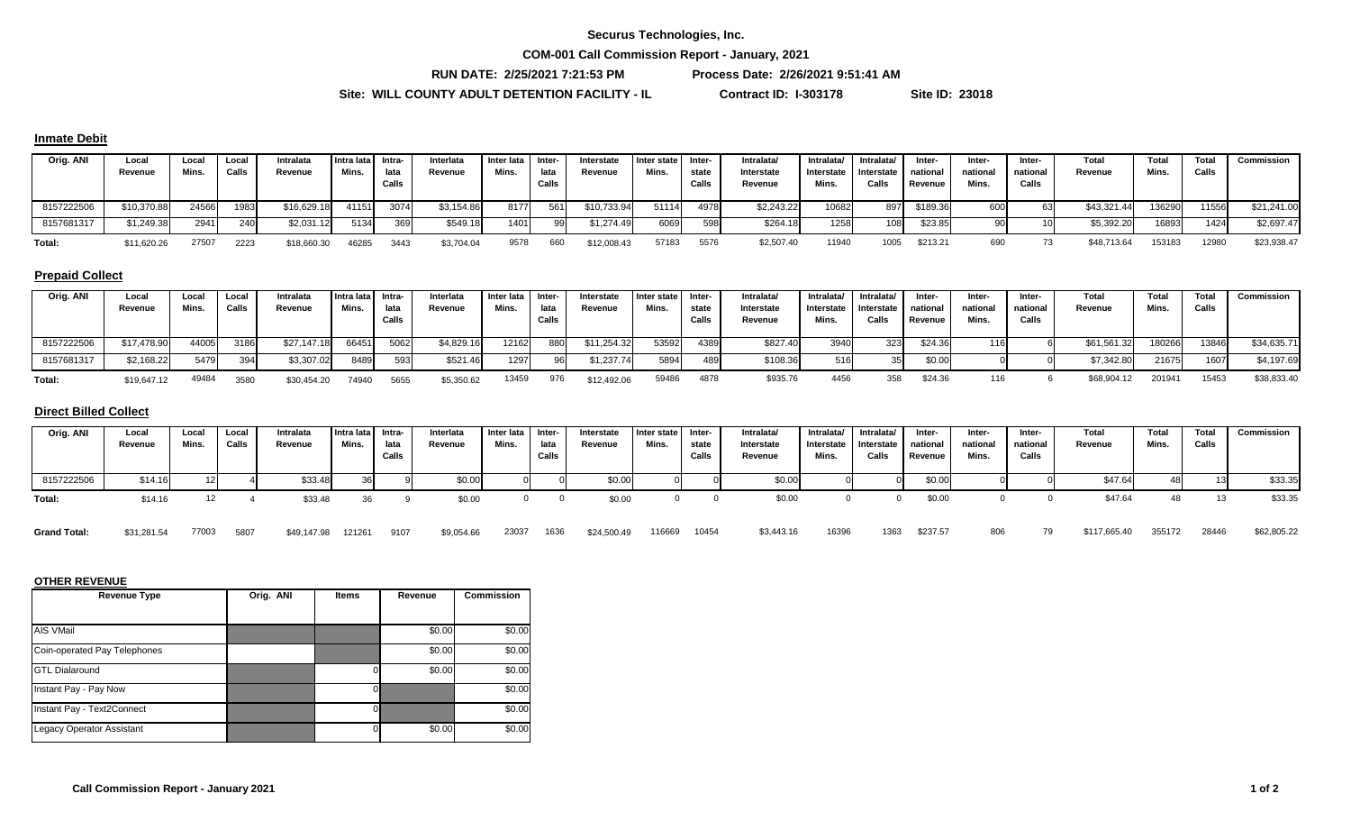#### **Securus Technologies, Inc.**

**COM-001 Call Commission Report - January, 2021**

**RUN DATE: 2/25/2021 7:21:53 PM Process Date: 2/26/2021 9:51:41 AM**

**Site: WILL COUNTY ADULT DETENTION FACILITY - IL Contract ID: I-303178 Site ID: 23018**

#### **Inmate Debit**

| Orig. ANI  | Local<br>Revenue | Local<br>Mins. | Local<br>Calls | Intralata<br>Revenue | I Intra lata<br>Mins. | Intra-<br>lata | Interlata<br>Revenue | Inter lata<br>Mins. | , Inter<br>lata | Interstate<br>Revenue | I Inter state<br>Mins. | Inter-<br>state | Intralata<br>Interstate | Intralata/<br>Interstate | Intralata/<br>Interstate | Inter-<br>national | Inter-<br>national | Inter-<br>national | Total<br>Revenue | Total<br>Mins. | Total<br>Calls | Commission  |
|------------|------------------|----------------|----------------|----------------------|-----------------------|----------------|----------------------|---------------------|-----------------|-----------------------|------------------------|-----------------|-------------------------|--------------------------|--------------------------|--------------------|--------------------|--------------------|------------------|----------------|----------------|-------------|
|            |                  |                |                |                      |                       | Calls          |                      |                     | Calls           |                       |                        | Calls           | Revenue                 | Mins.                    | Calls                    | Revenue            | Mins.              | Calls              |                  |                |                |             |
| 8157222506 | \$10,370.88      | 24566          | 1983           | \$16,629.18          | 41151                 | 3074           | \$3,154.86           | 8177                | 561             | \$10,733.94           | 51114                  | 4978            | \$2,243.22              | 10682                    | 897                      | \$189.36           | 600                |                    | \$43,321.44      | 136290         | 11556          | \$21,241.00 |
| 8157681317 | \$1,249.38       | 2941           | 240            | \$2,031.12           | 5134                  |                | \$549.18             | 1401                |                 | \$1,274.49            | 6069                   | 598             | \$264.18                | 1258                     | 108                      | \$23.85            |                    |                    | \$5,392.20       | 16893          | 1424           | \$2,697.47  |
| Total      | \$11,620.26      | 27507          | 2223           | \$18,660.30          | 46285                 | 3443           | \$3,704.04           | 9578                |                 | \$12,008.43           | 57183                  | 5576            | \$2,507.40              | 11940                    | 1005                     | \$213.21           |                    |                    | \$48,713.64      | 153183         | 12980          | \$23,938.47 |

## **Prepaid Collect**

| Orig. ANI  | Local<br>Revenue | Local<br>Mins. | Local<br>Calls | Intralata<br>Revenue | Intra lata I<br>Mins. | Intra-<br>lata<br>Calls | Interlata<br>Revenue | Inter lata   Inter-<br>Mins. | lata<br>Calls | Interstate<br>Revenue | I Inter state<br>Mins. | -Inter<br>state<br>Calls | Intralata′<br>Interstate<br>Revenue | Intralata/<br>Interstate<br>Mins. | Intralata/<br><b>Interstate</b><br>Calls | Inter-<br>national<br>Revenue | Inter-<br>national<br>Mins. | Inter-<br>national<br>Calls | Total<br>Revenue | Total<br>Mins.     | Total<br>Calls | <b>Commission</b> |
|------------|------------------|----------------|----------------|----------------------|-----------------------|-------------------------|----------------------|------------------------------|---------------|-----------------------|------------------------|--------------------------|-------------------------------------|-----------------------------------|------------------------------------------|-------------------------------|-----------------------------|-----------------------------|------------------|--------------------|----------------|-------------------|
| 8157222506 | \$17,478.90      | 44005          | 3186           | \$27,147.18          | 66451                 | 5062                    | \$4,829.16           | 12162                        | 880           | \$11,254.32           | 53592                  | 4389                     | \$827.40                            | 3940                              | 323                                      | \$24.36                       | 116                         |                             | \$61,561.32      | 180266             | 13846          | \$34,635.71       |
| 8157681317 | \$2,168.22       | 5479           |                | \$3,307.02           | 8489                  | 593.                    | \$521.46             | 1297                         | 96            | \$1,237.74            | 5894                   | 489                      | \$108.36                            | 516                               |                                          | \$0.00                        |                             |                             | \$7,342.80       | 21675              | 1607           | \$4,197.69        |
| Total:     | \$19,647.12      | 49484          | 3580           | \$30,454.20          | 74940                 | 5655                    | \$5,350.62           | 13459                        | 976           | \$12,492.06           | 59486                  | 4878                     | \$935.76                            | 4456                              | 358                                      | \$24.36                       |                             |                             | \$68,904.12      | 20194 <sup>-</sup> | 15453          | \$38,833.40       |

#### **Direct Billed Collect**

| Orig. ANI  | Local<br>Revenue | Local<br>Mins. | Local<br>Calls | Intralata<br>Revenue | Intra lata Intra-<br>Mins. | lata<br>Calls | Interlata<br>Revenue | Inter lata Inter-<br>Mins. | lata<br>Calls | Interstate<br>Revenue | Inter state<br>Mins. | Inter-<br>state<br>Calls | Intralata/<br>Interstate<br>Revenue | Intralata/<br>Interstate<br>Mins. | Intralata/<br><b>Interstate</b><br>Calls | Inter-<br>national<br>Revenue | Inter-<br>national<br>Mins. | Inter-<br>national<br>Calls | Total<br>Revenue | Total<br>Mins. | Total<br>Calls | Commission |
|------------|------------------|----------------|----------------|----------------------|----------------------------|---------------|----------------------|----------------------------|---------------|-----------------------|----------------------|--------------------------|-------------------------------------|-----------------------------------|------------------------------------------|-------------------------------|-----------------------------|-----------------------------|------------------|----------------|----------------|------------|
| 8157222506 | \$14.16          |                |                | \$33.48              | 36                         |               | \$0.00               |                            |               | \$0.00                |                      |                          | \$0.00                              |                                   |                                          | \$0.00                        |                             |                             | \$47.64          | 48             |                | \$33.35    |
| Total:     | \$14.16          |                |                | \$33.48              | 36                         |               | \$0.00               |                            |               | \$0.00                |                      |                          | \$0.00                              |                                   |                                          | \$0.00                        |                             |                             | \$47.64          | 48             |                | \$33.35    |

**Grand Total:** \$31,281.54 77003 5807 \$49,147.98 121261 9107 \$9,054.66 23037 1636 \$24,500.49 116669 10454 \$3,443.16 16396 1363 \$237.57 806 79 \$117,665.40 355172 28446 \$62,805.22 \$9,054.66 23037 1636 \$24,500.49

| <b>Revenue Type</b>              | Orig. ANI | <b>Items</b> | Revenue | <b>Commission</b> |
|----------------------------------|-----------|--------------|---------|-------------------|
|                                  |           |              |         |                   |
| AIS VMail                        |           |              | \$0.00  | \$0.00            |
| Coin-operated Pay Telephones     |           |              | \$0.00  | \$0.00            |
| <b>GTL Dialaround</b>            |           |              | \$0.00  | \$0.00            |
| Instant Pay - Pay Now            |           |              |         | \$0.00            |
| Instant Pay - Text2Connect       |           |              |         | \$0.00            |
| <b>Legacy Operator Assistant</b> |           |              | \$0.00  | \$0.00            |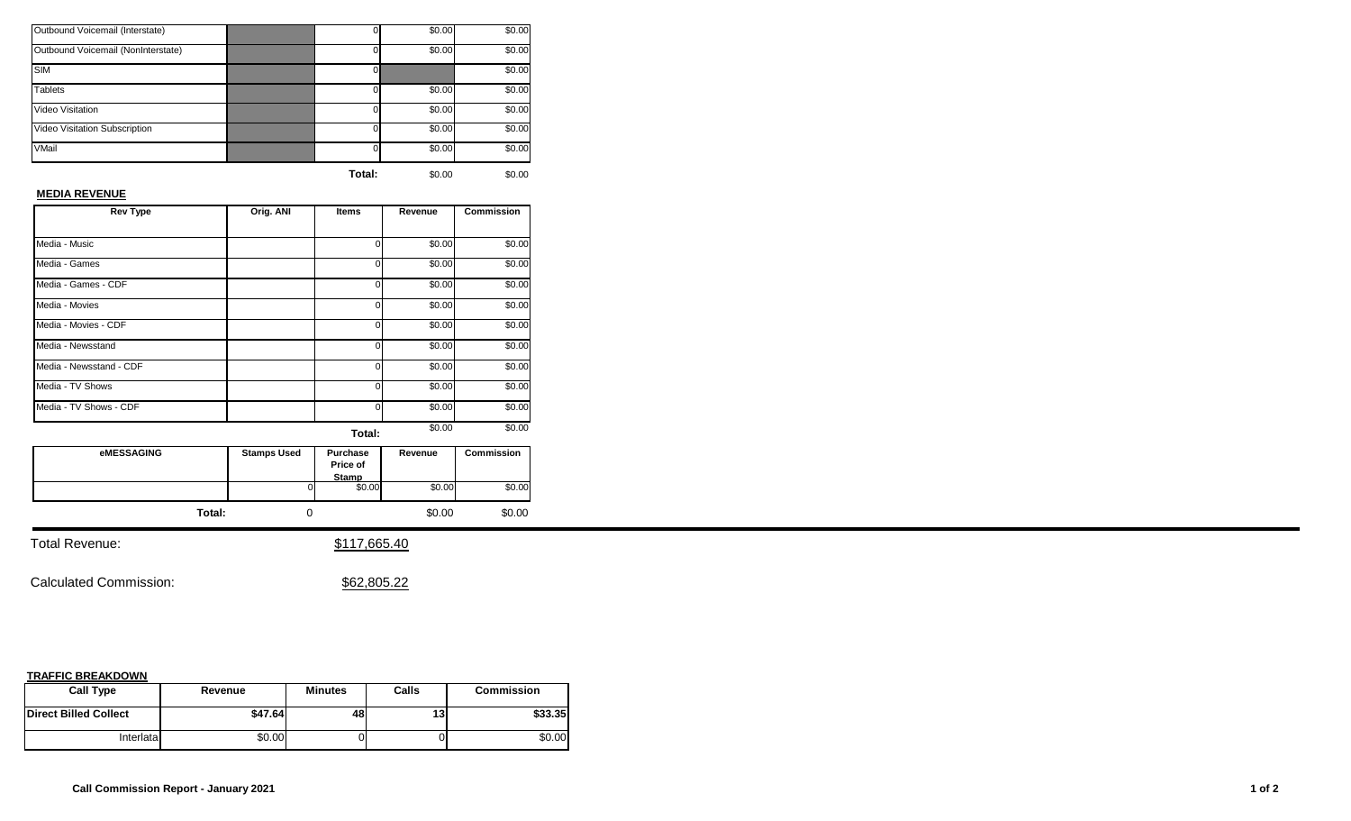| Outbound Voicemail (Interstate)    |          | \$0.00 | \$0.00 |
|------------------------------------|----------|--------|--------|
| Outbound Voicemail (NonInterstate) |          | \$0.00 | \$0.00 |
| <b>SIM</b>                         |          |        | \$0.00 |
| <b>Tablets</b>                     | 0        | \$0.00 | \$0.00 |
| <b>Video Visitation</b>            | $\Omega$ | \$0.00 | \$0.00 |
| Video Visitation Subscription      | $\Omega$ | \$0.00 | \$0.00 |
| VMail                              | $\Omega$ | \$0.00 | \$0.00 |
|                                    |          |        |        |

## **MEDIA REVENUE**

| <b>Rev Type</b>         | Orig. ANI | Items | Revenue | <b>Commission</b> |
|-------------------------|-----------|-------|---------|-------------------|
|                         |           |       |         |                   |
| Media - Music           |           | ი     | \$0.00  | \$0.00            |
| Media - Games           |           | ი     | \$0.00  | \$0.00            |
| Media - Games - CDF     |           | U     | \$0.00  | \$0.00            |
| Media - Movies          |           | 0     | \$0.00  | \$0.00            |
| Media - Movies - CDF    |           | ი     | \$0.00  | \$0.00            |
| Media - Newsstand       |           | U     | \$0.00  | \$0.00            |
| Media - Newsstand - CDF |           | 0     | \$0.00  | \$0.00            |
| Media - TV Shows        |           | n     | \$0.00  | \$0.00            |
| Media - TV Shows - CDF  |           | U     | \$0.00  | \$0.00            |
|                         |           |       | \$0.00  | \$0.00            |

**Total:** 

| eMESSAGING | <b>Stamps Used</b> | Purchase<br>Price of<br><b>Stamp</b> | Revenue | <b>Commission</b> |
|------------|--------------------|--------------------------------------|---------|-------------------|
|            |                    | \$0.00                               | \$0.00  | \$0.00            |
| Total:     |                    |                                      | \$0.00  | \$0.00            |

Total Revenue:  $$117,665.40$ 

Calculated Commission:  $$62,805.22$ 

| <b>Call Type</b>             | Revenue | <b>Minutes</b> | Calls | <b>Commission</b> |
|------------------------------|---------|----------------|-------|-------------------|
| <b>Direct Billed Collect</b> | \$47.64 | 48             | 13    | \$33.35           |
| Interlatal                   | \$0.00  |                |       | \$0.00            |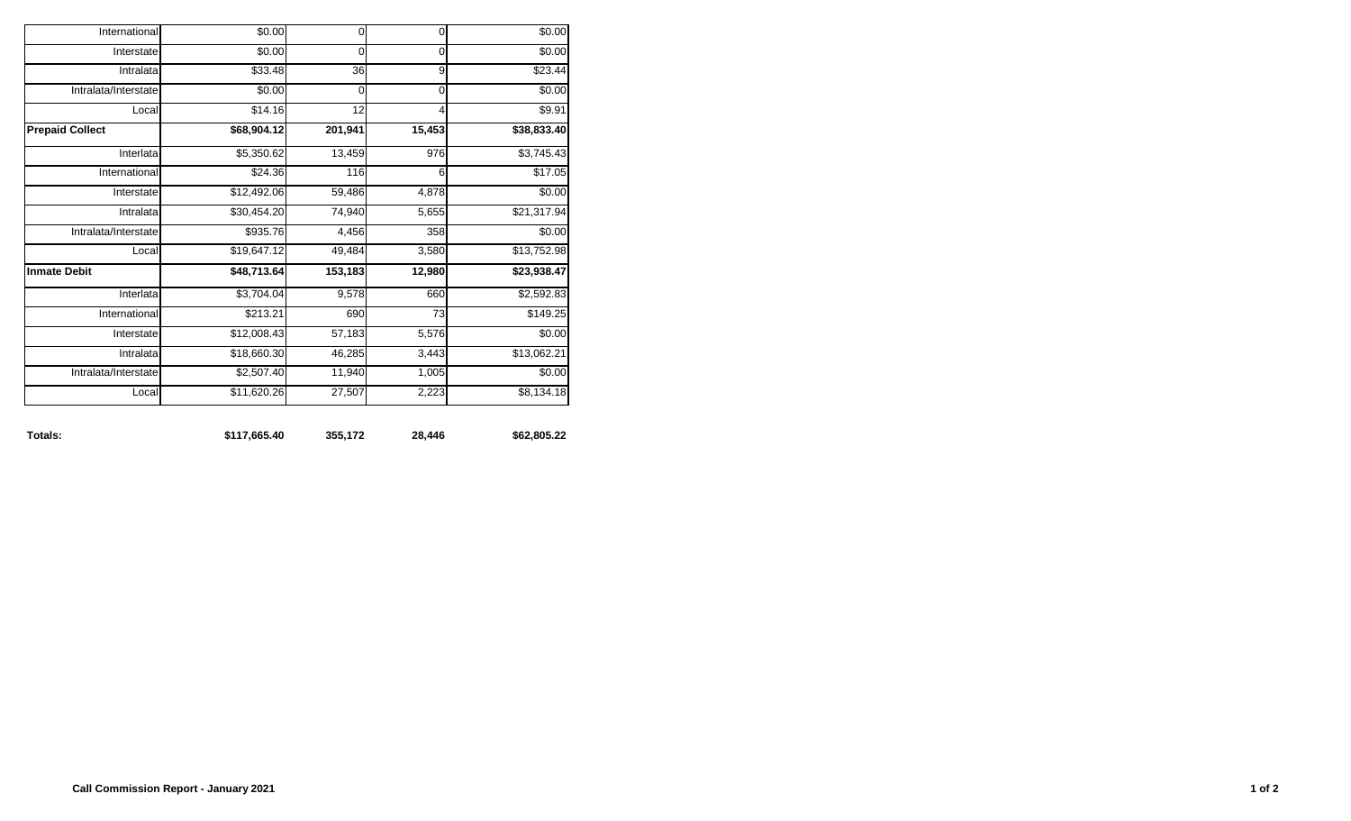| Totals:                | \$117,665.40           | 355,172     | 28,446         | \$62,805.22 |
|------------------------|------------------------|-------------|----------------|-------------|
| Local                  | \$11,620.26            | 27,507      | 2,223          | \$8,134.18  |
| Intralata/Interstate   | $\overline{$}2,507.40$ | 11,940      | 1,005          | \$0.00      |
| Intralata              | \$18,660.30            | 46,285      | 3,443          | \$13,062.21 |
| Interstate             | \$12,008.43            | 57,183      | 5,576          | \$0.00      |
| International          | \$213.21               | 690         | 73             | \$149.25    |
| Interlata              | \$3,704.04             | 9,578       | 660            | \$2,592.83  |
| <b>Inmate Debit</b>    | \$48,713.64            | 153,183     | 12,980         | \$23,938.47 |
| Local                  | \$19,647.12            | 49,484      | 3,580          | \$13,752.98 |
| Intralata/Interstate   | \$935.76               | 4,456       | 358            | \$0.00      |
| Intralata              | \$30,454.20            | 74,940      | 5,655          | \$21,317.94 |
| Interstate             | \$12,492.06            | 59,486      | 4,878          | \$0.00      |
| International          | \$24.36                | 116         | 6              | \$17.05     |
| Interlata              | \$5,350.62             | 13,459      | 976            | \$3,745.43  |
| <b>Prepaid Collect</b> | \$68,904.12            | 201,941     | 15,453         | \$38,833.40 |
| Local                  | \$14.16                | 12          | $\overline{4}$ | \$9.91      |
| Intralata/Interstate   | \$0.00                 | $\mathbf 0$ | $\mathbf 0$    | \$0.00      |
| Intralata              | \$33.48                | 36          | 9              | \$23.44     |
| Interstate             | \$0.00                 | 0           | $\mathbf 0$    | \$0.00      |
| International          | \$0.00                 | $\mathbf 0$ | $\mathbf 0$    | \$0.00      |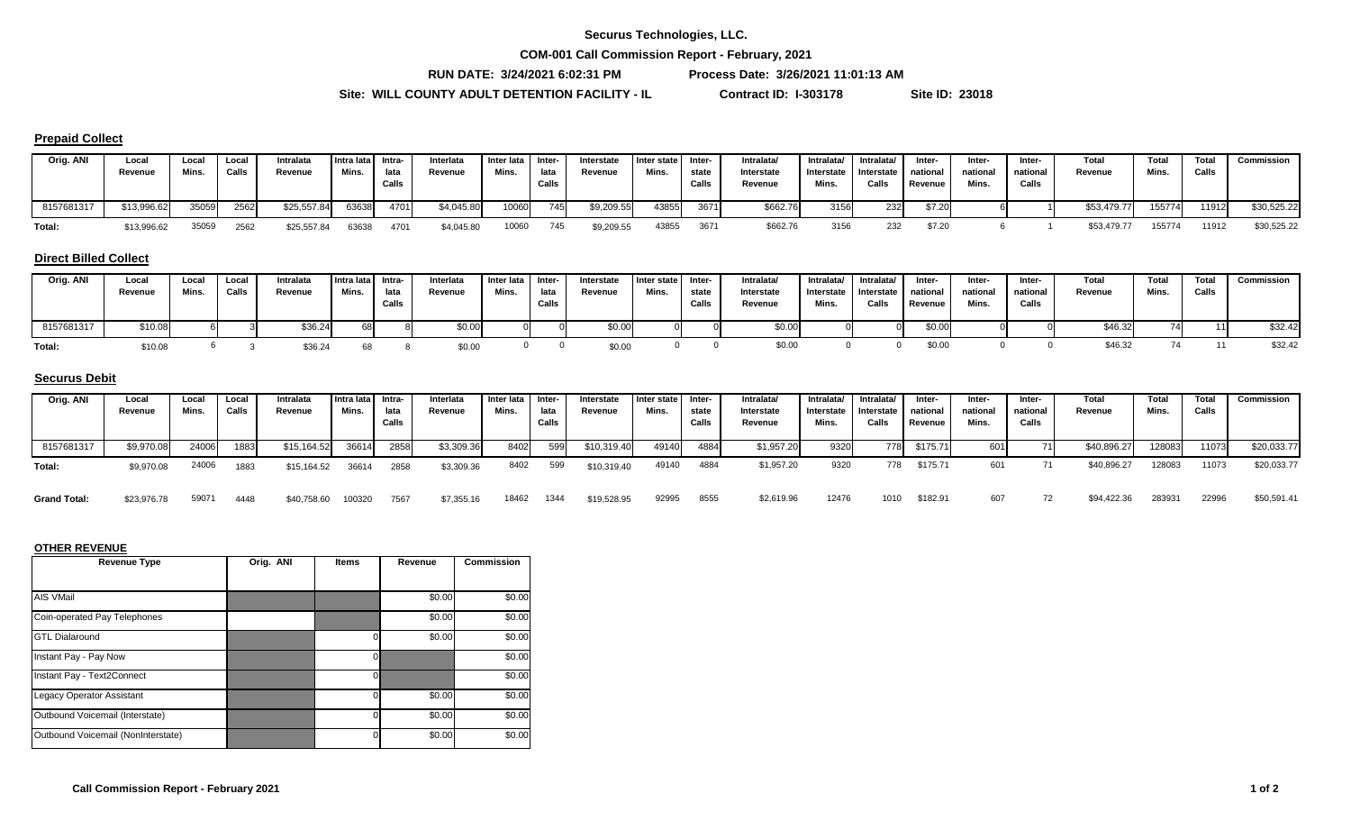**COM-001 Call Commission Report - February, 2021**

**RUN DATE: 3/24/2021 6:02:31 PM Process Date: 3/26/2021 11:01:13 AM**

**Site: WILL COUNTY ADULT DETENTION FACILITY - IL Contract ID: I-303178 Site ID: 23018**

#### **Prepaid Collect**

| Orig. ANI  | Local<br>Revenue | Loca<br>Mins. | Local<br>Calls | Intralata<br>Revenue | Intra lata Intra-<br>Mins. | lata<br>Calls | Interlata<br>Revenue | Inter lata<br>Mins. | - Inter<br>lata<br>Calls | Interstate<br>Revenue | I Inter state<br>Mins. | -Inter<br>state<br>Calls | <b>Intralata</b><br>Interstate<br>Revenue | Intralata/<br>Interstate<br>Mins. | Intralata/<br>Interstate national<br>Calls | Inter-<br>Revenue | Inter-<br>national<br>Mins. | Inter-<br>national<br>Calls | Total<br>Revenue | Total<br>Mins | Total<br>Calls | Commission  |
|------------|------------------|---------------|----------------|----------------------|----------------------------|---------------|----------------------|---------------------|--------------------------|-----------------------|------------------------|--------------------------|-------------------------------------------|-----------------------------------|--------------------------------------------|-------------------|-----------------------------|-----------------------------|------------------|---------------|----------------|-------------|
| 8157681317 | \$13,996.62      | 35059         | 2562           | \$25,557.84          | 63638                      | 4701          | \$4,045.80           | 10060               | 745                      | \$9,209.55            | 43855                  | 3671                     | \$662.76                                  | 3156                              | 232                                        | \$7.20            |                             |                             | \$53,479.77      | 155774        | 11912          | \$30,525.22 |
| Total:     | \$13,996.62      | 35059         | 2562           | \$25,557.84          | 63638                      | 4701          | \$4,045.80           | 10060               | 745                      | \$9,209.55            | 43855                  | 3671                     | \$662.76                                  | 3156                              | 232                                        | \$7.20            |                             |                             | \$53,479.77      | 155774        | 11912          | \$30,525.22 |

#### **Direct Billed Collect**

| Orig. ANI  | Local<br>Revenue | Loca.<br>Mins | Local<br>Calls | Intralata<br>Revenue | Intra lata Intra-<br>Mins. | lata<br>Calls | Interlata<br>Revenue | Inter lata<br>Mins. | i Inter-<br>lata<br>Calls | Interstate<br>Revenue | Inter state<br>Mins. | Inter-<br>state<br>Calls | Intralata/<br>Interstate<br>Revenue | Intralata/<br>Interstate<br>Mins. | Intralata/<br>Interstate<br>Calls | Inter-<br>national<br>Revenue | Inter-<br>national<br>Mins. | Inter-<br>national<br>Calls | Total<br>Revenue | Total<br>Mins. | Total<br>Calls | Commission |
|------------|------------------|---------------|----------------|----------------------|----------------------------|---------------|----------------------|---------------------|---------------------------|-----------------------|----------------------|--------------------------|-------------------------------------|-----------------------------------|-----------------------------------|-------------------------------|-----------------------------|-----------------------------|------------------|----------------|----------------|------------|
| 8157681317 | \$10.08          |               |                | \$36.24              | 68                         |               | \$0.00               |                     |                           | \$0.00                |                      |                          |                                     |                                   |                                   | \$0.00                        |                             |                             | \$46.32          | 74             | 4 4 I          | \$32.42    |
| Total:     | \$10.08          |               |                | \$36.2               |                            |               | \$0.00               |                     |                           | \$0.00                |                      |                          | \$0.00                              |                                   |                                   | \$0.00                        |                             |                             | \$46.32          |                |                | \$32.42    |

## **Securus Debit**

| Orig. ANI           | Local<br>Revenue | Local<br><b>Mins</b> | Local<br>Calls | Intralata<br>Revenue | Intra lata Intra-<br>Mins. | lata  | Interlata<br>Revenue | Inter lata<br>Mins. | I Inter-<br>lata | Interstate<br>Revenue | Inter state<br>Mins. | Inter-<br>state | Intralata/<br>Interstate | Intralata/<br>Interstate | Intralata/<br>Interstate | Inter-<br>national | Inter-<br>national | Inter-<br>national | Total<br>Revenue | Total<br>Mins.     | Total<br>Calls | Commission  |
|---------------------|------------------|----------------------|----------------|----------------------|----------------------------|-------|----------------------|---------------------|------------------|-----------------------|----------------------|-----------------|--------------------------|--------------------------|--------------------------|--------------------|--------------------|--------------------|------------------|--------------------|----------------|-------------|
|                     |                  |                      |                |                      |                            | Calls |                      |                     | Calls            |                       |                      | Calls           | Revenue                  | Mins.                    | Calls                    | Revenue            | Mins.              | Calls              |                  |                    |                |             |
| 8157681317          | \$9,970.08       | 24006                | 1883           | \$15,164.52          | 36614                      | 2858  | \$3,309.36           | 8402                | 599              | \$10,319.40           | 49140                | 4884            | \$1,957.20               | 9320                     | 778                      | \$175.71           | 601 <b>I</b>       |                    | \$40,896.27      | 128083             | 11073          | \$20,033.77 |
| Total:              | \$9,970.08       | 24006                | 1883           | \$15,164.52          | 36614                      | 2858  | \$3,309.36           | 8402                | 599              | \$10,319.40           | 49140                | 4884            | \$1,957.20               | 9320                     | 778                      | \$175.71           | 601                |                    | \$40,896.27      | 128083             | 11073          | \$20,033.77 |
| <b>Grand Total:</b> | \$23,976.78      | 59071                | 4448           | \$40,758.60          | 100320                     | 7567  | \$7,355.16           | 18462               | 1344             | \$19,528.95           | 92995                | 8555            | \$2,619.96               | 12476                    | 1010                     | \$182.91           | 607                |                    | \$94,422.36      | 28393 <sup>.</sup> | 22996          | \$50,591.41 |

| <b>Revenue Type</b>                | Orig. ANI | <b>Items</b> | Revenue | <b>Commission</b> |
|------------------------------------|-----------|--------------|---------|-------------------|
|                                    |           |              |         |                   |
| <b>AIS VMail</b>                   |           |              | \$0.00  | \$0.00            |
| Coin-operated Pay Telephones       |           |              | \$0.00  | \$0.00            |
| <b>GTL Dialaround</b>              |           |              | \$0.00  | \$0.00            |
| Instant Pay - Pay Now              |           |              |         | \$0.00            |
| Instant Pay - Text2Connect         |           | O            |         | \$0.00            |
| <b>Legacy Operator Assistant</b>   |           |              | \$0.00  | \$0.00            |
| Outbound Voicemail (Interstate)    |           |              | \$0.00  | \$0.00            |
| Outbound Voicemail (NonInterstate) |           |              | \$0.00  | \$0.00            |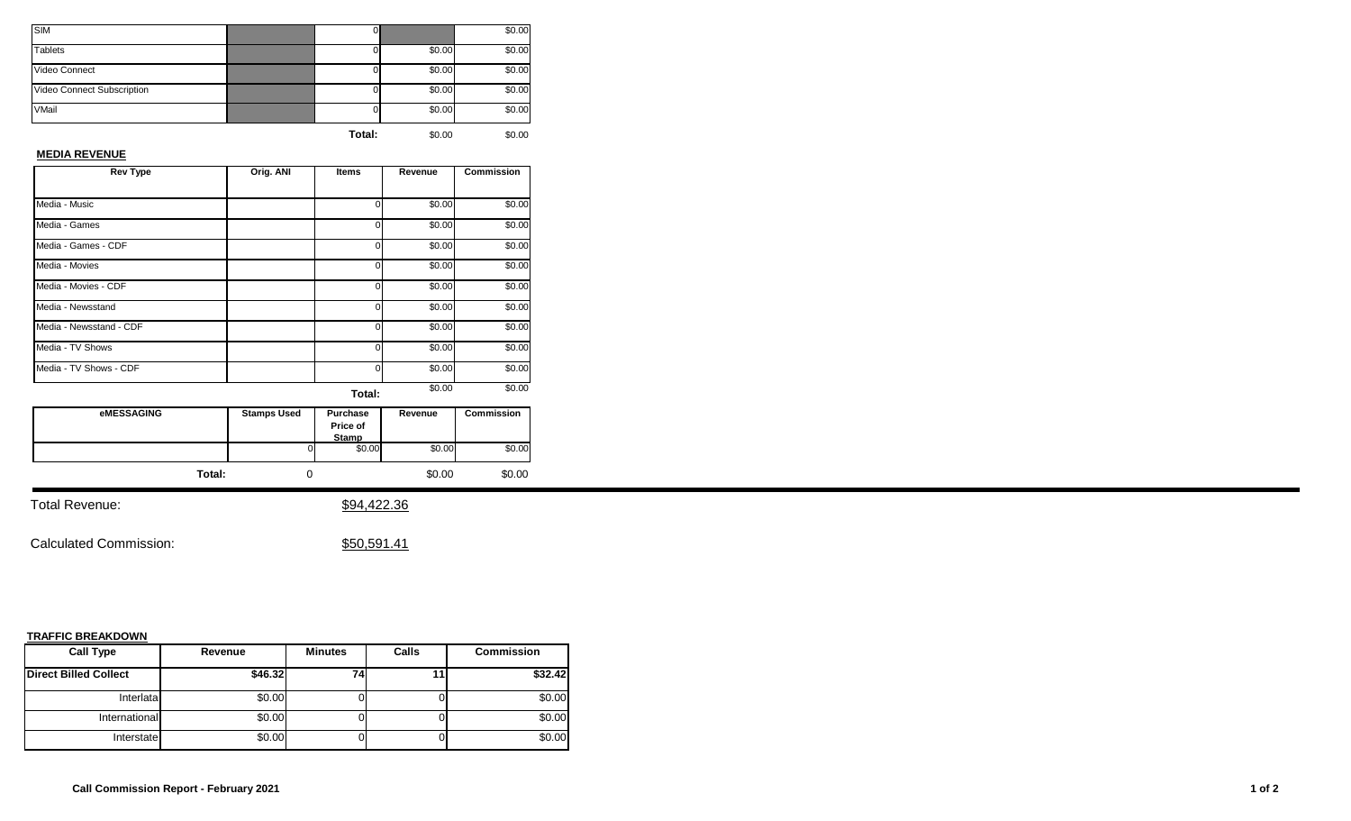| <b>SIM</b>                 | U.     |        | \$0.00 |
|----------------------------|--------|--------|--------|
| <b>Tablets</b>             |        | \$0.00 | \$0.00 |
| Video Connect              |        | \$0.00 | \$0.00 |
| Video Connect Subscription |        | \$0.00 | \$0.00 |
| VMail                      |        | \$0.00 | \$0.00 |
|                            | Total: | \$0.00 | \$0.00 |

#### **MEDIA REVENUE**

| <b>Rev Type</b>         | Orig. ANI | <b>Items</b> | Revenue | <b>Commission</b> |
|-------------------------|-----------|--------------|---------|-------------------|
|                         |           |              |         |                   |
| Media - Music           |           | 0            | \$0.00  | \$0.00            |
| Media - Games           |           | 0            | \$0.00  | \$0.00            |
| Media - Games - CDF     |           | 0            | \$0.00  | \$0.00            |
| Media - Movies          |           | 0            | \$0.00  | \$0.00            |
| Media - Movies - CDF    |           | 0            | \$0.00  | \$0.00            |
| Media - Newsstand       |           | 0            | \$0.00  | \$0.00            |
| Media - Newsstand - CDF |           | 0            | \$0.00  | \$0.00            |
| Media - TV Shows        |           | 0            | \$0.00  | \$0.00            |
| Media - TV Shows - CDF  |           | 0            | \$0.00  | \$0.00            |
|                         |           | Total:       | \$0.00  | \$0.00            |

| <b>eMESSAGING</b> | <b>Stamps Used</b> | Purchase<br>Price of<br><b>Stamp</b> | Revenue | <b>Commission</b> |
|-------------------|--------------------|--------------------------------------|---------|-------------------|
|                   |                    | \$0.00                               | \$0.00  | \$0.00            |
| Total:            |                    |                                      | \$0.00  | \$0.00            |

Total Revenue:  $$94,422.36$ 

Calculated Commission:  $$50,591.41$ 

| <b>Call Type</b>             | Revenue | <b>Minutes</b> | Calls | <b>Commission</b> |
|------------------------------|---------|----------------|-------|-------------------|
| <b>Direct Billed Collect</b> | \$46.32 | 741            |       | \$32.42           |
| Interlata                    | \$0.00  |                |       | \$0.00            |
| International                | \$0.00  |                |       | \$0.00            |
| Interstate                   | \$0.00  |                |       | \$0.00            |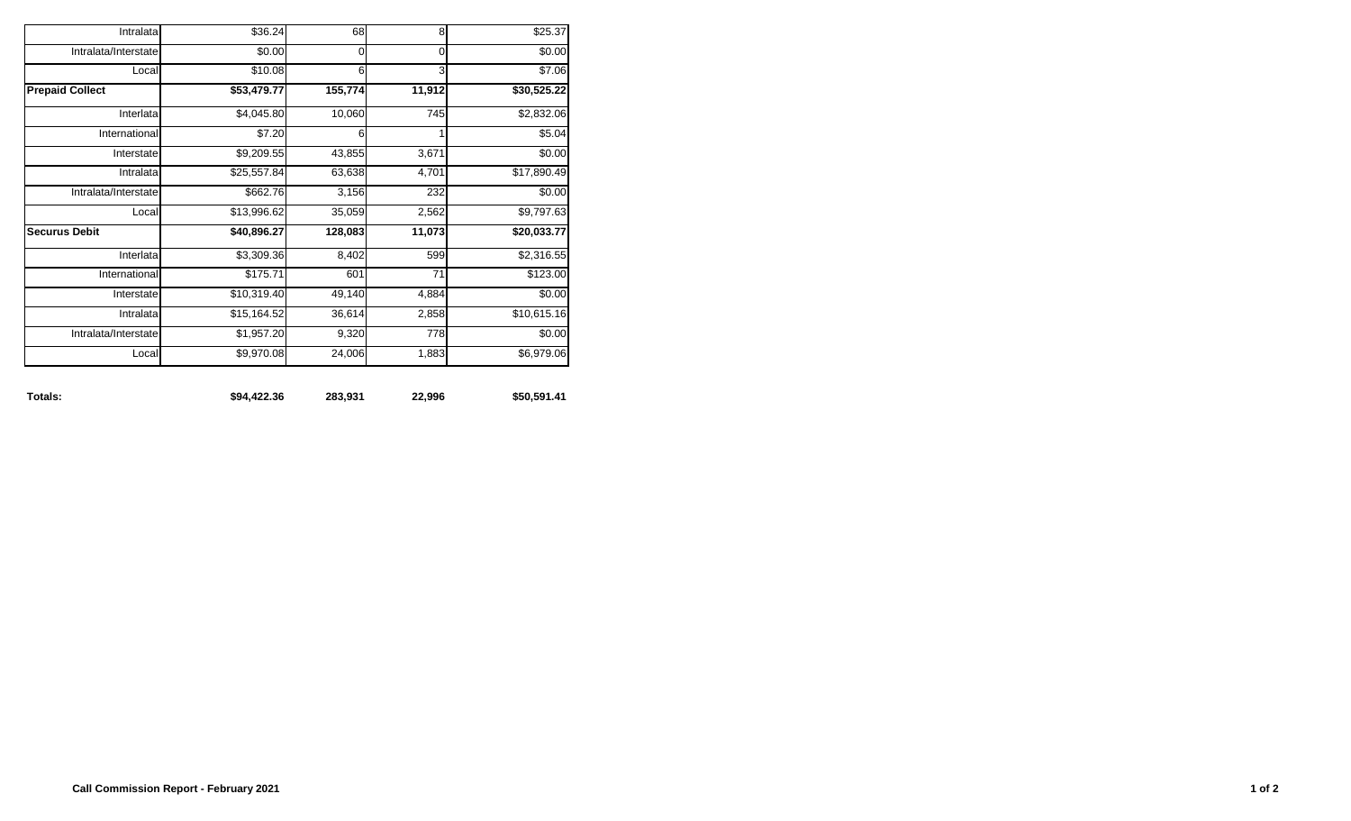| \$25.37     | 8           | 68      | \$36.24     | Intralata              |
|-------------|-------------|---------|-------------|------------------------|
| \$0.00      | $\mathbf 0$ | 0       | \$0.00      | Intralata/Interstate   |
| \$7.06      | 3           | 6       | \$10.08     | Local                  |
| \$30,525.22 | 11,912      | 155,774 | \$53,479.77 | <b>Prepaid Collect</b> |
| \$2,832.06  | 745         | 10,060  | \$4,045.80  | Interlata              |
| \$5.04      |             | 6       | \$7.20      | International          |
| \$0.00      | 3,671       | 43,855  | \$9,209.55  | Interstate             |
| \$17,890.49 | 4,701       | 63,638  | \$25,557.84 | Intralata              |
| \$0.00      | 232         | 3,156   | \$662.76    | Intralata/Interstate   |
| \$9,797.63  | 2,562       | 35,059  | \$13,996.62 | Local                  |
| \$20,033.77 | 11,073      | 128,083 | \$40,896.27 | <b>Securus Debit</b>   |
| \$2,316.55  | 599         | 8,402   | \$3,309.36  | Interlata              |
| \$123.00    | 71          | 601     | \$175.71    | International          |
| \$0.00      | 4,884       | 49,140  | \$10,319.40 | Interstate             |
| \$10,615.16 | 2,858       | 36,614  | \$15,164.52 | Intralata              |
| \$0.00      | <b>778</b>  | 9,320   | \$1,957.20  | Intralata/Interstate   |
| \$6,979.06  | 1,883       | 24,006  | \$9,970.08  | Local                  |

**Totals: \$94,422.36 283,931 22,996 \$50,591.41**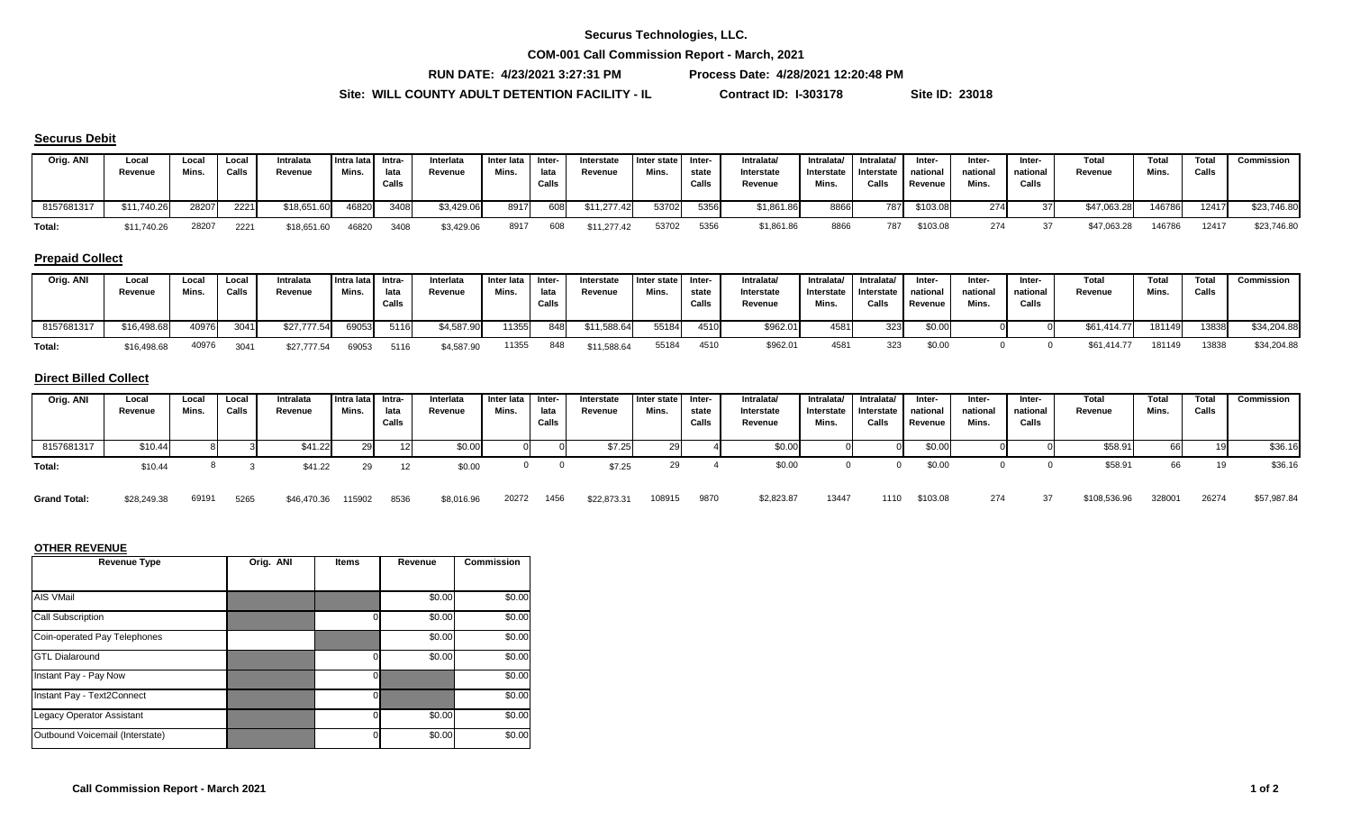**COM-001 Call Commission Report - March, 2021**

**RUN DATE: 4/23/2021 3:27:31 PM Process Date: 4/28/2021 12:20:48 PM**

Site: WILL COUNTY ADULT DETENTION FACILITY - IL Contract ID: I-303178 Site ID: 23018

#### **Securus Debit**

| Orig. ANI  | Local<br>Revenue | Local<br>Mins. | Local<br>Calls | Intralata<br>Revenue | Intra lata l<br>Mins. | Intra-<br>lata<br>Calls | Interlata<br>Revenue | Inter lata Inter-<br>Mins. | lata<br>Calls | Interstate<br>Revenue | Inter state<br>Mins | Inter-<br>state<br>Calls | Intralata<br>Interstate<br><b>Revenue</b> | Intralata/<br>Interstate<br>Mins. | Intralata/<br>Interstate<br>Calls | Inter-<br>national<br>Revenue | Inter-<br>national<br>Mins. | -Inter<br>national<br>Calls | Total<br>Revenue | Total<br>Mins. | <b>Total</b><br>Calls | Commission  |
|------------|------------------|----------------|----------------|----------------------|-----------------------|-------------------------|----------------------|----------------------------|---------------|-----------------------|---------------------|--------------------------|-------------------------------------------|-----------------------------------|-----------------------------------|-------------------------------|-----------------------------|-----------------------------|------------------|----------------|-----------------------|-------------|
| 8157681317 | \$11,740.26      | 28207          | 2221           | \$18,651.60          | 46820                 | 3408                    | \$3,429.06           | 8917                       | 608           | \$11,277.42           | 53702               | 5356                     | \$1,861.86                                | 8866                              | 7871                              | \$103.08                      | 274                         |                             | \$47,063.28      | 146786         | 12417                 | \$23,746.80 |
| Total:     | \$11,740.26      | 28207          | 2221           | \$18,651.60          | 46820                 | 3408                    | \$3,429.06           | 8917                       | 608           | \$11,277.42           | 53702               | 5356                     | \$1,861.86                                | 8866                              | 787                               | \$103.08                      | 274                         |                             | \$47,063.28      | 146786         | 12417                 | \$23,746.80 |

## **Prepaid Collect**

| Orig. ANI  | Local<br>Revenue | Loca<br>Mins. | Local<br>Calls | Intralata<br>Revenue | Intra lata Intra-<br>Mins. | lata<br>Calls | Interlata<br>Revenue | Inter lata I Inter-<br>Mins. | lata<br>Calls | Interstate<br>Revenue | I Inter state<br>Mins. | Inter-<br>state<br>Calls | Intralata/<br>Interstate<br>Revenue | Intralata/<br>Interstate<br>Mins. | Intralata/<br>I Interstate I<br>Calls | Inter-<br>national<br>Revenue | Inter-<br>national<br>Mins. | Inter-<br>national<br>Calls | Total<br>Revenue | <b>Total</b><br>Mins. | <b>Total</b><br>Calls | Commission  |
|------------|------------------|---------------|----------------|----------------------|----------------------------|---------------|----------------------|------------------------------|---------------|-----------------------|------------------------|--------------------------|-------------------------------------|-----------------------------------|---------------------------------------|-------------------------------|-----------------------------|-----------------------------|------------------|-----------------------|-----------------------|-------------|
| 8157681317 | \$16,498.68      | 40976         | 3041           | \$27,777.54          | 69053                      | 5116          | \$4,587.90           | 11355                        | 848           | \$11,588.64           | 55184                  | 4510                     | \$962.01                            | 4581                              | 323                                   | \$0.00                        |                             |                             | \$61,414.77      | 181149                | 13838                 | \$34,204.88 |
| Total:     | \$16,498.68      | 40976         | 3041           | \$27,777.54          | 69053                      | 5116          | \$4,587.90           | 11355                        | 848           | \$11,588.64           | 55184                  | 4510                     | \$962.0                             | 4581                              |                                       | \$0.00                        |                             |                             | \$61,414.77      | 181149                | 13838                 | \$34,204.88 |

#### **Direct Billed Collect**

| Orig. ANI  | Local<br>Revenue | Local<br>Mins. | Local<br>Calls | Intralata<br>Revenue | Intra lata Intra-<br>Mins. | lata<br>Calls | Interlata<br>Revenue | Inter lata<br>Mins. | Inter-<br>lata<br>Calls | Interstate<br>Revenue | Inter state<br>Mins. | Inter-<br>state<br>Calls | Intralata/<br>Interstate<br>Revenue | Intralata/<br>Interstate<br>Mins. | Intralata/<br>Interstate<br>Calls | Inter-<br>national<br>Revenue | Inter-<br>national<br>Mins. | Inter-<br>national<br>Calls | Total<br>Revenue | Total<br>Mins. | Total<br>Calls | Commission |
|------------|------------------|----------------|----------------|----------------------|----------------------------|---------------|----------------------|---------------------|-------------------------|-----------------------|----------------------|--------------------------|-------------------------------------|-----------------------------------|-----------------------------------|-------------------------------|-----------------------------|-----------------------------|------------------|----------------|----------------|------------|
| 8157681317 | \$10.44          |                |                | \$41.22              | $\Omega$<br>. ت ک          |               | \$0.00               |                     |                         | \$7.25                |                      |                          | \$0.00                              |                                   |                                   | \$0.00                        |                             |                             | \$58.91          | bb             |                | \$36.16    |
| Total:     | \$10.44          |                |                | \$41.22              |                            |               | \$0.00               |                     |                         | \$7.25                |                      |                          | \$0.00                              |                                   |                                   | \$0.00                        |                             |                             | \$58.9           | 66             |                | \$36.16    |

|  |  |  |  | Grand Total: \$28,249.38 69191 5265 \$46,470.36 115902 8536 \$8,016.96 20272 1456 \$22,873.31 108915 9870 \$2,823.87 13447 1110 \$103.08 274 37 \$108,536.96 328001 26274 \$57,987.84 |  |  |  |  |  |  |  |  |  |  |  |  |  |  |  |  |  |
|--|--|--|--|---------------------------------------------------------------------------------------------------------------------------------------------------------------------------------------|--|--|--|--|--|--|--|--|--|--|--|--|--|--|--|--|--|
|--|--|--|--|---------------------------------------------------------------------------------------------------------------------------------------------------------------------------------------|--|--|--|--|--|--|--|--|--|--|--|--|--|--|--|--|--|

| <b>Revenue Type</b>              | Orig. ANI | <b>Items</b> | Revenue | <b>Commission</b> |
|----------------------------------|-----------|--------------|---------|-------------------|
|                                  |           |              |         |                   |
| <b>AIS VMail</b>                 |           |              | \$0.00  | \$0.00            |
| <b>Call Subscription</b>         |           |              | \$0.00  | \$0.00            |
| Coin-operated Pay Telephones     |           |              | \$0.00  | \$0.00            |
| <b>GTL Dialaround</b>            |           |              | \$0.00  | \$0.00            |
| Instant Pay - Pay Now            |           |              |         | \$0.00            |
| Instant Pay - Text2Connect       |           |              |         | \$0.00            |
| <b>Legacy Operator Assistant</b> |           |              | \$0.00  | \$0.00            |
| Outbound Voicemail (Interstate)  |           |              | \$0.00  | \$0.00            |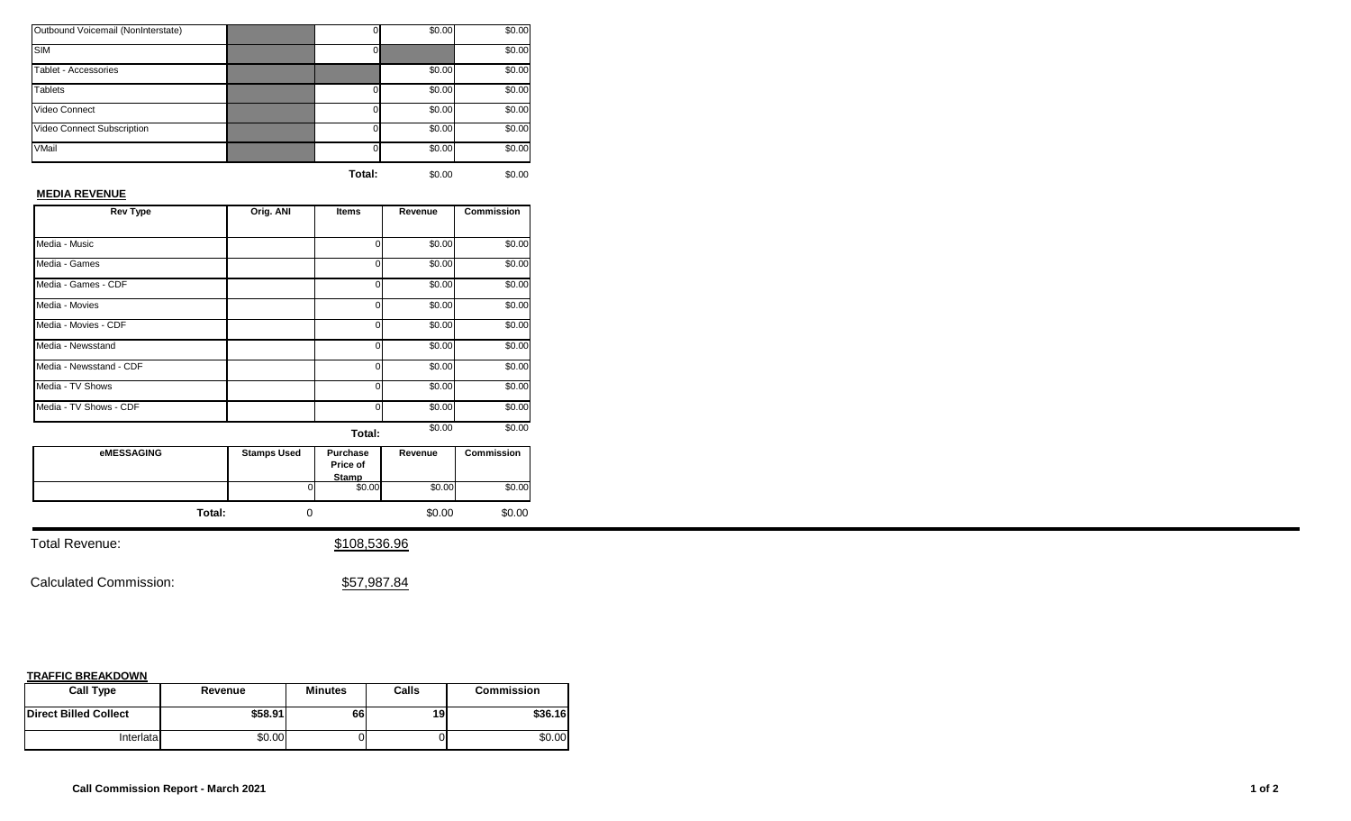| Outbound Voicemail (NonInterstate) |          | \$0.00 | \$0.00 |
|------------------------------------|----------|--------|--------|
| <b>SIM</b>                         |          |        | \$0.00 |
| Tablet - Accessories               |          | \$0.00 | \$0.00 |
| <b>Tablets</b>                     | $\Omega$ | \$0.00 | \$0.00 |
| Video Connect                      | $\Omega$ | \$0.00 | \$0.00 |
| Video Connect Subscription         | $\Omega$ | \$0.00 | \$0.00 |
| VMail                              | $\Omega$ | \$0.00 | \$0.00 |
|                                    |          |        |        |

## **MEDIA REVENUE**

| <b>Rev Type</b>         | Orig. ANI | <b>Items</b> | Revenue | <b>Commission</b> |
|-------------------------|-----------|--------------|---------|-------------------|
|                         |           |              |         |                   |
| Media - Music           |           | ი            | \$0.00  | \$0.00            |
| Media - Games           |           | 0            | \$0.00  | \$0.00            |
| Media - Games - CDF     |           | o            | \$0.00  | \$0.00            |
| Media - Movies          |           | 0            | \$0.00  | \$0.00            |
| Media - Movies - CDF    |           | U            | \$0.00  | \$0.00            |
| Media - Newsstand       |           | 0            | \$0.00  | \$0.00            |
| Media - Newsstand - CDF |           | U            | \$0.00  | \$0.00            |
| Media - TV Shows        |           | U            | \$0.00  | \$0.00            |
| Media - TV Shows - CDF  |           | U            | \$0.00  | \$0.00            |
|                         |           | Total:       | \$0.00  | \$0.00            |

| eMESSAGING | <b>Stamps Used</b> | Purchase<br>Price of<br><b>Stamp</b> | Revenue | <b>Commission</b> |
|------------|--------------------|--------------------------------------|---------|-------------------|
|            |                    | \$0.00                               | \$0.00  | \$0.00            |
| Total:     |                    |                                      | \$0.00  | \$0.00            |

Total Revenue:  $$108,536.96$ 

Calculated Commission:  $$57,987.84$ 

| <b>Call Type</b>             | Revenue | <b>Minutes</b> | Calls | <b>Commission</b> |
|------------------------------|---------|----------------|-------|-------------------|
| <b>Direct Billed Collect</b> | \$58.91 | 66             | 19    | \$36.16           |
| Interlatal                   | \$0.00  | 0              |       | \$0.00            |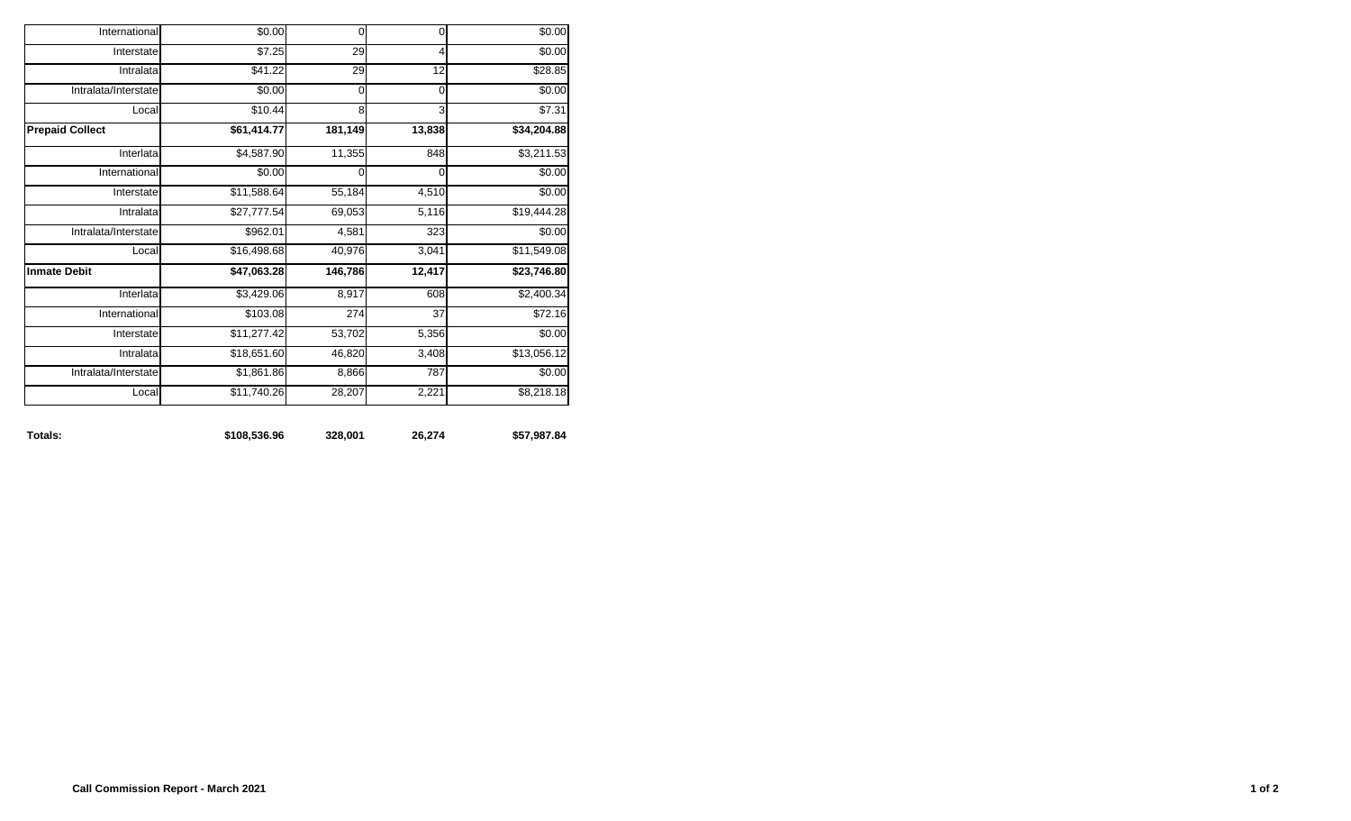| Totals:                | \$108,536.96 | 328,001     | 26,274      | \$57,987.84 |
|------------------------|--------------|-------------|-------------|-------------|
| Local                  | \$11,740.26  | 28,207      | 2,221       | \$8,218.18  |
| Intralata/Interstate   | \$1,861.86   | 8,866       | 787         | \$0.00      |
| Intralata              | \$18,651.60  | 46,820      | 3,408       | \$13,056.12 |
| Interstate             | \$11,277.42  | 53,702      | 5,356       | \$0.00      |
| International          | \$103.08     | 274         | 37          | \$72.16     |
| Interlata              | \$3,429.06   | 8,917       | 608         | \$2,400.34  |
| <b>Inmate Debit</b>    | \$47,063.28  | 146,786     | 12,417      | \$23,746.80 |
| Local                  | \$16,498.68  | 40,976      | 3,041       | \$11,549.08 |
| Intralata/Interstate   | \$962.01     | 4,581       | 323         | \$0.00      |
| Intralata              | \$27,777.54  | 69,053      | 5,116       | \$19,444.28 |
| Interstate             | \$11,588.64  | 55,184      | 4,510       | \$0.00      |
| International          | \$0.00       | $\mathbf 0$ | $\mathbf 0$ | \$0.00      |
| Interlata              | \$4,587.90   | 11,355      | 848         | \$3,211.53  |
| <b>Prepaid Collect</b> | \$61,414.77  | 181,149     | 13,838      | \$34,204.88 |
| Local                  | \$10.44      | 8           | 3           | \$7.31      |
| Intralata/Interstate   | \$0.00       | $\mathbf 0$ | $\mathbf 0$ | \$0.00      |
| Intralata              | \$41.22      | 29          | 12          | 328.85      |
| Interstate             | \$7.25       | 29          | 4           | \$0.00      |
| International          | \$0.00       | $\mathbf 0$ | $\mathbf 0$ | \$0.00      |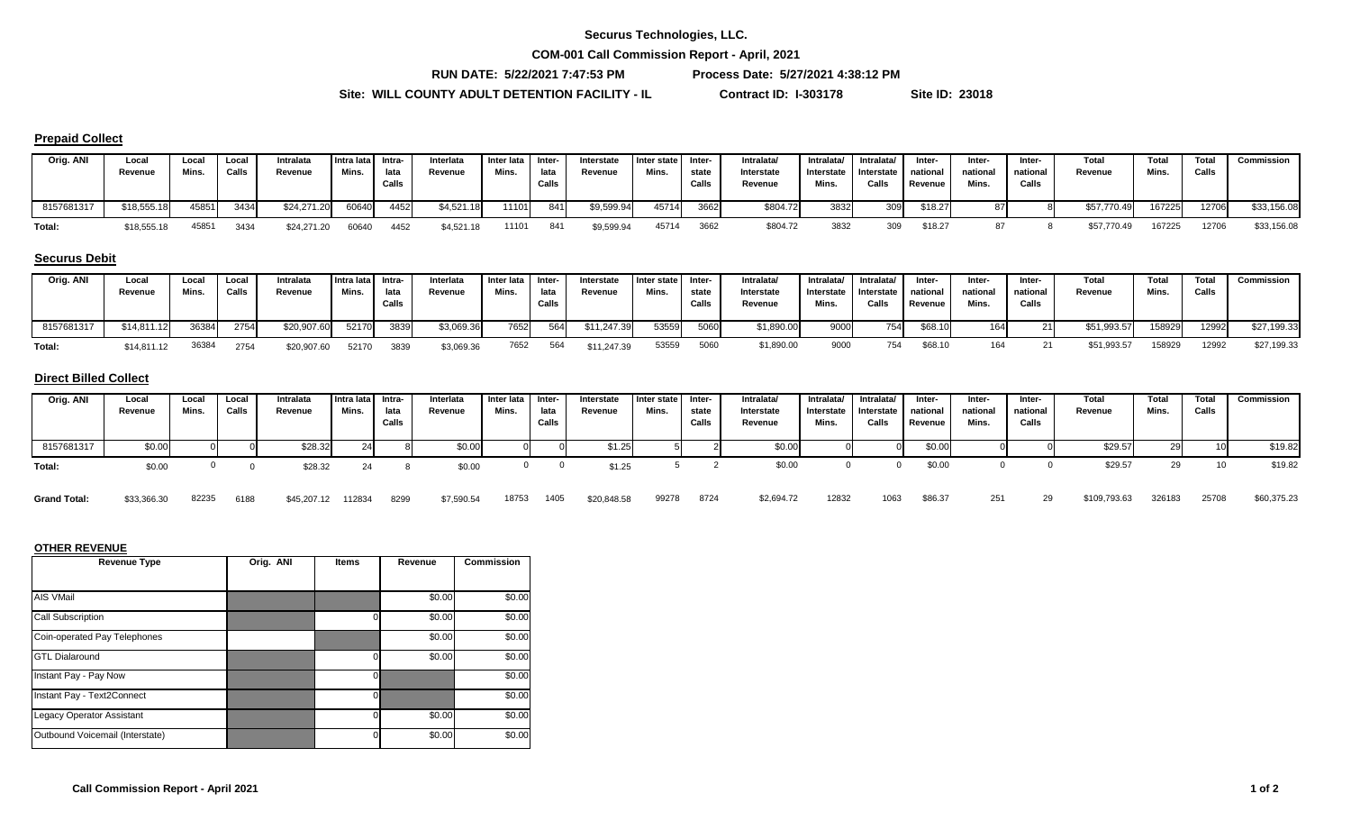**COM-001 Call Commission Report - April, 2021**

**RUN DATE: 5/22/2021 7:47:53 PM Process Date: 5/27/2021 4:38:12 PM**

\$7,590.54 18753 1405 \$20,848.58

**Site: WILL COUNTY ADULT DETENTION FACILITY - IL Contract ID: I-303178 Site ID: 23018**

#### **Prepaid Collect**

| Orig. ANI  | Local<br>Revenue | Local<br>Mins. | Local<br>Calls | Intralata<br>Revenue | Intra lata Intra-<br>Mins. | lata<br>Calls | Interlata<br>Revenue | Inter lata<br>Mins. | Inter-<br>lata<br>Calls | Interstate<br>Revenue | I Inter state<br>Mins. | -Inter<br>state<br>Calls | Intralata/<br>Interstate<br>Revenue | Intralata/<br>Interstate<br>Mins. | Intralata/<br>Interstate<br>Calls | Inter-<br>national  <br>Revenue | Inter-<br>national<br>Mins. | Inter-<br>national<br>Calls | Total<br>Revenue | Total<br>Mins | Total<br>Calls | Commission  |
|------------|------------------|----------------|----------------|----------------------|----------------------------|---------------|----------------------|---------------------|-------------------------|-----------------------|------------------------|--------------------------|-------------------------------------|-----------------------------------|-----------------------------------|---------------------------------|-----------------------------|-----------------------------|------------------|---------------|----------------|-------------|
| 8157681317 | \$18,555.18      | 45851          | 3434           | \$24,271.20          | 60640                      | 4452          | \$4,521.18           | 11101               | 841                     | \$9,599.94            | 45714                  | 3662                     | \$804.72                            | 3832                              | 309                               | \$18.27                         |                             |                             | \$57,770.49      | 167225        | 12706          | \$33,156.08 |
| Total:     | \$18,555.18      | 45851          | 3434           | \$24,271.20          | 60640                      | 4452          | \$4,521.18           | 11101               | 841                     | \$9,599.94            | 45714                  | 3662                     | \$804.72                            | 3832                              | 309                               | \$18.27                         |                             |                             | \$57,770.49      | 167225        | 12706          | \$33,156.08 |

#### **Securus Debit**

| Orig. ANI  | Local<br>Revenue | Loca<br>Mins. | Local<br>Calls | Intralata<br>Revenue | Intra lata Intra-<br>Mins. | lata<br>Calls | Interlata<br>Revenue | Inter lata Inter-<br>Mins. | lata<br>Calls | Interstate<br>Revenue | I Inter state I<br>Mins. | l Inter-<br>state<br>Calls | <b>Intralata</b><br>Interstate<br>Revenue | Intralata/<br>Interstate<br>Mins. | Intralata/<br>Interstate national<br>Calls | Inter-<br>Revenue | Inter-<br>national<br>Mins. | <b>Inter</b><br>national<br>Calls | <b>Total</b><br>Revenue | Total<br>Mins. | <b>Total</b><br>Calls | Commission  |
|------------|------------------|---------------|----------------|----------------------|----------------------------|---------------|----------------------|----------------------------|---------------|-----------------------|--------------------------|----------------------------|-------------------------------------------|-----------------------------------|--------------------------------------------|-------------------|-----------------------------|-----------------------------------|-------------------------|----------------|-----------------------|-------------|
| 8157681317 | \$14,811.12      | 36384         | 2754           | \$20,907.60          | 52170                      | 3839          | \$3,069.36           | 7652                       | 564           | \$11,247.39           | 53559                    | 5060                       | \$1,890.00                                | 9000                              | 754                                        | \$68.10           |                             |                                   | \$51,993.57             | 158929         | 12992                 | \$27,199.33 |
| Total:     | \$14,811.12      | 36384         | 2754           | \$20,907.60          | 52170                      | 3839          | \$3,069.36           | 7652                       | 564           | \$11,247.39           | 53559                    | 5060                       | \$1,890.00                                | 9000                              |                                            | \$68.10           |                             |                                   | \$51,993.57             | 158929         | 12992                 | \$27,199.33 |

#### **Direct Billed Collect**

| Orig. ANI  | Local<br>Revenue | Loca.<br>Mins. | Local<br>Calls | Intralata<br>Revenue | Intra lata Intra-<br>Mins. | lata<br>Calls | Interlata<br>Revenue | Inter lata<br>Mins. | lnter-<br>lata<br>Calls | Interstate<br>Revenue | Inter state<br>Mins. | Inter-<br>state<br>Call | Intralata/<br>Interstate<br>Revenue | Intralata/<br>Interstate<br>Mins. | Intralata/<br>Interstate<br>Calls | Inter-<br>national<br>Revenue | Inter-<br>national<br>Mins. | Inter-<br>national<br>Calls | Total<br>Revenue | Total<br>Mins. | <b>Total</b><br>Calls | Commission |
|------------|------------------|----------------|----------------|----------------------|----------------------------|---------------|----------------------|---------------------|-------------------------|-----------------------|----------------------|-------------------------|-------------------------------------|-----------------------------------|-----------------------------------|-------------------------------|-----------------------------|-----------------------------|------------------|----------------|-----------------------|------------|
| 8157681317 | \$0.00           |                |                | \$28.32              | c                          |               | \$0.00               |                     |                         | \$1.25                |                      |                         | \$0.00                              |                                   |                                   | \$0.00                        |                             |                             | \$29.57          |                |                       | \$19.82    |
| Total:     | \$0.00           |                |                | \$28.32              |                            |               | \$0.00               |                     |                         | \$1.25                |                      |                         | \$0.00                              |                                   |                                   | \$0.00                        |                             |                             | \$29.57          | 29             |                       | \$19.82    |

82235 6188 \$45,207.12 112834 8299 \$7,590.54 18753 1405 \$20,848.58 99278 8724 \$2,694.72 12832 1063 \$86.37 251 29 \$109,793.63 326183 25708 \$60,375.23

#### **OTHER REVENUE**

**Grand Total:** \$33,366.30

| <b>Revenue Type</b>              | Orig. ANI | <b>Items</b> | Revenue | <b>Commission</b> |
|----------------------------------|-----------|--------------|---------|-------------------|
|                                  |           |              |         |                   |
| AIS VMail                        |           |              | \$0.00  | \$0.00            |
| <b>Call Subscription</b>         |           |              | \$0.00  | \$0.00            |
| Coin-operated Pay Telephones     |           |              | \$0.00  | \$0.00            |
| <b>GTL Dialaround</b>            |           |              | \$0.00  | \$0.00            |
| Instant Pay - Pay Now            |           | 0            |         | \$0.00            |
| Instant Pay - Text2Connect       |           | $\Omega$     |         | \$0.00            |
| <b>Legacy Operator Assistant</b> |           |              | \$0.00  | \$0.00            |
| Outbound Voicemail (Interstate)  |           |              | \$0.00  | \$0.00            |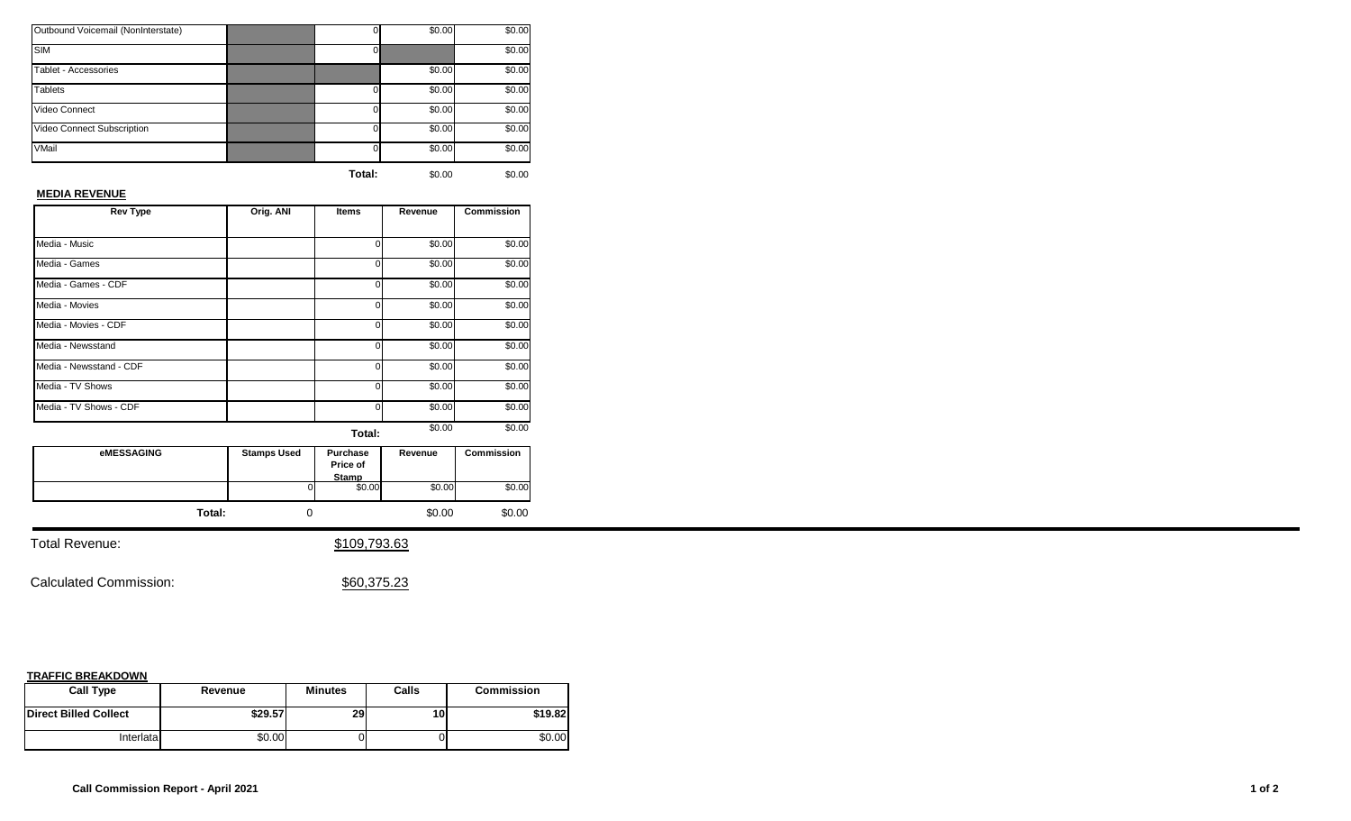| Outbound Voicemail (NonInterstate) |          | \$0.00 | \$0.00 |
|------------------------------------|----------|--------|--------|
| <b>SIM</b>                         |          |        | \$0.00 |
| Tablet - Accessories               |          | \$0.00 | \$0.00 |
| <b>Tablets</b>                     | $\Omega$ | \$0.00 | \$0.00 |
| Video Connect                      | $\Omega$ | \$0.00 | \$0.00 |
| Video Connect Subscription         | 0        | \$0.00 | \$0.00 |
| VMail                              | 0        | \$0.00 | \$0.00 |
|                                    |          |        |        |

## **MEDIA REVENUE**

| <b>Rev Type</b>         | Orig. ANI | <b>Items</b> | Revenue | <b>Commission</b> |
|-------------------------|-----------|--------------|---------|-------------------|
|                         |           |              |         |                   |
| Media - Music           |           | ი            | \$0.00  | \$0.00            |
| Media - Games           |           | 0            | \$0.00  | \$0.00            |
| Media - Games - CDF     |           | o            | \$0.00  | \$0.00            |
| Media - Movies          |           | 0            | \$0.00  | \$0.00            |
| Media - Movies - CDF    |           | U            | \$0.00  | \$0.00            |
| Media - Newsstand       |           | 0            | \$0.00  | \$0.00            |
| Media - Newsstand - CDF |           | U            | \$0.00  | \$0.00            |
| Media - TV Shows        |           | U            | \$0.00  | \$0.00            |
| Media - TV Shows - CDF  |           | U            | \$0.00  | \$0.00            |
|                         |           | Total:       | \$0.00  | \$0.00            |

**eMESSAGING Stamps Used Purchase Price of Stamp**<br>
0 \$0.00 \$0.00 \$0.00 \$0.00 **Revenue Commission Total:** 0 \$0.00 \$0.00

Total Revenue:  $$109,793.63$ 

Calculated Commission:  $$60,375.23$ 

| <b>Call Type</b>             | Revenue | <b>Minutes</b> | Calls           | <b>Commission</b> |
|------------------------------|---------|----------------|-----------------|-------------------|
| <b>Direct Billed Collect</b> | \$29.57 | 29             | 10 <sub>1</sub> | \$19.82           |
| Interlatal                   | \$0.00  |                |                 | \$0.00            |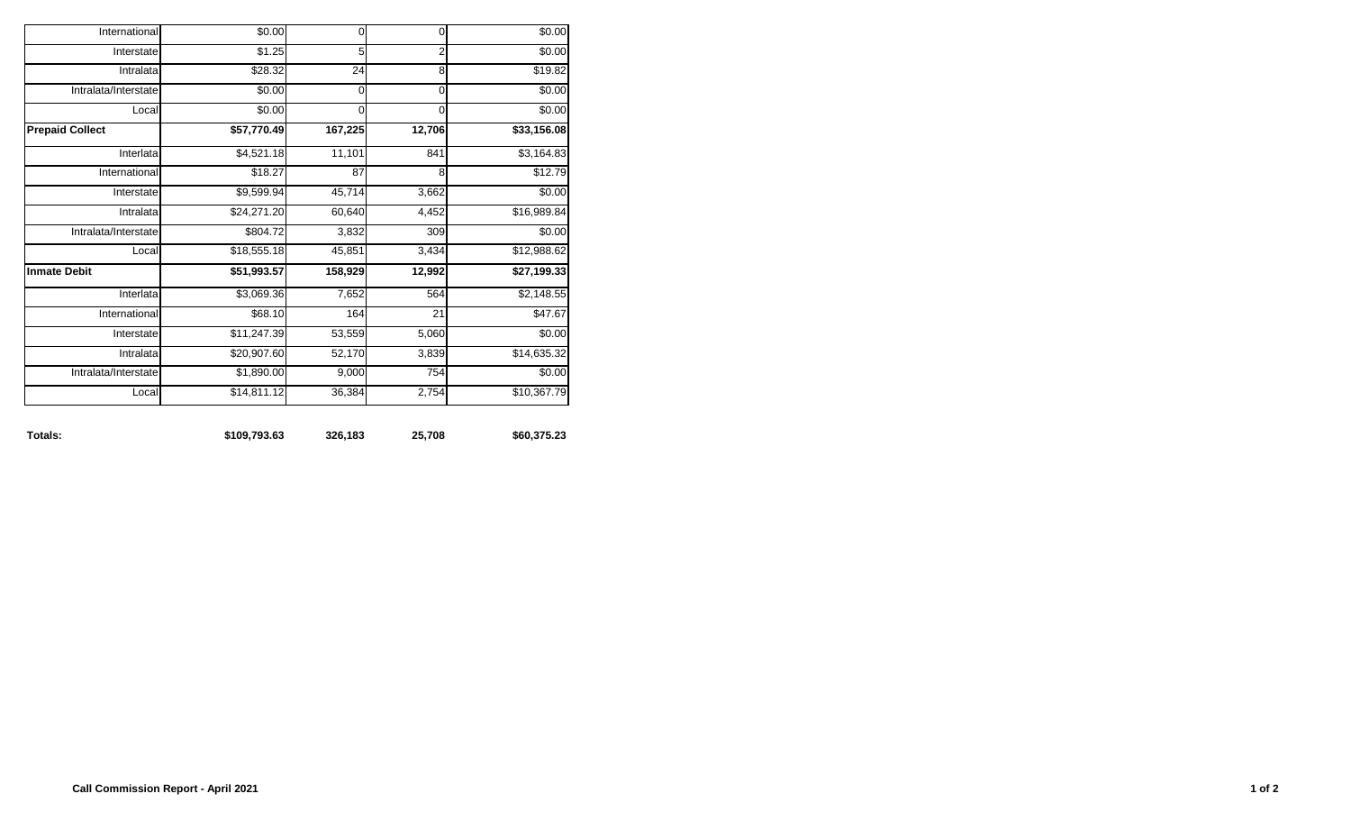| International          | \$0.00      | 0           | 0              | \$0.00                  |
|------------------------|-------------|-------------|----------------|-------------------------|
| Interstate             | \$1.25      | 5           | $\overline{2}$ | \$0.00                  |
| Intralata              | \$28.32     | 24          | 8              | \$19.82                 |
| Intralata/Interstate   | \$0.00      | 0           | 0              | \$0.00                  |
| Local                  | \$0.00      | $\mathbf 0$ | 0              | \$0.00                  |
| <b>Prepaid Collect</b> | \$57,770.49 | 167,225     | 12,706         | $\overline{$33,156.08}$ |
| Interlata              | \$4,521.18  | 11,101      | 841            | \$3,164.83              |
| International          | \$18.27     | 87          | 8              | \$12.79                 |
| Interstate             | \$9,599.94  | 45,714      | 3,662          | \$0.00                  |
| Intralata              | \$24,271.20 | 60,640      | 4,452          | \$16,989.84             |
| Intralata/Interstate   | \$804.72    | 3,832       | 309            | \$0.00                  |
| Local                  | \$18,555.18 | 45,851      | 3,434          | \$12,988.62             |
| <b>Inmate Debit</b>    | \$51,993.57 | 158,929     | 12,992         | \$27,199.33             |
| Interlata              | \$3,069.36  | 7,652       | 564            | \$2,148.55              |
| International          | \$68.10     | 164         | 21             | \$47.67                 |
| Interstate             | \$11,247.39 | 53,559      | 5,060          | \$0.00                  |
| Intralata              | \$20,907.60 | 52,170      | 3,839          | \$14,635.32             |
| Intralata/Interstate   | \$1,890.00  | 9,000       | 754            | \$0.00                  |
| Local                  | \$14,811.12 | 36,384      | 2,754          | \$10,367.79             |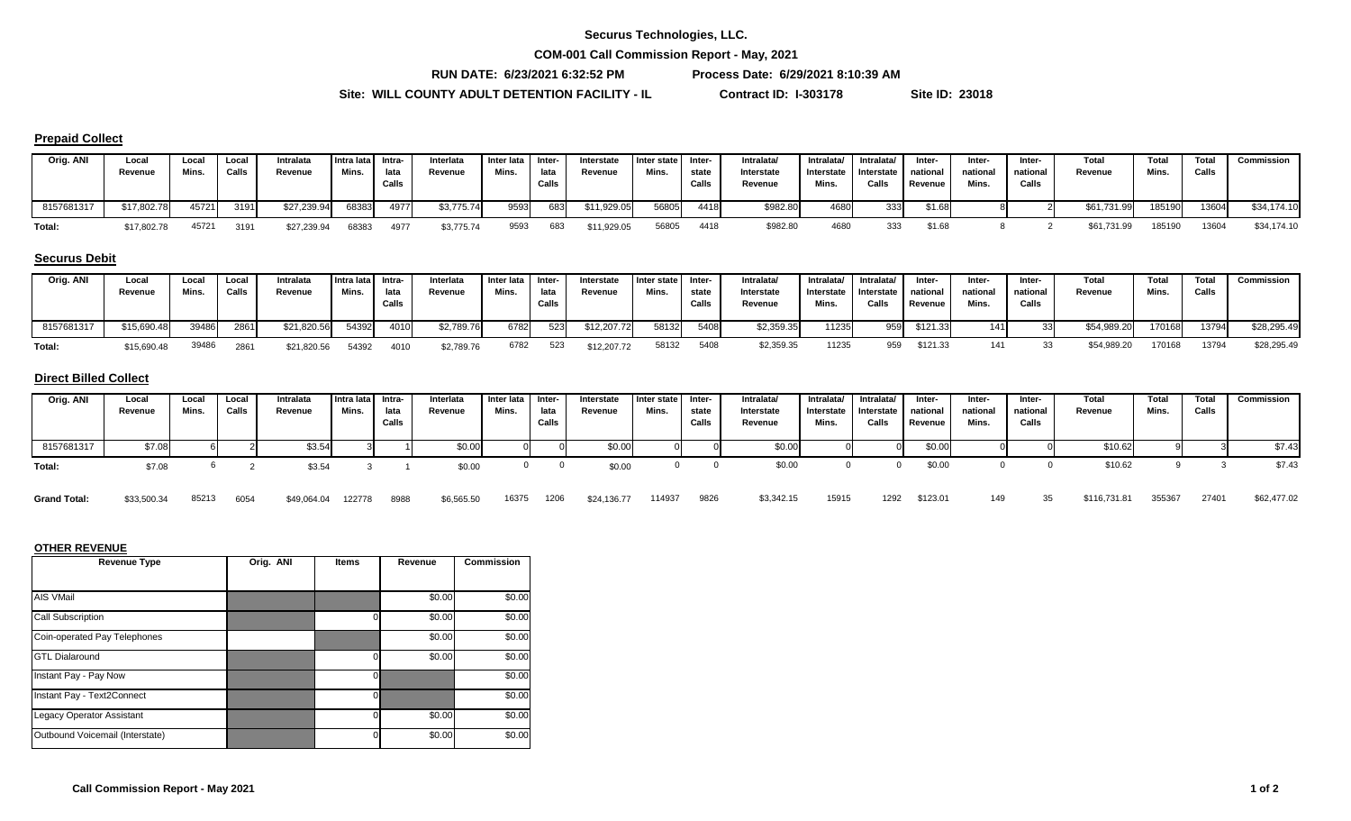**COM-001 Call Commission Report - May, 2021**

**RUN DATE: 6/23/2021 6:32:52 PM Process Date: 6/29/2021 8:10:39 AM**

**Site: WILL COUNTY ADULT DETENTION FACILITY - IL Contract ID: I-303178 Site ID: 23018**

#### **Prepaid Collect**

| Orig. ANI  | Local<br>Revenue | Loca<br>Mins. | Local<br>Calls | Intralata<br>Revenue | Intra lata Intra-<br>Mins. | lata<br>Calls | Interlata<br>Revenue | Inter lata<br>Mins. | Inter-<br>lata<br>Calls | Interstate<br>Revenue | I Inter state<br>Mins. | - Inter<br>state<br>Calls | <b>Intralata</b><br>Interstate<br>Revenue | Intralata/<br>Interstate<br>Mins. | Intralata/<br>Interstate national<br>Calls | Inter-<br>Revenue | Inter-<br>national<br>Mins. | Inter-<br>national<br>Calls | Total<br>Revenue | Total<br>Mins | Total<br>Calls | Commission  |
|------------|------------------|---------------|----------------|----------------------|----------------------------|---------------|----------------------|---------------------|-------------------------|-----------------------|------------------------|---------------------------|-------------------------------------------|-----------------------------------|--------------------------------------------|-------------------|-----------------------------|-----------------------------|------------------|---------------|----------------|-------------|
| 8157681317 | \$17,802.78      | 45721         | 3191           | \$27,239.94          | 68383                      | 4977          | \$3,775.74           | 9593                | 683                     | \$11,929.05           | 56805                  | 4418                      | \$982.80                                  | 4680                              | 333                                        | \$1.68            |                             |                             | \$61,731.99      | 185190        | 13604          | \$34,174.10 |
| Total:     | \$17,802.78      | 45721         | 3191           | \$27,239.94          | 68383                      | 4977          | \$3,775.74           | 9593                | 683                     | \$11,929.05           | 56805                  | 4418                      | \$982.80                                  | 4680                              | 333                                        | \$1.68            |                             |                             | \$61,731.99      | 185190        | 13604          | \$34,174.10 |

#### **Securus Debit**

| Orig. ANI  | Local<br>Revenue | Loca<br>Mins. | Local<br>Calls | Intralata<br>Revenue | Intra lata Intra-<br>Mins. | lata<br>Calls | Interlata<br>Revenue | Inter lata<br>Mins. | Inter-<br>lata<br>Calls | Interstate<br>Revenue | I Inter state<br>Mins. | -Inter<br>state<br>Calls | Intralata/<br>Interstate<br>Revenue | Intralata/<br>Interstate<br>Mins. | Intralata/<br>Interstate<br>Calls | Inter-<br>national<br>Revenue | Inter-<br>national<br>Mins. | Inter-<br>national<br>Calls | Total<br>Revenue | Total<br>Mins. | <b>Total</b><br>Calls | Commission  |
|------------|------------------|---------------|----------------|----------------------|----------------------------|---------------|----------------------|---------------------|-------------------------|-----------------------|------------------------|--------------------------|-------------------------------------|-----------------------------------|-----------------------------------|-------------------------------|-----------------------------|-----------------------------|------------------|----------------|-----------------------|-------------|
| 8157681317 | \$15,690.48      | 39486         | 2861           | \$21,820.56          | 54392                      | 4010          | \$2,789.76           | 6782                | 523                     | \$12,207.72           | 58132                  | 5408                     | \$2,359.35                          | 11235                             | 959                               | \$121.33                      | 141I                        |                             | \$54.989.20      | 170168         | 13794                 | \$28,295.49 |
| Total:     | \$15,690.48      | 39486         | 2861           | \$21,820.56          | 54392                      | 4010          | \$2,789.76           | 6782                | 523                     | \$12,207.72           | 58132                  | 5408                     | \$2,359.35                          | 11235                             | 959                               | \$121.33                      | 111                         |                             | \$54,989.20      | 170168         | 13794                 | \$28,295.49 |

#### **Direct Billed Collect**

| Orig. ANI  | Local<br>Revenue | Local<br>Mins. | Local<br>Calls | Intralata<br>Revenue | Intra lata Intra-<br>Mins. | lata<br>Calls | Interlata<br>Revenue | Inter lata<br>Mins. | Inter-<br>lata<br>Calls | Interstate<br>Revenue | Inter state<br>Mins. | -Inter<br>state<br>Calls | Intralata/<br>Interstate<br>Revenue | Intralata/<br>Interstate<br>Mins. | Intralata/<br>Interstate<br>Calls | Inter-<br>national<br>Revenue | Inter-<br>national<br>Mins. | Inter-<br>national<br>Calls | <b>Total</b><br>Revenue | Total<br>Mins. | Total<br>Calls | Commission |
|------------|------------------|----------------|----------------|----------------------|----------------------------|---------------|----------------------|---------------------|-------------------------|-----------------------|----------------------|--------------------------|-------------------------------------|-----------------------------------|-----------------------------------|-------------------------------|-----------------------------|-----------------------------|-------------------------|----------------|----------------|------------|
| 8157681317 | \$7.08           |                |                | \$3.54               |                            |               | \$0.00               |                     |                         | \$0.00                |                      |                          | \$0.00                              |                                   |                                   | \$0.00                        |                             |                             | \$10.62                 |                |                | \$7.43     |
| Total:     | \$7.08           |                |                | \$3.54               |                            |               | \$0.00               |                     |                         | \$0.00                |                      |                          | \$0.00                              |                                   |                                   | \$0.00                        |                             |                             | \$10.62                 |                |                | \$7.43     |

#### 85213 6054 \$49,064.04 122778 8988 \$6,565.50 16375 1206 \$24,136.77 114937 9826 \$3,342.15 15915 1292 \$123.01 149 35 \$116,731.81 355367 27401 \$62,477.02 \$6,565.50 16375 1206 \$24,136.77 114937 **Grand Total:** \$33,500.34 6054 \$49,064.04 122778 8988

| <b>Revenue Type</b>              | Orig. ANI | <b>Items</b> | Revenue | <b>Commission</b> |
|----------------------------------|-----------|--------------|---------|-------------------|
|                                  |           |              |         |                   |
| AIS VMail                        |           |              | \$0.00  | \$0.00            |
| Call Subscription                |           |              | \$0.00  | \$0.00            |
| Coin-operated Pay Telephones     |           |              | \$0.00  | \$0.00            |
| <b>GTL Dialaround</b>            |           |              | \$0.00  | \$0.00            |
| Instant Pay - Pay Now            |           | 0            |         | \$0.00            |
| Instant Pay - Text2Connect       |           | $\mathbf 0$  |         | \$0.00            |
| <b>Legacy Operator Assistant</b> |           |              | \$0.00  | \$0.00            |
| Outbound Voicemail (Interstate)  |           |              | \$0.00  | \$0.00            |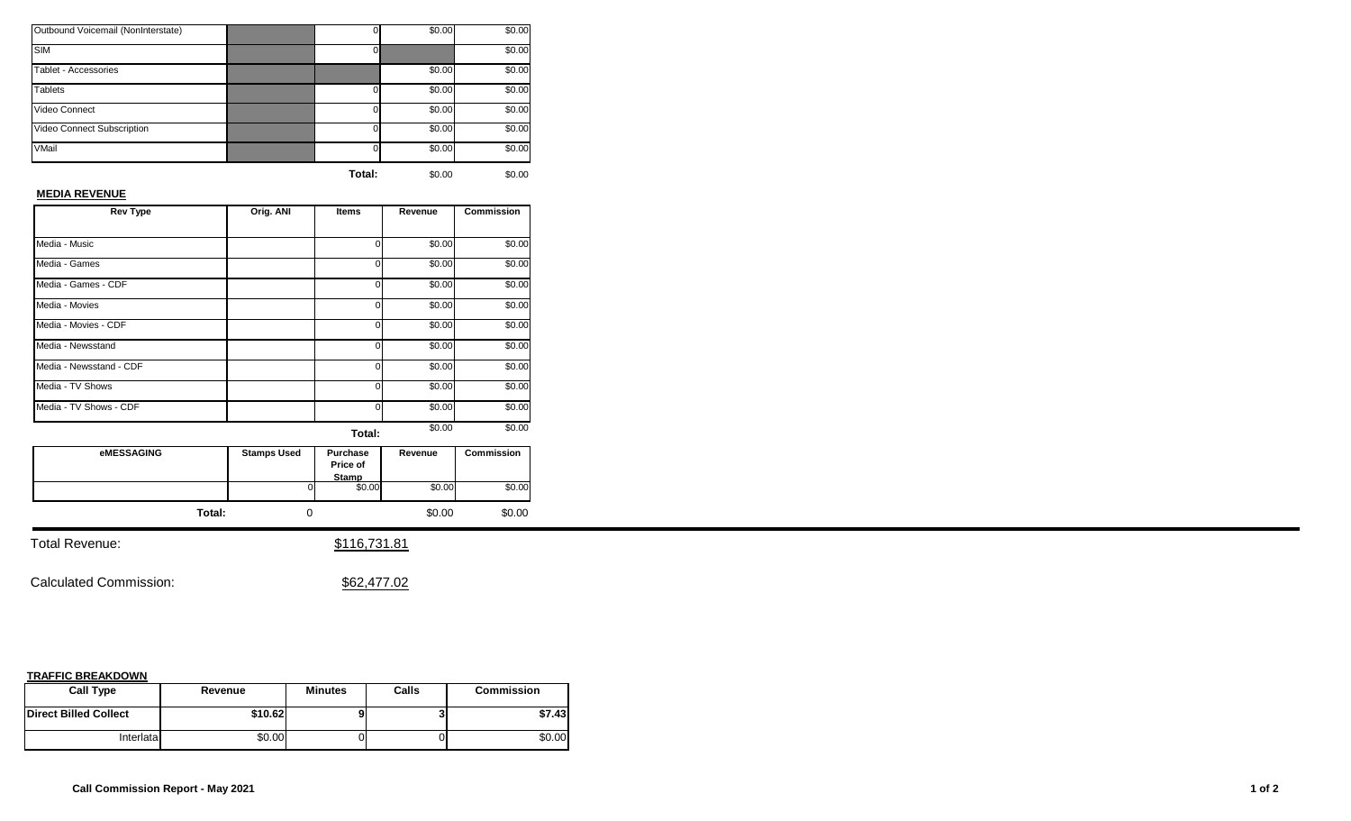| Outbound Voicemail (NonInterstate) |          | \$0.00 | \$0.00 |
|------------------------------------|----------|--------|--------|
| <b>SIM</b>                         |          |        | \$0.00 |
| Tablet - Accessories               |          | \$0.00 | \$0.00 |
| <b>Tablets</b>                     | $\Omega$ | \$0.00 | \$0.00 |
| Video Connect                      | $\Omega$ | \$0.00 | \$0.00 |
| Video Connect Subscription         | $\Omega$ | \$0.00 | \$0.00 |
| VMail                              | $\Omega$ | \$0.00 | \$0.00 |
|                                    |          |        |        |

## **MEDIA REVENUE**

| <b>Rev Type</b>         | Orig. ANI | <b>Items</b> | Revenue | <b>Commission</b> |
|-------------------------|-----------|--------------|---------|-------------------|
|                         |           |              |         |                   |
| Media - Music           |           | ი            | \$0.00  | \$0.00            |
| Media - Games           |           | 0            | \$0.00  | \$0.00            |
| Media - Games - CDF     |           | o            | \$0.00  | \$0.00            |
| Media - Movies          |           | 0            | \$0.00  | \$0.00            |
| Media - Movies - CDF    |           | U            | \$0.00  | \$0.00            |
| Media - Newsstand       |           | 0            | \$0.00  | \$0.00            |
| Media - Newsstand - CDF |           | U            | \$0.00  | \$0.00            |
| Media - TV Shows        |           | U            | \$0.00  | \$0.00            |
| Media - TV Shows - CDF  |           | U            | \$0.00  | \$0.00            |
|                         |           | Total:       | \$0.00  | \$0.00            |

| eMESSAGING | <b>Stamps Used</b> | <b>Purchase</b><br>Price of<br>Stamp | Revenue | <b>Commission</b> |
|------------|--------------------|--------------------------------------|---------|-------------------|
|            | ΩI                 | \$0.00                               | \$0.00  | \$0.00            |
| Total:     |                    |                                      | \$0.00  | \$0.00            |

Total Revenue:  $$116,731.81$ 

Calculated Commission:  $$62,477.02$ 

| <b>Call Type</b>             | Revenue | <b>Minutes</b> | Calls | <b>Commission</b> |
|------------------------------|---------|----------------|-------|-------------------|
| <b>Direct Billed Collect</b> | \$10.62 |                |       | \$7.43            |
| Interlatal                   | \$0.00  |                |       | \$0.00            |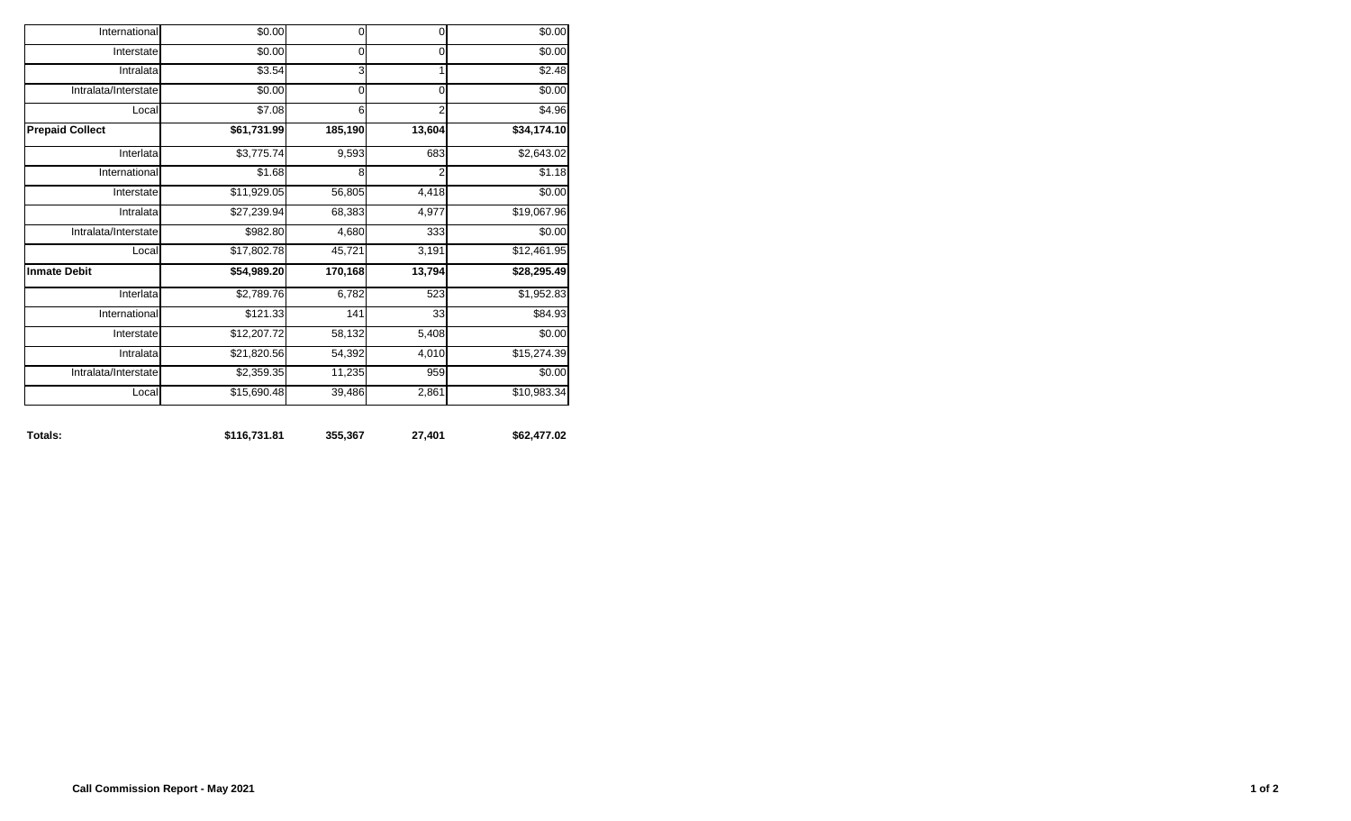| Totals:                | \$116,731.81 | 355,367     | 27,401         | \$62,477.02 |
|------------------------|--------------|-------------|----------------|-------------|
| Local                  | \$15,690.48  | 39,486      | 2,861          | \$10,983.34 |
| Intralata/Interstate   | \$2,359.35   | 11,235      | 959            | \$0.00      |
| Intralata              | \$21,820.56  | 54,392      | 4,010          | \$15,274.39 |
| Interstate             | \$12,207.72  | 58,132      | 5,408          | \$0.00      |
| International          | \$121.33     | 141         | 33             | \$84.93     |
| Interlata              | \$2,789.76   | 6,782       | 523            | \$1,952.83  |
| <b>Inmate Debit</b>    | \$54,989.20  | 170,168     | 13,794         | \$28,295.49 |
| Local                  | \$17,802.78  | 45,721      | 3,191          | \$12,461.95 |
| Intralata/Interstate   | \$982.80     | 4,680       | 333            | \$0.00      |
| Intralata              | \$27,239.94  | 68,383      | 4,977          | \$19,067.96 |
| Interstate             | \$11,929.05  | 56,805      | 4,418          | \$0.00      |
| International          | \$1.68       | 8           | 2              | \$1.18      |
| Interlata              | \$3,775.74   | 9,593       | 683            | \$2,643.02  |
| <b>Prepaid Collect</b> | \$61,731.99  | 185,190     | 13,604         | \$34,174.10 |
| Local                  | \$7.08       | 6           | $\overline{2}$ | \$4.96      |
| Intralata/Interstate   | \$0.00       | $\mathbf 0$ | $\mathbf 0$    | \$0.00      |
| Intralata              | \$3.54       | 3           | 1              | \$2.48      |
| Interstate             | \$0.00       | 0           | $\mathbf 0$    | \$0.00      |
| International          | \$0.00       | $\pmb{0}$   | $\mathbf 0$    | \$0.00      |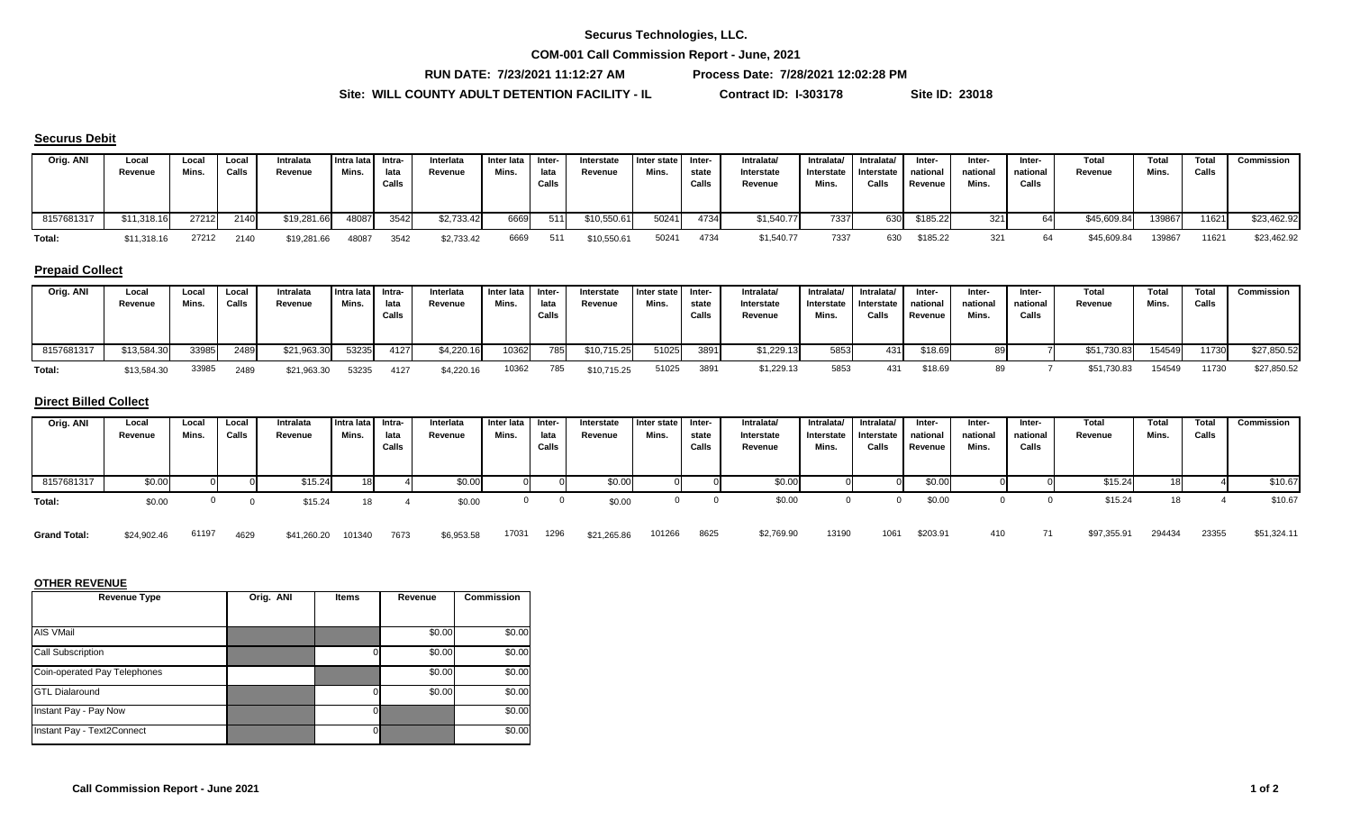**COM-001 Call Commission Report - June, 2021**

**RUN DATE: 7/23/2021 11:12:27 AM Process Date: 7/28/2021 12:02:28 PM**

**Site: WILL COUNTY ADULT DETENTION FACILITY - IL Contract ID: I-303178 Site ID: 23018**

# **Securus Debit**

| Orig. ANI  | Local<br>Revenue | Loca'<br>Mins. | Local<br>Calls | Intralata<br>Revenue | Intra lata Intra-<br>Mins. | lata<br>Calls | Interlata<br>Revenue | Inter lata Inter-<br>Mins. | lata<br>Calls | Interstate<br>Revenue | I Inter state I<br>Mins. | <b>Inter-</b><br>state<br>Calls | Intralata/<br>Interstate<br>Revenue | Intralata/<br>Interstate<br>Mins. | Intralata/<br>Interstate<br>Calls | Inter-<br>national<br>Revenue | Inter-<br>national<br>Mins. | Inter-<br>national<br>Calls | Total<br>Revenue | Total<br>Mins. | Total<br>Calls | Commission  |
|------------|------------------|----------------|----------------|----------------------|----------------------------|---------------|----------------------|----------------------------|---------------|-----------------------|--------------------------|---------------------------------|-------------------------------------|-----------------------------------|-----------------------------------|-------------------------------|-----------------------------|-----------------------------|------------------|----------------|----------------|-------------|
| 8157681317 | \$11,318.16      | 27212          | 2140           | \$19,281.66          | 48087                      | 3542          | \$2,733.42           | 6669                       | 511           | \$10,550.61           | 50241                    | 4734                            | \$1,540.77                          | 7337                              | 630                               | \$185.22                      | 321                         |                             | \$45,609.84      | 1398671        | 11621          | \$23,462.92 |
| Total:     | \$11,318.16      | 27212          | 2140           | \$19,281.66          | 48087                      | 3542          | \$2,733.42           | 6669                       |               | \$10,550.61           | 50241                    | 4734                            | \$1,540.77                          | 7337                              | 630                               | \$185.22                      |                             | 64                          | \$45,609.84      | 139867         | 11621          | \$23,462.92 |

#### **Prepaid Collect**

| Orig. ANI  | Local<br>Revenue | Loca<br>Mins. | Local<br>Calls | Intralata<br>Revenue | Intra lata Intra-<br>Mins. | lata<br>Calls | Interlata<br>Revenue | Inter lata<br>Mins. | Inter-<br>lata<br>Calls | Interstate<br>Revenue | Inter state<br>Mins. | Inter-<br>state | Intralata/<br>Interstate<br>Revenue | Intralata/<br>Interstate<br>Mins. | Intralata'<br>Interstate  <br>Calls | Inter-<br>national<br>Revenue | Inter-<br>national<br>Mins. | Inter-<br>national<br>Calls | Total<br>Revenue | Total<br>Mins. | <b>Total</b><br>Calls | Commission  |
|------------|------------------|---------------|----------------|----------------------|----------------------------|---------------|----------------------|---------------------|-------------------------|-----------------------|----------------------|-----------------|-------------------------------------|-----------------------------------|-------------------------------------|-------------------------------|-----------------------------|-----------------------------|------------------|----------------|-----------------------|-------------|
| 8157681317 | \$13,584.30      | 33985         | 2489           | \$21,963.30          | 53235                      | 4127          | \$4,220.16           | 10362               | 785                     | \$10,715.25           | 51025                | 3891            | \$1,229.13                          | 5853                              | 431                                 | \$18.69                       |                             |                             | \$51,730.83      | 154549         | 11730                 | \$27,850.52 |
| Total:     | \$13,584.30      | 33985         | 2489           | \$21,963.30          | 53235                      | 4127          | \$4,220.16           | 10362               | 785                     | \$10,715.25           | 51025                | 3891            | \$1,229.13                          | 5853                              | 431                                 | \$18.69                       |                             |                             | \$51,730.83      | 154549         | 11730                 | \$27,850.52 |

#### **Direct Billed Collect**

| Orig. ANI  | Local<br>Revenue | Local<br>Mins. | Local<br>Calls | Intralata<br>Revenue | Intra lata Intra-<br>Mins. | lata<br>Calls | Interlata<br>Revenue | Inter lata Inter-<br>Mins. | lata<br>Calls | Interstate<br>Revenue | Inter state<br>Mins. | Inter-<br>state<br>Calls | Intralata/<br>Interstate<br>Revenue | Intralata/<br>Interstate<br>Mins. | Intralata/<br>Interstate<br>Calls | Inter<br>national<br>Revenue | Inter-<br>national<br>Mins. | Inter-<br>national<br>Calls | Total<br>Revenue | Total<br>Mins. | Total<br>Calls | Commission |
|------------|------------------|----------------|----------------|----------------------|----------------------------|---------------|----------------------|----------------------------|---------------|-----------------------|----------------------|--------------------------|-------------------------------------|-----------------------------------|-----------------------------------|------------------------------|-----------------------------|-----------------------------|------------------|----------------|----------------|------------|
| 8157681317 | \$0.00           |                |                | \$15.24              | 18 I                       |               | \$0.00               |                            |               | \$0.00                |                      |                          | \$0.00                              |                                   |                                   | \$0.00                       |                             |                             | \$15.24          | 181            |                | \$10.67    |
| Total:     | \$0.00           |                |                | \$15.24              |                            |               | \$0.00               |                            |               | \$0.00                |                      |                          | \$0.00                              |                                   |                                   | \$0.00                       |                             |                             | \$15.24          | 18             |                | \$10.67    |

61197 4629 \$41,260.20 101340 7673 \$6,953.58 17031 1296 \$21,265.86 101266 8625 \$2,769.90 13190 1061 \$203.91 410 71 \$97,355.91 294434 23355 \$51,324.11 4629 \$41,260.20 101340 7673 \$6,953.58 17031 1296 \$21,265.86 **Grand Total:** \$24,902.46

| <b>Revenue Type</b>          | Orig. ANI | <b>Items</b> | Revenue | <b>Commission</b> |
|------------------------------|-----------|--------------|---------|-------------------|
|                              |           |              |         |                   |
| AIS VMail                    |           |              | \$0.00  | \$0.00            |
| <b>Call Subscription</b>     |           |              | \$0.00  | \$0.00            |
| Coin-operated Pay Telephones |           |              | \$0.00  | \$0.00            |
| <b>GTL Dialaround</b>        |           |              | \$0.00  | \$0.00            |
| Instant Pay - Pay Now        |           |              |         | \$0.00            |
| Instant Pay - Text2Connect   |           |              |         | \$0.00            |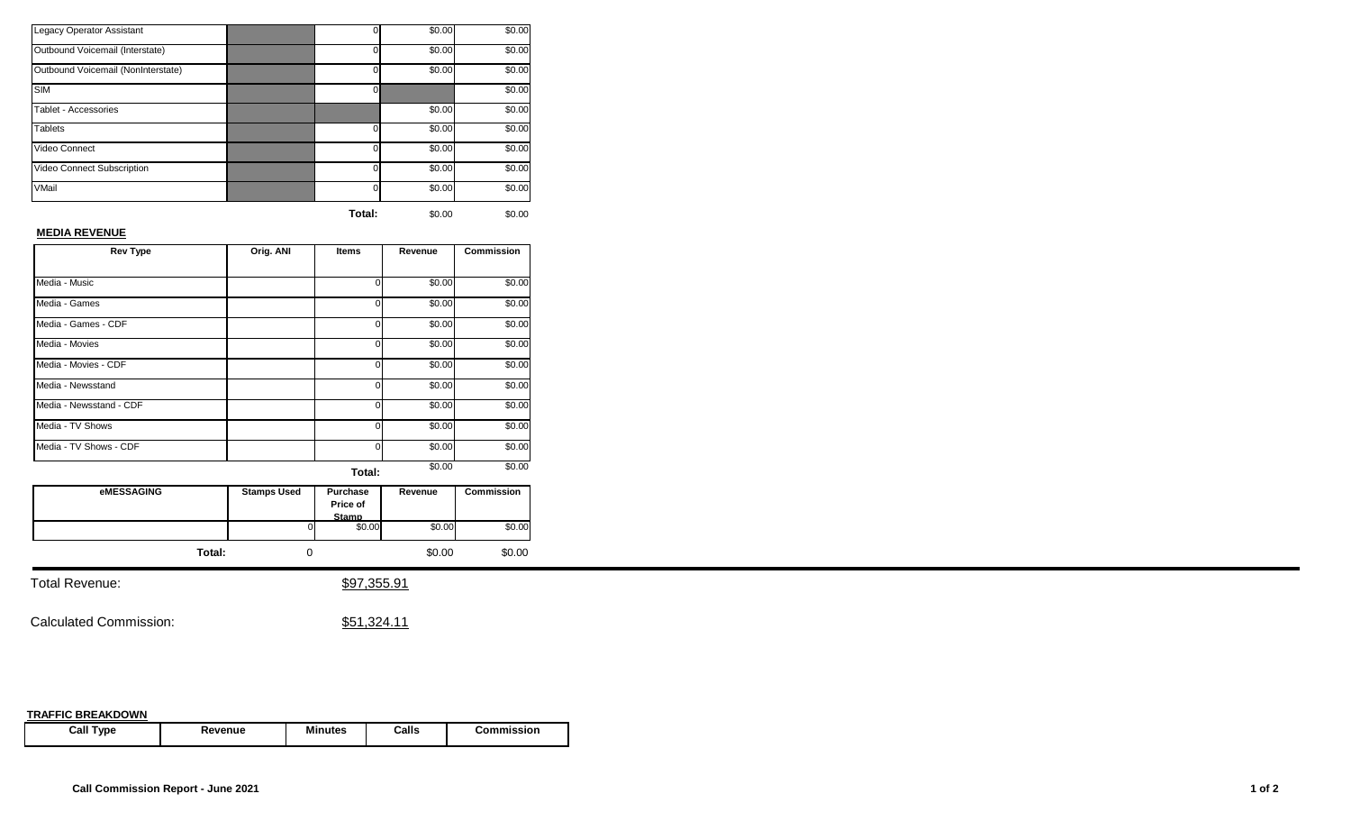|                                    | Total:   | \$0.00 | \$0.00 |
|------------------------------------|----------|--------|--------|
| VMail                              | U        | \$0.00 | \$0.00 |
| Video Connect Subscription         | O        | \$0.00 | \$0.00 |
| Video Connect                      | U        | \$0.00 | \$0.00 |
| <b>Tablets</b>                     | o        | \$0.00 | \$0.00 |
| Tablet - Accessories               |          | \$0.00 | \$0.00 |
| <b>SIM</b>                         | $\Omega$ |        | \$0.00 |
| Outbound Voicemail (NonInterstate) | U        | \$0.00 | \$0.00 |
| Outbound Voicemail (Interstate)    | O        | \$0.00 | \$0.00 |
| Legacy Operator Assistant          | 0        | \$0.00 | \$0.00 |

#### **MEDIA REVENUE**

| <b>Rev Type</b>         | Orig. ANI | Items          | Revenue | <b>Commission</b> |
|-------------------------|-----------|----------------|---------|-------------------|
|                         |           |                |         |                   |
| Media - Music           |           | 0              | \$0.00  | \$0.00            |
| Media - Games           |           | 0              | \$0.00  | \$0.00            |
| Media - Games - CDF     |           | 0              | \$0.00  | \$0.00            |
| Media - Movies          |           | 0              | \$0.00  | \$0.00            |
| Media - Movies - CDF    |           | $\overline{0}$ | \$0.00  | \$0.00            |
| Media - Newsstand       |           | 0              | \$0.00  | \$0.00            |
| Media - Newsstand - CDF |           | $\mathbf{0}$   | \$0.00  | \$0.00            |
| Media - TV Shows        |           | 0              | \$0.00  | \$0.00            |
| Media - TV Shows - CDF  |           | 0              | \$0.00  | \$0.00            |
|                         |           | Total:         | \$0.00  | \$0.00            |

| <b>eMESSAGING</b> | <b>Stamps Used</b> | Purchase<br>Price of<br><b>Stamp</b> | Revenue | <b>Commission</b> |
|-------------------|--------------------|--------------------------------------|---------|-------------------|
|                   | 0                  | \$0.00                               | \$0.00  | \$0.00            |
| Total:            |                    |                                      | \$0.00  | \$0.00            |

Total Revenue:  $$97,355.91$ 

Calculated Commission:  $$51,324.11$ 

| <b>Call Type</b> | Revenue | Minutes | Calls | Commission |
|------------------|---------|---------|-------|------------|
|------------------|---------|---------|-------|------------|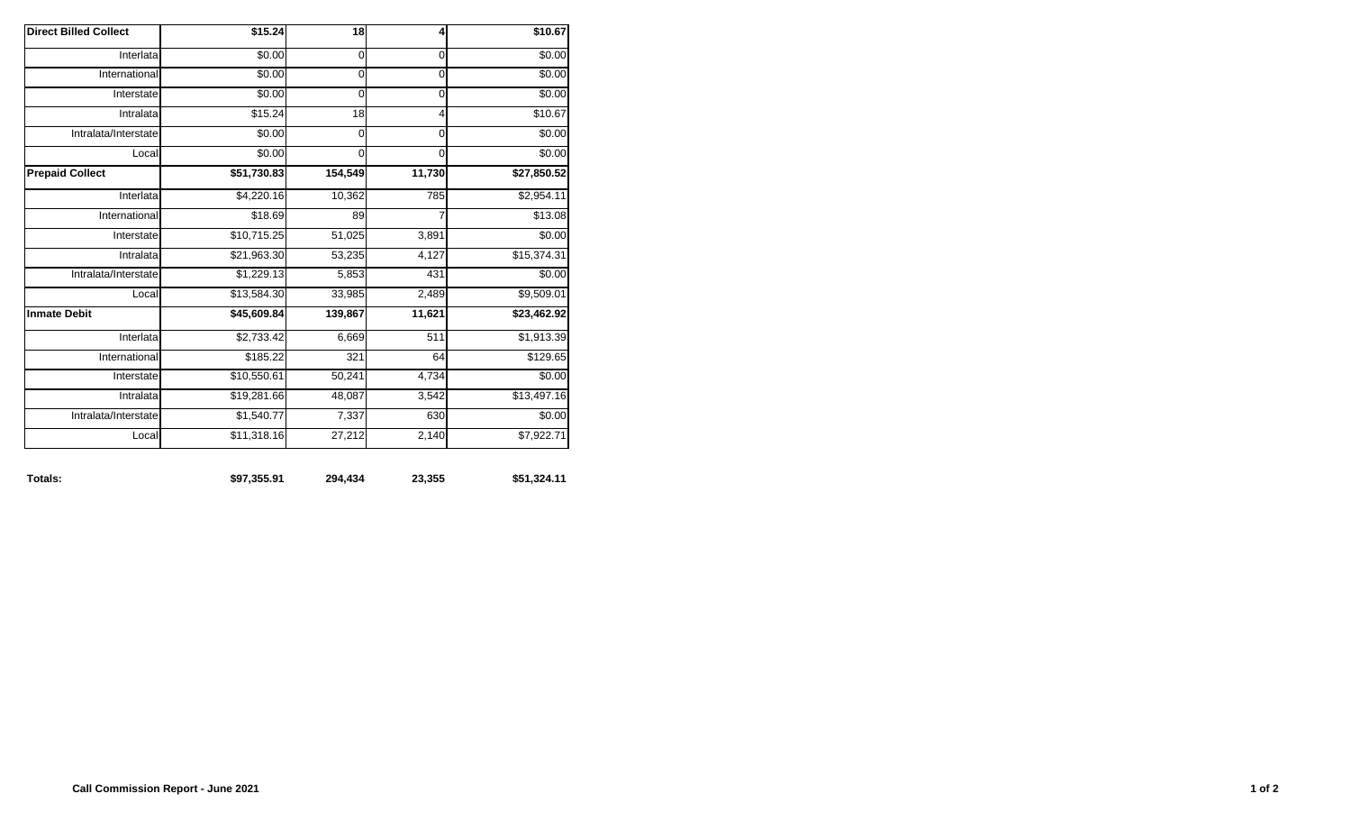| <b>Direct Billed Collect</b> | \$15.24     | $\overline{18}$ | 4           | \$10.67     |
|------------------------------|-------------|-----------------|-------------|-------------|
| Interlata                    | \$0.00      | 0               | 0           | \$0.00      |
| International                | \$0.00      | 0               | $\mathbf 0$ | \$0.00      |
| Interstate                   | \$0.00      | 0               | $\mathbf 0$ | \$0.00      |
| Intralata                    | \$15.24     | 18              | 4           | \$10.67     |
| Intralata/Interstate         | \$0.00      | 0               | 0           | \$0.00      |
| Local                        | \$0.00      | 0               | 0           | \$0.00      |
| <b>Prepaid Collect</b>       | \$51,730.83 | 154,549         | 11,730      | \$27,850.52 |
| Interlata                    | \$4,220.16  | 10,362          | 785         | \$2,954.11  |
| International                | \$18.69     | 89              | 7           | \$13.08     |
| Interstate                   | \$10,715.25 | 51,025          | 3,891       | \$0.00      |
| Intralata                    | \$21,963.30 | 53,235          | 4,127       | \$15,374.31 |
| Intralata/Interstate         | \$1,229.13  | 5,853           | 431         | \$0.00      |
| Local                        | \$13,584.30 | 33,985          | 2,489       | \$9,509.01  |
| <b>Inmate Debit</b>          | \$45,609.84 | 139,867         | 11,621      | \$23,462.92 |
| Interlata                    | \$2,733.42  | 6,669           | 511         | \$1,913.39  |
| International                | \$185.22    | 321             | 64          | \$129.65    |
| Interstate                   | \$10,550.61 | 50,241          | 4,734       | \$0.00      |
| Intralata                    | \$19,281.66 | 48,087          | 3,542       | \$13,497.16 |
| Intralata/Interstate         | \$1,540.77  | 7,337           | 630         | \$0.00      |
|                              | \$11,318.16 | 27,212          | 2,140       | \$7,922.71  |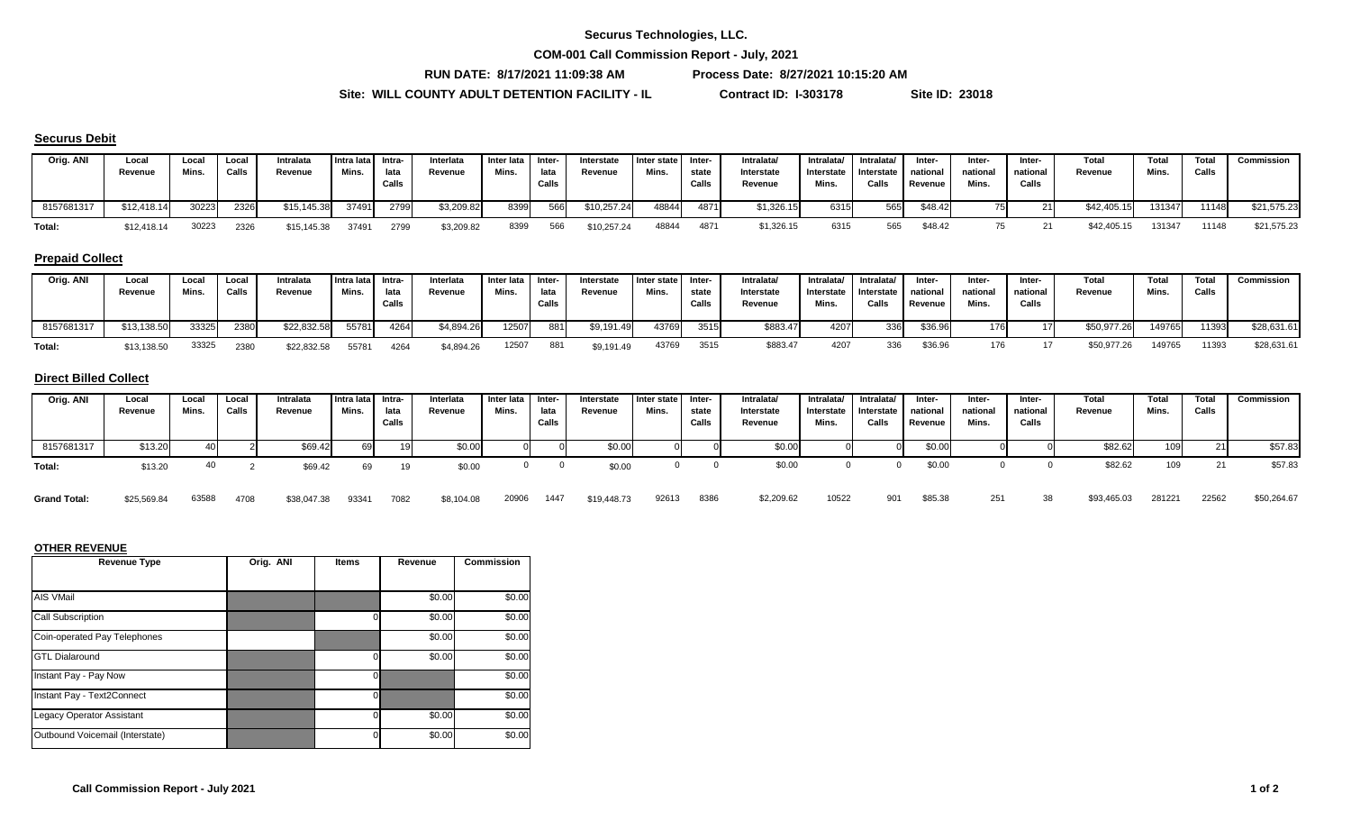**COM-001 Call Commission Report - July, 2021**

**RUN DATE: 8/17/2021 11:09:38 AM Process Date: 8/27/2021 10:15:20 AM**

**Site: WILL COUNTY ADULT DETENTION FACILITY - IL Contract ID: I-303178 Site ID: 23018**

#### **Securus Debit**

| Orig. ANI  | Local<br>Revenue | Loca<br>Mins | Local<br>Calls | Intralata<br>Revenue | llntra lata   Intra-<br>Mins. | lata<br>Calls | Interlata<br>Revenue | Inter lata<br>Mins. | - Inter<br>lata<br>Calls | Interstate<br>Revenue | I Inter state<br>Mins. | -Inter<br>state<br>Calls | Intralata/<br>Interstate<br>Revenue | Intralata/<br>Interstate<br>Mins. | Intralata/<br>Interstate national<br>Calls | Inter-<br>Revenue | Inter-<br>national<br>Mins. | <b>Inter</b><br>national<br>Calls | Total<br>Revenue | Total<br>Mins. | Total<br>Calls | Commission  |
|------------|------------------|--------------|----------------|----------------------|-------------------------------|---------------|----------------------|---------------------|--------------------------|-----------------------|------------------------|--------------------------|-------------------------------------|-----------------------------------|--------------------------------------------|-------------------|-----------------------------|-----------------------------------|------------------|----------------|----------------|-------------|
| 8157681317 | \$12,418.14      | 30223        | 2326           | \$15,145.38          | 37491                         | 2799          | \$3,209.82           | 8399                | 566                      | \$10,257.24           | 48844                  | 4871                     | \$1,326.15                          | 6315                              | 565                                        | \$48.42           |                             |                                   | \$42,405.15      | 131347         | 11148          | \$21,575.23 |
| Total:     | \$12,418.14      | 30223        | 2326           | \$15,145.38          | 37491                         | 2799          | \$3,209.82           | 8399                | 566                      | \$10,257.24           | 48844                  | 4871                     | \$1,326.15                          | 6315                              | 565                                        | \$48.42           |                             |                                   | \$42,405.15      | 131347         | 11148          | \$21,575.23 |

## **Prepaid Collect**

| Orig. ANI  | Local<br>Revenue | Loca<br>Mins. | Local<br>Calls | Intralata<br>Revenue | Intra lata Intra-<br>Mins. | lata<br>Calls | Interlata<br>Revenue | Inter lata I Inter-<br>Mins. | lata<br>Calls | Interstate<br>Revenue | I Inter state<br>Mins. | Inter-<br>state<br>Calls | Intralata/<br>Interstate<br>Revenue | Intralata/<br>Interstate<br>Mins. | Intralata/<br>I Interstate I<br>Calls | Inter-<br>national<br>Revenue | Inter-<br>national<br>Mins. | Inter-<br>national<br>Calls | Total<br>Revenue | <b>Total</b><br>Mins. | <b>Total</b><br>Calls | Commission  |
|------------|------------------|---------------|----------------|----------------------|----------------------------|---------------|----------------------|------------------------------|---------------|-----------------------|------------------------|--------------------------|-------------------------------------|-----------------------------------|---------------------------------------|-------------------------------|-----------------------------|-----------------------------|------------------|-----------------------|-----------------------|-------------|
| 8157681317 | \$13,138.50      | 33325         | 2380           | \$22,832.58          | 55781                      | 4264          | \$4,894.26           | 12507                        | 881           | \$9,191.49            | 43769                  | 3515                     | \$883.47                            | 4207                              | 336                                   | \$36.96                       | <b>76</b>                   |                             | \$50,977.26      | 149765                | 11393                 | \$28,631.61 |
| Total:     | \$13,138.50      | 33325         | 2380           | \$22,832.58          | 5578                       |               | \$4,894.26           | 12507                        | 881           | \$9,191.49            | 43769                  | 3515                     | \$883.47                            | 4207                              |                                       | \$36.96                       |                             |                             | \$50,977.26      | 149765                | 11393                 | \$28,631.61 |

#### **Direct Billed Collect**

| Orig. ANI           | Local<br>Revenue | Local<br>Mins. | Local<br>Calls | Intralata<br>Revenue | Intra lata Intra-<br>Mins. | lata<br>Calls | Interlata<br>Revenue | Inter lata<br>Mins. | Inter-<br>lata<br>Calls | Interstate<br>Revenue | Inter state<br>Mins. | Inter-<br>state<br><b>Calls</b> | Intralata/<br>Interstate<br>Revenue | Intralata/<br>Interstate<br>Mins. | Intralata/<br>Interstate<br>Calls | Inter-<br>national<br>Revenue | Inter-<br>national<br>Mins. | Inter-<br>national<br>Calls | Total<br>Revenue | Total<br>Mins. | Total<br>Calls | Commission  |
|---------------------|------------------|----------------|----------------|----------------------|----------------------------|---------------|----------------------|---------------------|-------------------------|-----------------------|----------------------|---------------------------------|-------------------------------------|-----------------------------------|-----------------------------------|-------------------------------|-----------------------------|-----------------------------|------------------|----------------|----------------|-------------|
| 8157681317          | \$13.20          | 40             |                | \$69.42              | 69                         |               | \$0.00               |                     |                         | \$0.00                |                      |                                 | \$0.0                               |                                   |                                   | \$0.00                        |                             |                             | \$82.62          |                | 21             | \$57.83     |
| Total:              | \$13.20          | 40             |                | \$69.42              | 69                         |               | \$0.00               |                     |                         | \$0.00                |                      |                                 | \$0.00                              |                                   |                                   | \$0.00                        |                             |                             | \$82.62          | 109            | 21             | \$57.83     |
| <b>Grand Total:</b> | \$25,569.84      | 63588          | 4708           | \$38,047.38          | 9334'                      | 7082          | \$8,104.08           | 20906               | 1447                    | \$19,448.73           | 92613                | 8386                            | \$2,209.62                          | 10522                             | 901                               | \$85.38                       | 251                         | 38                          | \$93,465.03      | 28122          | 22562          | \$50,264.67 |

 $\mathsf{Grand \,\,Total}$ : \$25,569.84 63588 4708 \$38,047.38 93341 7082 \$8,104.08 20906 1447 \$19,448.73 92613 8386 \$2,209.62 10522 901 \$85.38 251 38 \$93,465.03 281221 22562 \$50,264.67

| <b>Revenue Type</b>              | Orig. ANI | <b>Items</b> | Revenue | <b>Commission</b> |
|----------------------------------|-----------|--------------|---------|-------------------|
|                                  |           |              |         |                   |
| AIS VMail                        |           |              | \$0.00  | \$0.00            |
| Call Subscription                |           |              | \$0.00  | \$0.00            |
| Coin-operated Pay Telephones     |           |              | \$0.00  | \$0.00            |
| <b>GTL Dialaround</b>            |           |              | \$0.00  | \$0.00            |
| Instant Pay - Pay Now            |           | 0            |         | \$0.00            |
| Instant Pay - Text2Connect       |           | $\Omega$     |         | \$0.00            |
| <b>Legacy Operator Assistant</b> |           |              | \$0.00  | \$0.00            |
| Outbound Voicemail (Interstate)  |           | ი            | \$0.00  | \$0.00            |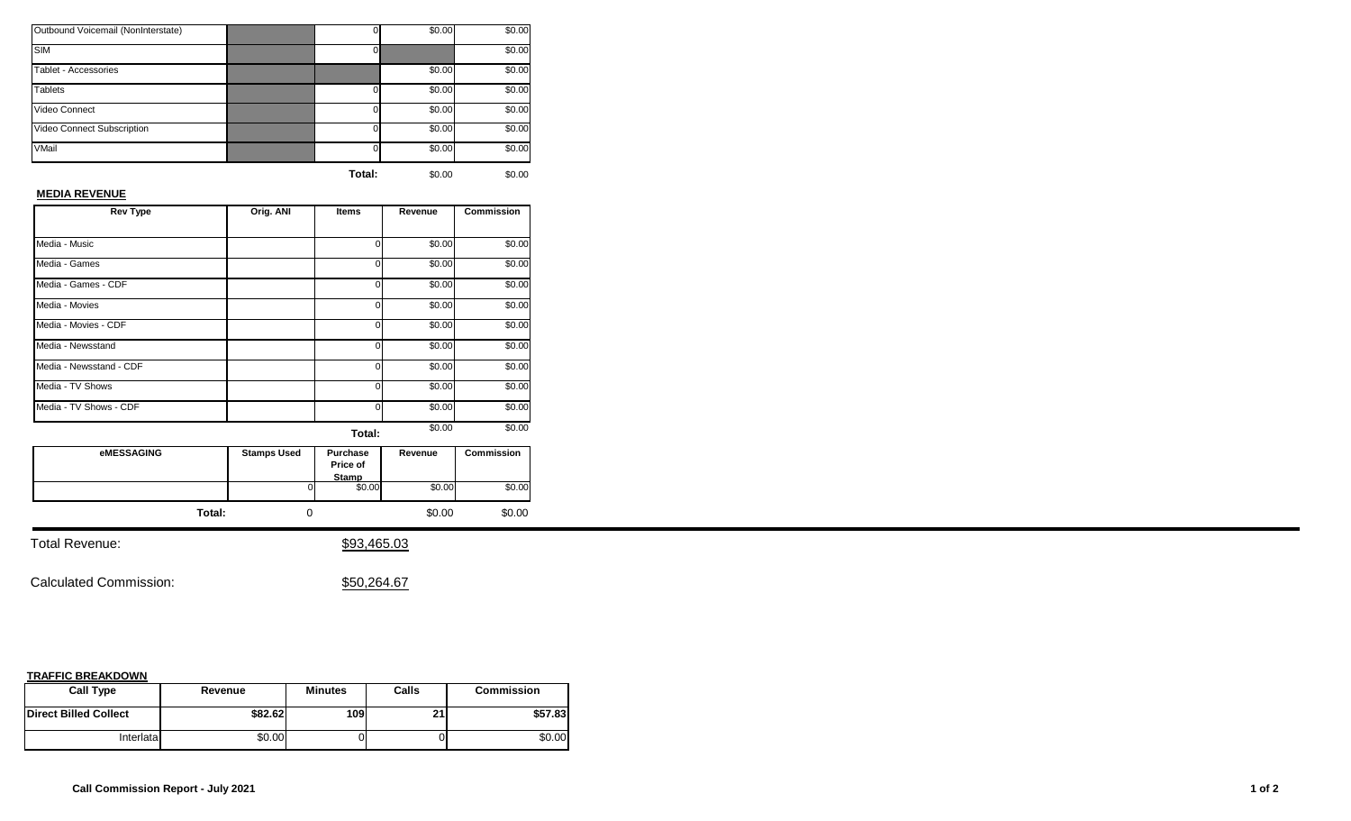| Outbound Voicemail (NonInterstate) |          | \$0.00 | \$0.00 |
|------------------------------------|----------|--------|--------|
| <b>SIM</b>                         |          |        | \$0.00 |
| Tablet - Accessories               |          | \$0.00 | \$0.00 |
| <b>Tablets</b>                     | $\Omega$ | \$0.00 | \$0.00 |
| Video Connect                      | $\Omega$ | \$0.00 | \$0.00 |
| Video Connect Subscription         | 0        | \$0.00 | \$0.00 |
| VMail                              | 0        | \$0.00 | \$0.00 |
|                                    |          |        |        |

## **MEDIA REVENUE**

| <b>Rev Type</b>         | Orig. ANI | Items  | Revenue | <b>Commission</b> |  |  |
|-------------------------|-----------|--------|---------|-------------------|--|--|
|                         |           |        |         |                   |  |  |
| Media - Music           |           | ი      | \$0.00  | \$0.00            |  |  |
| Media - Games           |           | 0      | \$0.00  | \$0.00            |  |  |
| Media - Games - CDF     |           | U      | \$0.00  | \$0.00            |  |  |
| Media - Movies          |           | 0      | \$0.00  | \$0.00            |  |  |
| Media - Movies - CDF    |           | U      | \$0.00  | \$0.00            |  |  |
| Media - Newsstand       |           | U      | \$0.00  | \$0.00            |  |  |
| Media - Newsstand - CDF |           | U      | \$0.00  | \$0.00            |  |  |
| Media - TV Shows        |           | U      | \$0.00  | \$0.00            |  |  |
| Media - TV Shows - CDF  |           | U      | \$0.00  | \$0.00            |  |  |
|                         |           | Total: | \$0.00  | \$0.00            |  |  |

| <b>eMESSAGING</b> | <b>Stamps Used</b> | Purchase<br>Price of<br>Stamp | Revenue | <b>Commission</b> |
|-------------------|--------------------|-------------------------------|---------|-------------------|
|                   | ΩI                 | \$0.00                        | \$0.00  | \$0.00            |
| Total:            |                    |                               | \$0.00  | \$0.00            |

Total Revenue:  $$93,465.03$ 

Calculated Commission:  $$50,264.67$ 

| <b>Call Type</b>             | Revenue | <b>Minutes</b> | Calls | <b>Commission</b> |
|------------------------------|---------|----------------|-------|-------------------|
| <b>Direct Billed Collect</b> | \$82.62 | 109l           | 94    | \$57.83           |
| Interlatal                   | \$0.00  |                |       | \$0.00            |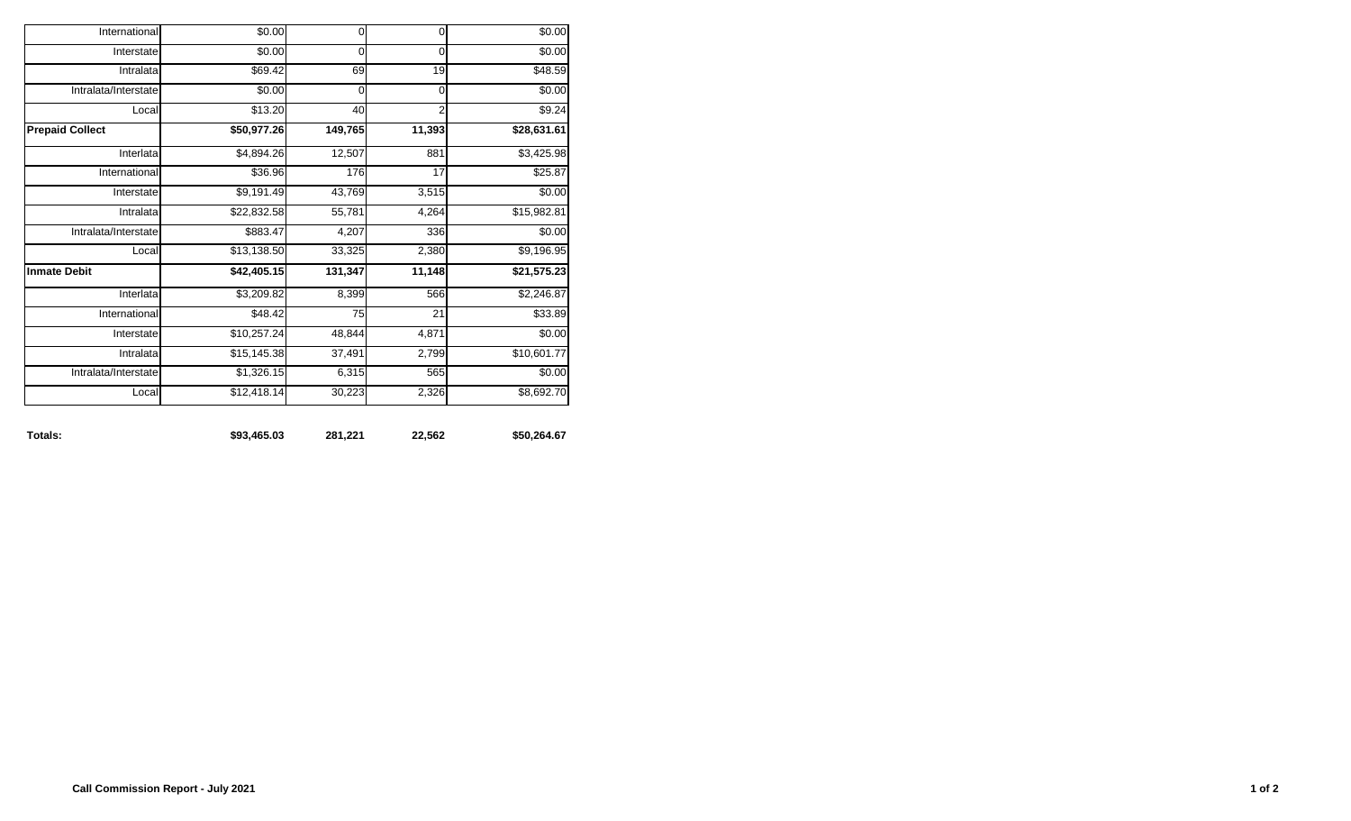| Totals:                | \$93,465.03 | 281,221 | 22,562         | \$50,264.67 |
|------------------------|-------------|---------|----------------|-------------|
| Local                  | \$12,418.14 | 30,223  | 2,326          | \$8,692.70  |
| Intralata/Interstate   | \$1,326.15  | 6,315   | 565            | \$0.00      |
| Intralata              | \$15,145.38 | 37,491  | 2,799          | \$10,601.77 |
| Interstate             | \$10,257.24 | 48,844  | 4,871          | \$0.00      |
| International          | \$48.42     | 75      | 21             | \$33.89     |
| Interlata              | \$3,209.82  | 8,399   | 566            | \$2,246.87  |
| <b>Inmate Debit</b>    | \$42,405.15 | 131,347 | 11,148         | \$21,575.23 |
| Local                  | \$13,138.50 | 33,325  | 2,380          | \$9,196.95  |
| Intralata/Interstate   | \$883.47    | 4,207   | 336            | \$0.00      |
| Intralata              | \$22,832.58 | 55,781  | 4,264          | \$15,982.81 |
| Interstate             | \$9,191.49  | 43,769  | 3,515          | \$0.00      |
| International          | \$36.96     | 176     | 17             | \$25.87     |
| Interlata              | \$4,894.26  | 12,507  | 881            | \$3,425.98  |
| <b>Prepaid Collect</b> | \$50,977.26 | 149,765 | 11,393         | \$28,631.61 |
| Local                  | \$13.20     | 40      | $\overline{2}$ | \$9.24      |
| Intralata/Interstate   | \$0.00      | 0       | 0              | \$0.00      |
| Intralata              | \$69.42     | 69      | 19             | \$48.59     |
| Interstate             | \$0.00      | 0       | $\mathbf 0$    | \$0.00      |
| International          | \$0.00      | 0       | 0              | \$0.00      |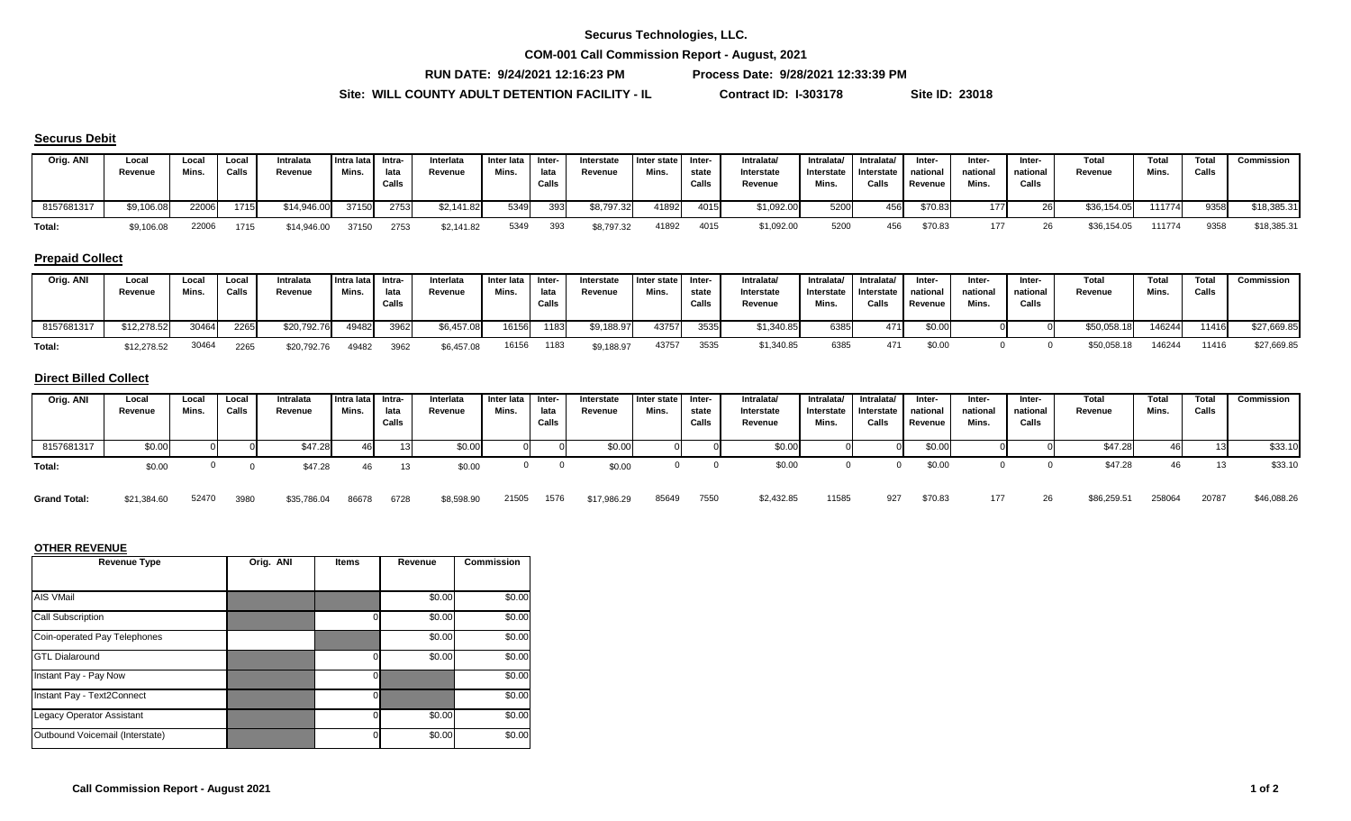**COM-001 Call Commission Report - August, 2021**

**RUN DATE: 9/24/2021 12:16:23 PM Process Date: 9/28/2021 12:33:39 PM**

\$8,598.90 21505 1576 \$17,986.29

**Site: WILL COUNTY ADULT DETENTION FACILITY - IL Contract ID: I-303178 Site ID: 23018**

#### **Securus Debit**

| Orig. ANI  | Local<br>Revenue | Local<br>Mins. | Local<br>Calls | Intralata<br>Revenue | Intra lata Intra-<br>Mins. | lata<br>Calls | Interlata<br>Revenue | Inter lata<br>Mins. | Inter-<br>lata<br>Calls | Interstate<br>Revenue | I Inter state<br>Mins. | -Inter<br>state<br>Calls | Intralata/<br>Interstate<br>Revenue | Intralata/<br>Interstate<br>Mins. | Intralata/<br>Interstate<br>Calls | Inter-<br>national  <br>Revenue | Inter-<br>national<br>Mins. | Inter-<br>national<br>Calls | Total<br>Revenue | Total<br>Mins | Total<br>Calls | Commission  |
|------------|------------------|----------------|----------------|----------------------|----------------------------|---------------|----------------------|---------------------|-------------------------|-----------------------|------------------------|--------------------------|-------------------------------------|-----------------------------------|-----------------------------------|---------------------------------|-----------------------------|-----------------------------|------------------|---------------|----------------|-------------|
| 8157681317 | \$9,106.08       | 22006          | 1715           | \$14,946.00          | 37150                      | 2753          | \$2,141.82           | 5349                | 393                     | \$8,797.32            | 41892                  | 4015                     | \$1,092.00                          | 5200                              | 456                               | \$70.83                         | 177                         |                             | \$36,154.05      | 111774        | 9358           | \$18,385.31 |
| Total:     | \$9,106.08       | 22006          | 1715           | \$14,946.00          | 37150                      | 2753          | \$2,141.82           | 5349                | 393                     | \$8,797.32            | 41892                  | 4015                     | \$1,092.00                          | 5200                              | 456                               | \$70.83                         |                             | 26                          | \$36,154.05      | 111774        | 9358           | \$18,385.31 |

## **Prepaid Collect**

| Orig. ANI  | Local<br>Revenue | Loca<br>Mins. | Local<br>Calls | Intralata<br>Revenue | Intra lata Intra-<br>Mins. | lata<br>Calls | Interlata<br>Revenue | Inter lata I Inter-<br>Mins. | lata<br>Calls | Interstate<br>Revenue | Inter state<br>Mins. | Inter-<br>state<br>Calls | Intralata/<br>Interstate<br>Revenue | Intralata/<br>Interstate<br>Mins. | Intralata/<br>I Interstate I<br>Calls | Inter-<br>national<br>Revenue | Inter-<br>national<br>Mins. | Inter-<br>national<br>Calls | Total<br>Revenue | <b>Total</b><br>Mins. | <b>Total</b><br>Calls | Commission  |
|------------|------------------|---------------|----------------|----------------------|----------------------------|---------------|----------------------|------------------------------|---------------|-----------------------|----------------------|--------------------------|-------------------------------------|-----------------------------------|---------------------------------------|-------------------------------|-----------------------------|-----------------------------|------------------|-----------------------|-----------------------|-------------|
| 8157681317 | \$12,278.52      | 30464         | 2265           | \$20,792.76          | 49482                      | 3962          | \$6,457.08           | 16156                        | 1183          | \$9,188.97            | 43757                | 3535                     | \$1,340.85                          | 6385                              | 471                                   | \$0.00                        |                             |                             | \$50,058.18      | 146244                | 11416                 | \$27,669.85 |
| Total:     | \$12,278.52      | 30464         | 2265           | \$20,792.76          | 49482                      | 3962          | \$6,457.08           | 16156                        | 1183          | \$9,188.97            | 43757                | 3535                     | \$1,340.85                          | 6385                              |                                       | \$0.00                        |                             |                             | \$50,058.18      | 146244                | 11416                 | \$27,669.85 |

#### **Direct Billed Collect**

| Orig. ANI  | Local<br>Revenue | Loca.<br>Mins. | Local<br>Calls | Intralata<br>Revenue | Intra lata Intra-<br>Mins. | lata<br>Calls | Interlata<br>Revenue | Inter lata<br>Mins. | lnter-<br>lata<br>Calls | Interstate<br>Revenue | Inter state<br>Mins. | Inter-<br>state<br>Call | Intralata/<br>Interstate<br>Revenue | Intralata/<br>Interstate<br>Mins. | Intralata/<br>Interstate<br>Calls | Inter-<br>national<br>Revenue | Inter-<br>national<br>Mins. | Inter-<br>national<br>Calls | Total<br>Revenue | Total<br>Mins. | <b>Total</b><br>Calls | Commission |
|------------|------------------|----------------|----------------|----------------------|----------------------------|---------------|----------------------|---------------------|-------------------------|-----------------------|----------------------|-------------------------|-------------------------------------|-----------------------------------|-----------------------------------|-------------------------------|-----------------------------|-----------------------------|------------------|----------------|-----------------------|------------|
| 8157681317 | \$0.00           |                |                | \$47.28              | 4t                         |               | \$0.00               |                     |                         | \$0.00                |                      |                         | \$0.00                              |                                   |                                   | \$0.00                        |                             |                             | \$47.28          |                |                       | \$33.10    |
| Total:     | \$0.00           |                |                | \$47.28              | 46                         |               | \$0.00               |                     |                         | \$0.00                |                      |                         | \$0.00                              |                                   |                                   | \$0.00                        |                             |                             | \$47.28          | 46             |                       | \$33.10    |

52470 3980 \$35,786.04 86678 6728 \$8,598.90 21505 1576 \$17,986.29 85649 7550 \$2,432.85 11585 927 \$70.83 177 26 \$86,259.51 258064 20787 \$46,088.26

#### **OTHER REVENUE**

| <b>Revenue Type</b>              | Orig. ANI | <b>Items</b> | Revenue | <b>Commission</b> |
|----------------------------------|-----------|--------------|---------|-------------------|
|                                  |           |              |         |                   |
| AIS VMail                        |           |              | \$0.00  | \$0.00            |
| <b>Call Subscription</b>         |           |              | \$0.00  | \$0.00            |
| Coin-operated Pay Telephones     |           |              | \$0.00  | \$0.00            |
| <b>GTL Dialaround</b>            |           |              | \$0.00  | \$0.00            |
| Instant Pay - Pay Now            |           | 0            |         | \$0.00            |
| Instant Pay - Text2Connect       |           | $\Omega$     |         | \$0.00            |
| <b>Legacy Operator Assistant</b> |           |              | \$0.00  | \$0.00            |
| Outbound Voicemail (Interstate)  |           |              | \$0.00  | \$0.00            |

**Grand Total:** \$21,384.60 3980 \$35,786.04 86678 6728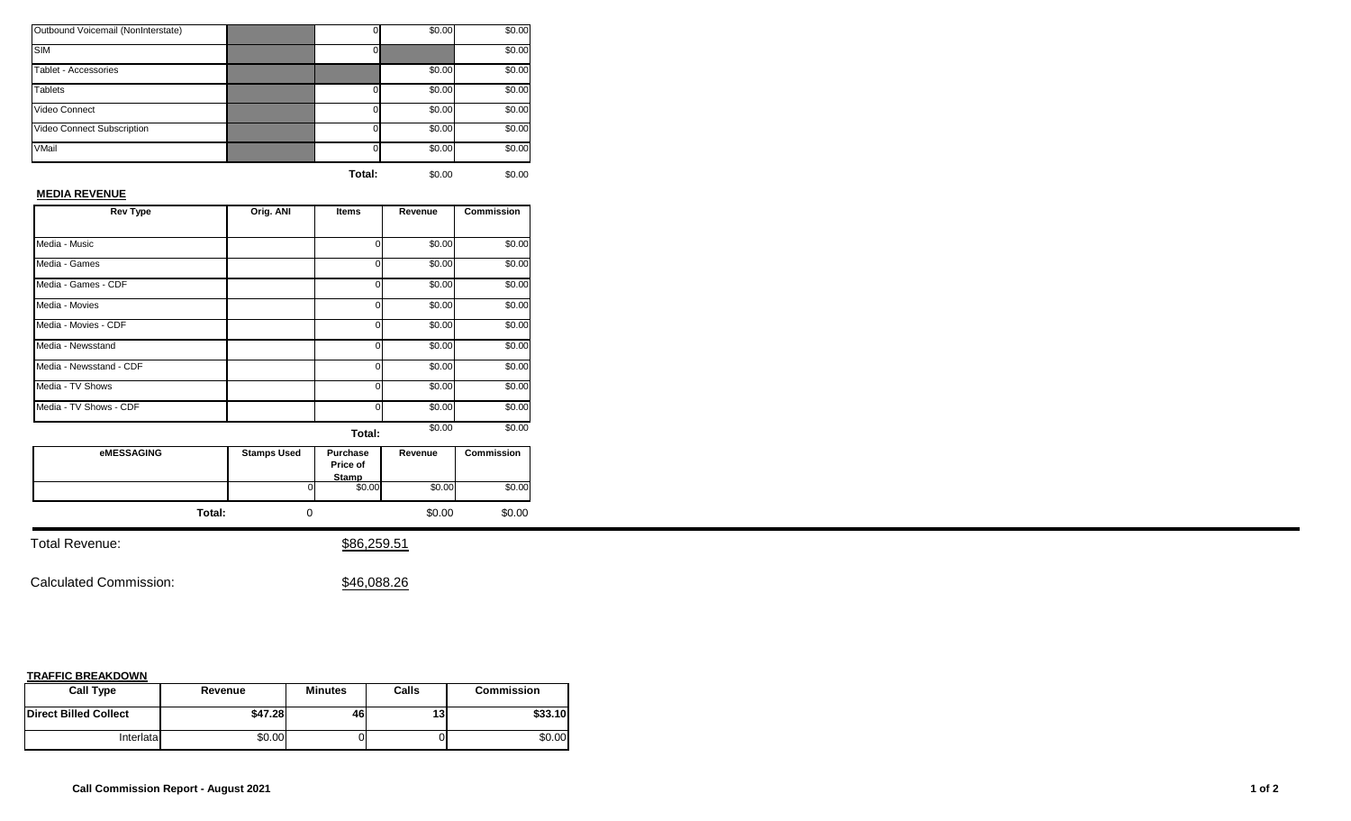| Outbound Voicemail (NonInterstate) |          | \$0.00 | \$0.00 |
|------------------------------------|----------|--------|--------|
| <b>SIM</b>                         |          |        | \$0.00 |
| Tablet - Accessories               |          | \$0.00 | \$0.00 |
| <b>Tablets</b>                     | $\Omega$ | \$0.00 | \$0.00 |
| Video Connect                      | $\Omega$ | \$0.00 | \$0.00 |
| Video Connect Subscription         | $\Omega$ | \$0.00 | \$0.00 |
| VMail                              | $\Omega$ | \$0.00 | \$0.00 |
|                                    |          |        |        |

## **MEDIA REVENUE**

| <b>Rev Type</b>         | Orig. ANI | <b>Items</b> | Revenue | <b>Commission</b> |
|-------------------------|-----------|--------------|---------|-------------------|
|                         |           |              |         |                   |
| Media - Music           |           | ი            | \$0.00  | \$0.00            |
| Media - Games           |           | 0            | \$0.00  | \$0.00            |
| Media - Games - CDF     |           | o            | \$0.00  | \$0.00            |
| Media - Movies          |           | 0            | \$0.00  | \$0.00            |
| Media - Movies - CDF    |           | U            | \$0.00  | \$0.00            |
| Media - Newsstand       |           | 0            | \$0.00  | \$0.00            |
| Media - Newsstand - CDF |           | U            | \$0.00  | \$0.00            |
| Media - TV Shows        |           | U            | \$0.00  | \$0.00            |
| Media - TV Shows - CDF  |           | U            | \$0.00  | \$0.00            |
|                         |           | Total:       | \$0.00  | \$0.00            |

| eMESSAGING | <b>Stamps Used</b> | <b>Purchase</b><br>Price of<br>Stamp | Revenue | <b>Commission</b> |
|------------|--------------------|--------------------------------------|---------|-------------------|
|            | ΩI                 | \$0.00                               | \$0.00  | \$0.00            |
| Total:     |                    |                                      | \$0.00  | \$0.00            |

Total Revenue:  $$86,259.51$ 

Calculated Commission:  $$46,088.26$ 

| <b>Call Type</b>             | Revenue | <b>Minutes</b> | Calls | <b>Commission</b> |
|------------------------------|---------|----------------|-------|-------------------|
| <b>Direct Billed Collect</b> | \$47.28 | 46             | 13    | \$33.10           |
| Interlatal                   | \$0.00  |                |       | \$0.00            |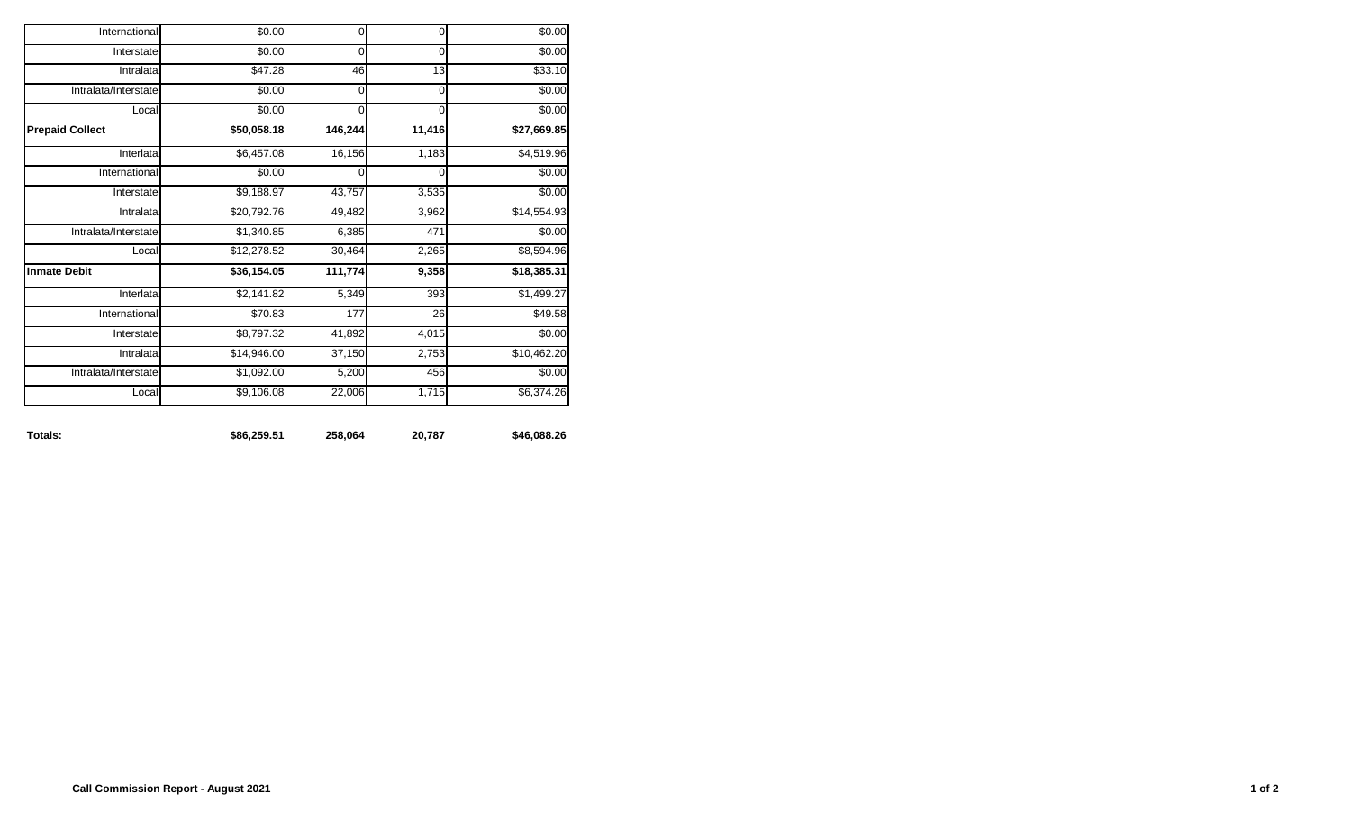| Totals:                | \$86,259.51 | 258,064     | 20,787      | \$46,088.26 |
|------------------------|-------------|-------------|-------------|-------------|
| Local                  | \$9,106.08  | 22,006      | 1,715       | \$6,374.26  |
| Intralata/Interstate   | \$1,092.00  | 5,200       | 456         | \$0.00      |
| Intralata              | \$14,946.00 | 37,150      | 2,753       | \$10,462.20 |
| Interstate             | \$8,797.32  | 41,892      | 4,015       | \$0.00      |
| International          | \$70.83     | 177         | 26          | \$49.58     |
| Interlata              | \$2,141.82  | 5,349       | 393         | \$1,499.27  |
| <b>Inmate Debit</b>    | \$36,154.05 | 111,774     | 9,358       | \$18,385.31 |
| Local                  | \$12,278.52 | 30,464      | 2,265       | \$8,594.96  |
| Intralata/Interstate   | \$1,340.85  | 6,385       | 471         | \$0.00      |
| Intralata              | \$20,792.76 | 49,482      | 3,962       | \$14,554.93 |
| Interstate             | \$9,188.97  | 43,757      | 3,535       | \$0.00      |
| International          | \$0.00      | $\mathbf 0$ | 0           | \$0.00      |
| Interlata              | \$6,457.08  | 16,156      | 1,183       | \$4,519.96  |
| <b>Prepaid Collect</b> | \$50,058.18 | 146,244     | 11,416      | \$27,669.85 |
| Local                  | \$0.00      | $\mathbf 0$ | $\Omega$    | \$0.00      |
| Intralata/Interstate   | \$0.00      | $\mathbf 0$ | $\mathbf 0$ | \$0.00      |
| Intralata              | \$47.28     | 46          | 13          | \$33.10     |
| Interstate             | \$0.00      | 0           | $\mathbf 0$ | \$0.00      |
| International          | \$0.00      | $\mathsf 0$ | $\mathbf 0$ | \$0.00      |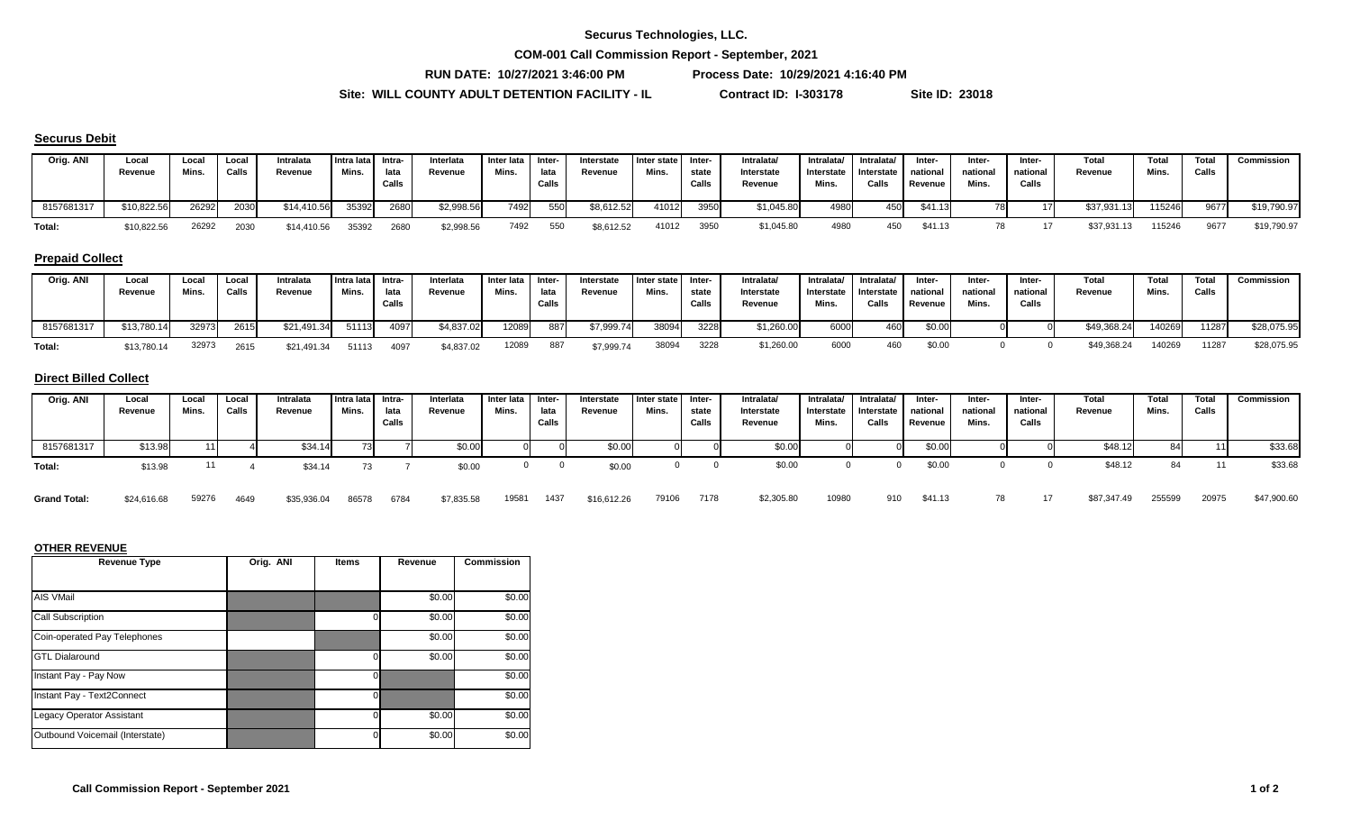**COM-001 Call Commission Report - September, 2021**

**RUN DATE: 10/27/2021 3:46:00 PM Process Date: 10/29/2021 4:16:40 PM**

Site: WILL COUNTY ADULT DETENTION FACILITY - IL Contract ID: I-303178 Site ID: 23018

#### **Securus Debit**

| Orig. ANI  | Local<br>Revenue | Loca.<br>Mins. | Local<br>Calls | Intralata<br>Revenue | Intra lata I<br>Mins. | Intra-<br>lata<br>Calls | Interlata<br>Revenue | Inter lata Inter-<br>Mins. | lata<br>Calls | Interstate<br>Revenue | I Inter state<br>Mins. | -Inter<br>state<br>Calls | Intralata<br>Interstate<br>Revenue | Intralata/<br>Interstate<br>Mins. | Intralata/<br>J Interstate<br>Calls | Inter-<br>national<br>Revenue | Inter-<br>national<br>Mins. | Inter-<br>national<br>Calls | Total<br>Revenue | Total<br>Mins. | Total<br>Calls | Commission  |
|------------|------------------|----------------|----------------|----------------------|-----------------------|-------------------------|----------------------|----------------------------|---------------|-----------------------|------------------------|--------------------------|------------------------------------|-----------------------------------|-------------------------------------|-------------------------------|-----------------------------|-----------------------------|------------------|----------------|----------------|-------------|
| 8157681317 | \$10,822.56      | 26292          | 2030           | \$14,410.56          | 35392                 | 2680                    | \$2,998.56           | 7492.                      | 550           | \$8,612.52            | 41012                  | 3950                     | \$1,045.80                         | 4980                              | 450                                 | \$41.13                       | 78                          |                             | \$37,931.13      | 115246         | 9677           | \$19,790.97 |
| Total:     | \$10,822.56      | 26292          | 2030           | \$14,410.56          | 35392                 | 2680                    | \$2,998.56           | 7492                       | 550           | \$8,612.52            | 41012                  | 3950                     | \$1,045.80                         | 4980                              | 450                                 | \$41.13                       |                             |                             | \$37.931.13      | 115246         | 9677           | \$19,790.97 |

## **Prepaid Collect**

| Orig. ANI  | Local<br>Revenue | Loca<br>Mins. | Local<br>Calls | Intralata<br>Revenue | Intra lata Intra-<br>Mins. | lata<br>Calls | Interlata<br>Revenue | Inter lata I Inter-<br>Mins. | lata<br>Calls | Interstate<br>Revenue | I Inter state<br>Mins. | Inter-<br>state<br>Calls | Intralata/<br>Interstate<br>Revenue | Intralata/<br>Interstate<br>Mins. | Intralata/<br>I Interstate I<br>Calls | Inter-<br>national<br>Revenue | Inter-<br>national<br>Mins. | Inter-<br>national<br>Calls | Total<br>Revenue | <b>Total</b><br>Mins. | <b>Total</b><br>Calls | Commission  |
|------------|------------------|---------------|----------------|----------------------|----------------------------|---------------|----------------------|------------------------------|---------------|-----------------------|------------------------|--------------------------|-------------------------------------|-----------------------------------|---------------------------------------|-------------------------------|-----------------------------|-----------------------------|------------------|-----------------------|-----------------------|-------------|
| 8157681317 | \$13,780.14      | 32973         | 2615           | \$21,491.34          | 51113                      | 4097          | \$4,837.02           | 12089                        | 887           | \$7,999.74            | 3809                   | 3228                     | \$1,260.00                          | 6000                              | 460                                   | \$0.00                        |                             |                             | \$49,368.24      | 140269                | 11287                 | \$28,075.95 |
| Total:     | \$13,780.14      | 32973         | 2615           | \$21,491.34          | 51113                      | 4097          | \$4,837.02           | 12089                        | 887           | \$7,999.74            | 38094                  | 3228                     | \$1,260.00                          | 6000                              | 460                                   | \$0.00                        |                             |                             | \$49,368.24      | 140269                | 11287                 | \$28,075.95 |

#### **Direct Billed Collect**

| Orig. ANI  | Local<br>Revenue | Local<br>Mins. | Local<br>Calls | Intralata<br>Revenue | Intra lata Intra-<br>Mins. | lata<br>Calls | Interlata<br>Revenue | Inter lata<br>Mins. | Inter-<br>lata<br>Calls | Interstate<br>Revenue | Inter state<br>Mins. | Inter-<br>state<br>Calls | Intralata/<br>Interstate<br>Revenue | Intralata/<br>Interstate<br>Mins. | Intralata/<br>Interstate<br>Calls | Inter-<br>national<br>Revenue | Inter-<br>national<br>Mins. | Inter-<br>national<br>Calls | <b>Total</b><br>Revenue | Total<br>Mins. | Total<br>Calls | Commission |
|------------|------------------|----------------|----------------|----------------------|----------------------------|---------------|----------------------|---------------------|-------------------------|-----------------------|----------------------|--------------------------|-------------------------------------|-----------------------------------|-----------------------------------|-------------------------------|-----------------------------|-----------------------------|-------------------------|----------------|----------------|------------|
| 8157681317 | \$13.98          |                |                | \$34.1               |                            |               | \$0.00               |                     |                         | \$0.00                |                      |                          | \$0.00                              |                                   |                                   | \$0.00                        |                             |                             | \$48.12                 |                |                | \$33.68    |
| Total:     | \$13.98          |                |                | \$34.14              |                            |               | \$0.00               |                     |                         | \$0.00                |                      |                          | \$0.00                              |                                   |                                   | \$0.00                        |                             |                             | \$48.12                 |                |                | \$33.68    |

| Grand Total: \$24,616.68 59276 4649 \$35,936.04 86578 6784 \$7,835.58 19581 1437 \$16,612.26 79106 7178 \$2,305.80 10980 910 \$41.13 78 17 \$87,347.49 255599 20975 \$47,900.60 |  |  |  |  |  |  |  |  |  |  |  |  |  |  |  |  |  |  |  |  |  |  |
|---------------------------------------------------------------------------------------------------------------------------------------------------------------------------------|--|--|--|--|--|--|--|--|--|--|--|--|--|--|--|--|--|--|--|--|--|--|
|---------------------------------------------------------------------------------------------------------------------------------------------------------------------------------|--|--|--|--|--|--|--|--|--|--|--|--|--|--|--|--|--|--|--|--|--|--|

| <b>Revenue Type</b>             | Orig. ANI | <b>Items</b> | Revenue | <b>Commission</b> |
|---------------------------------|-----------|--------------|---------|-------------------|
|                                 |           |              |         |                   |
| AIS VMail                       |           |              | \$0.00  | \$0.00            |
| Call Subscription               |           |              | \$0.00  | \$0.00            |
| Coin-operated Pay Telephones    |           |              | \$0.00  | \$0.00            |
| <b>GTL Dialaround</b>           |           |              | \$0.00  | \$0.00            |
| Instant Pay - Pay Now           |           |              |         | \$0.00            |
| Instant Pay - Text2Connect      |           | ი            |         | \$0.00            |
| Legacy Operator Assistant       |           |              | \$0.00  | \$0.00            |
| Outbound Voicemail (Interstate) |           |              | \$0.00  | \$0.00            |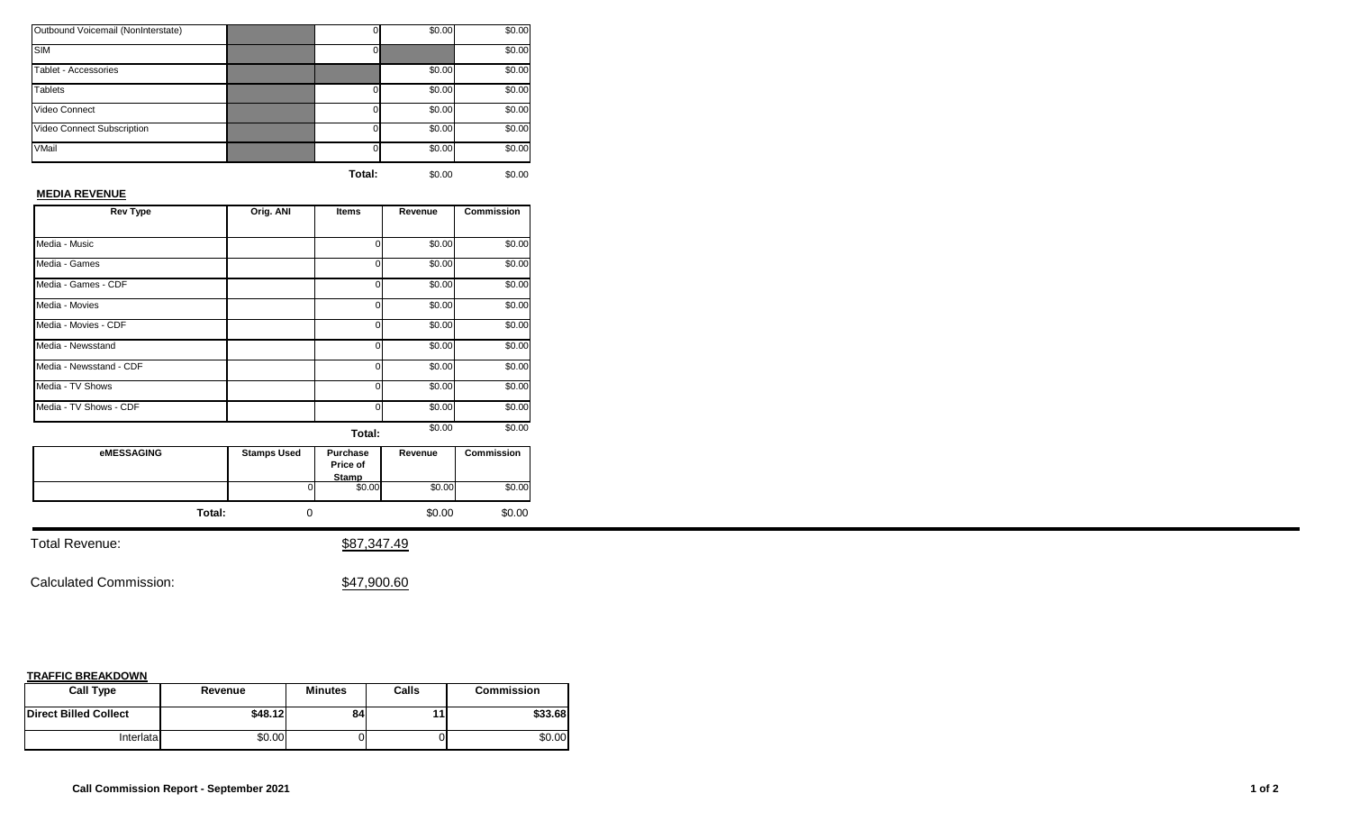| Outbound Voicemail (NonInterstate) |          | \$0.00 | \$0.00 |
|------------------------------------|----------|--------|--------|
| <b>SIM</b>                         |          |        | \$0.00 |
| Tablet - Accessories               |          | \$0.00 | \$0.00 |
| <b>Tablets</b>                     | $\Omega$ | \$0.00 | \$0.00 |
| Video Connect                      | $\Omega$ | \$0.00 | \$0.00 |
| Video Connect Subscription         | 0        | \$0.00 | \$0.00 |
| VMail                              | 0        | \$0.00 | \$0.00 |
|                                    |          |        |        |

## **MEDIA REVENUE**

| <b>Rev Type</b>         | Orig. ANI | <b>Items</b> | Revenue | <b>Commission</b> |
|-------------------------|-----------|--------------|---------|-------------------|
|                         |           |              |         |                   |
| Media - Music           |           | ი            | \$0.00  | \$0.00            |
| Media - Games           |           | 0            | \$0.00  | \$0.00            |
| Media - Games - CDF     |           | o            | \$0.00  | \$0.00            |
| Media - Movies          |           | 0            | \$0.00  | \$0.00            |
| Media - Movies - CDF    |           | U            | \$0.00  | \$0.00            |
| Media - Newsstand       |           | 0            | \$0.00  | \$0.00            |
| Media - Newsstand - CDF |           | U            | \$0.00  | \$0.00            |
| Media - TV Shows        |           | U            | \$0.00  | \$0.00            |
| Media - TV Shows - CDF  |           | U            | \$0.00  | \$0.00            |
|                         |           | Total:       | \$0.00  | \$0.00            |

| <b>eMESSAGING</b> | <b>Stamps Used</b> | Purchase<br>Price of<br>Stamp | Revenue | <b>Commission</b> |
|-------------------|--------------------|-------------------------------|---------|-------------------|
|                   | ΩI                 | \$0.00                        | \$0.00  | \$0.00            |
| Total:            |                    |                               | \$0.00  | \$0.00            |

Total Revenue:  $$87,347.49$ 

Calculated Commission:  $$47,900.60$ 

| <b>Call Type</b>             | Revenue | <b>Minutes</b> | Calls | <b>Commission</b> |
|------------------------------|---------|----------------|-------|-------------------|
| <b>Direct Billed Collect</b> | \$48.12 | 84             |       | \$33.68           |
| Interlatal                   | \$0.00  |                |       | \$0.00            |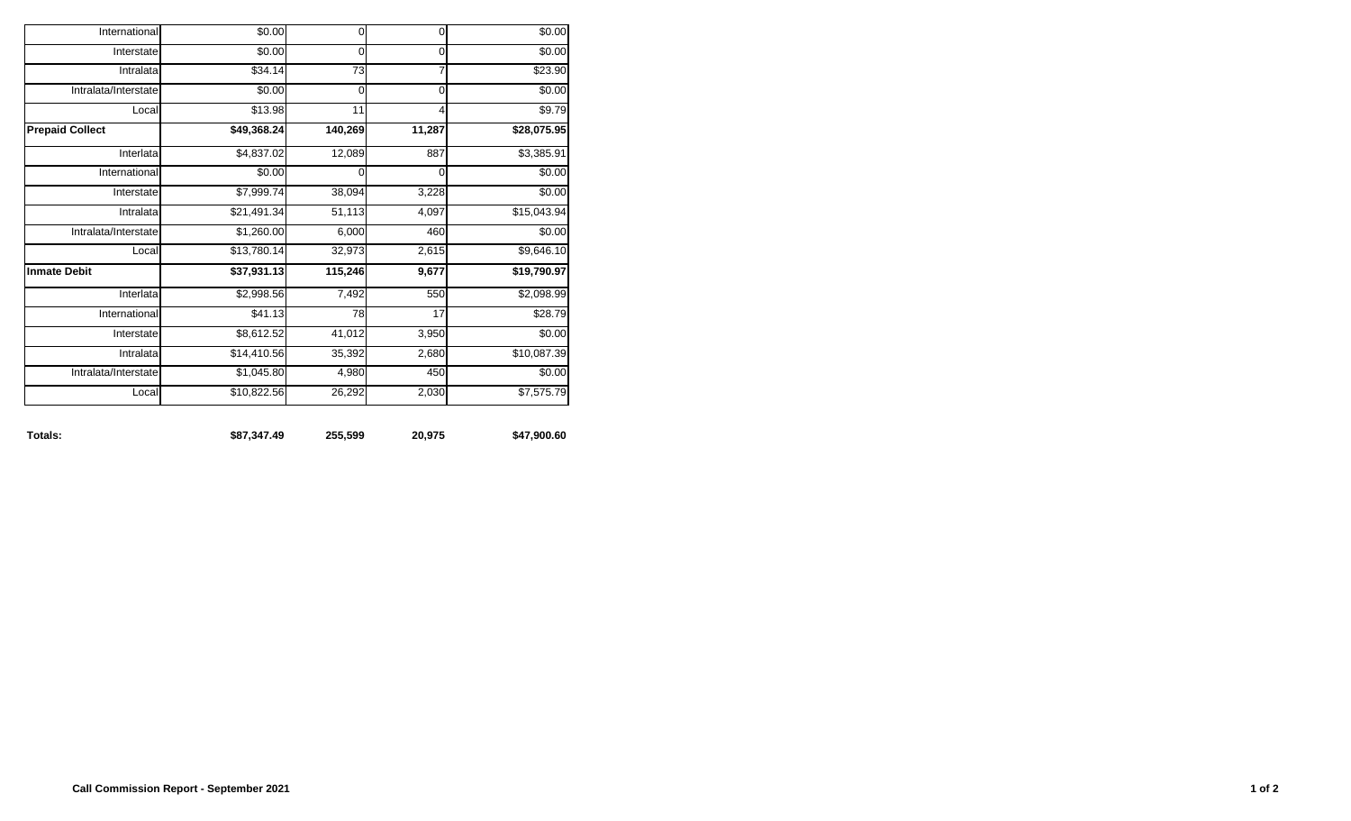| Totals:                | \$87,347.49            | 255,599     | 20,975         | \$47,900.60 |
|------------------------|------------------------|-------------|----------------|-------------|
| Local                  | \$10,822.56            | 26,292      | 2,030          | \$7,575.79  |
| Intralata/Interstate   | $\overline{$1,045.80}$ | 4,980       | 450            | \$0.00      |
| Intralata              | \$14,410.56            | 35,392      | 2,680          | \$10,087.39 |
| Interstate             | \$8,612.52             | 41,012      | 3,950          | \$0.00      |
| International          | \$41.13                | 78          | 17             | \$28.79     |
| Interlata              | \$2,998.56             | 7,492       | 550            | \$2,098.99  |
| <b>Inmate Debit</b>    | \$37,931.13            | 115,246     | 9,677          | \$19,790.97 |
| Local                  | \$13,780.14            | 32,973      | 2,615          | \$9,646.10  |
| Intralata/Interstate   | \$1,260.00             | 6,000       | 460            | \$0.00      |
| Intralata              | \$21,491.34            | 51,113      | 4,097          | \$15,043.94 |
| Interstate             | \$7,999.74             | 38,094      | 3,228          | \$0.00      |
| International          | \$0.00                 | $\mathbf 0$ | 0              | \$0.00      |
| Interlata              | \$4,837.02             | 12,089      | 887            | \$3,385.91  |
| <b>Prepaid Collect</b> | \$49,368.24            | 140,269     | 11,287         | \$28,075.95 |
| Local                  | \$13.98                | 11          | $\overline{4}$ | \$9.79      |
| Intralata/Interstate   | \$0.00                 | $\mathbf 0$ | $\mathbf 0$    | \$0.00      |
| Intralata              | \$34.14                | 73          | $\overline{7}$ | \$23.90     |
| Interstate             | \$0.00                 | 0           | $\mathbf 0$    | \$0.00      |
| International          | \$0.00                 | $\mathbf 0$ | $\mathbf 0$    | \$0.00      |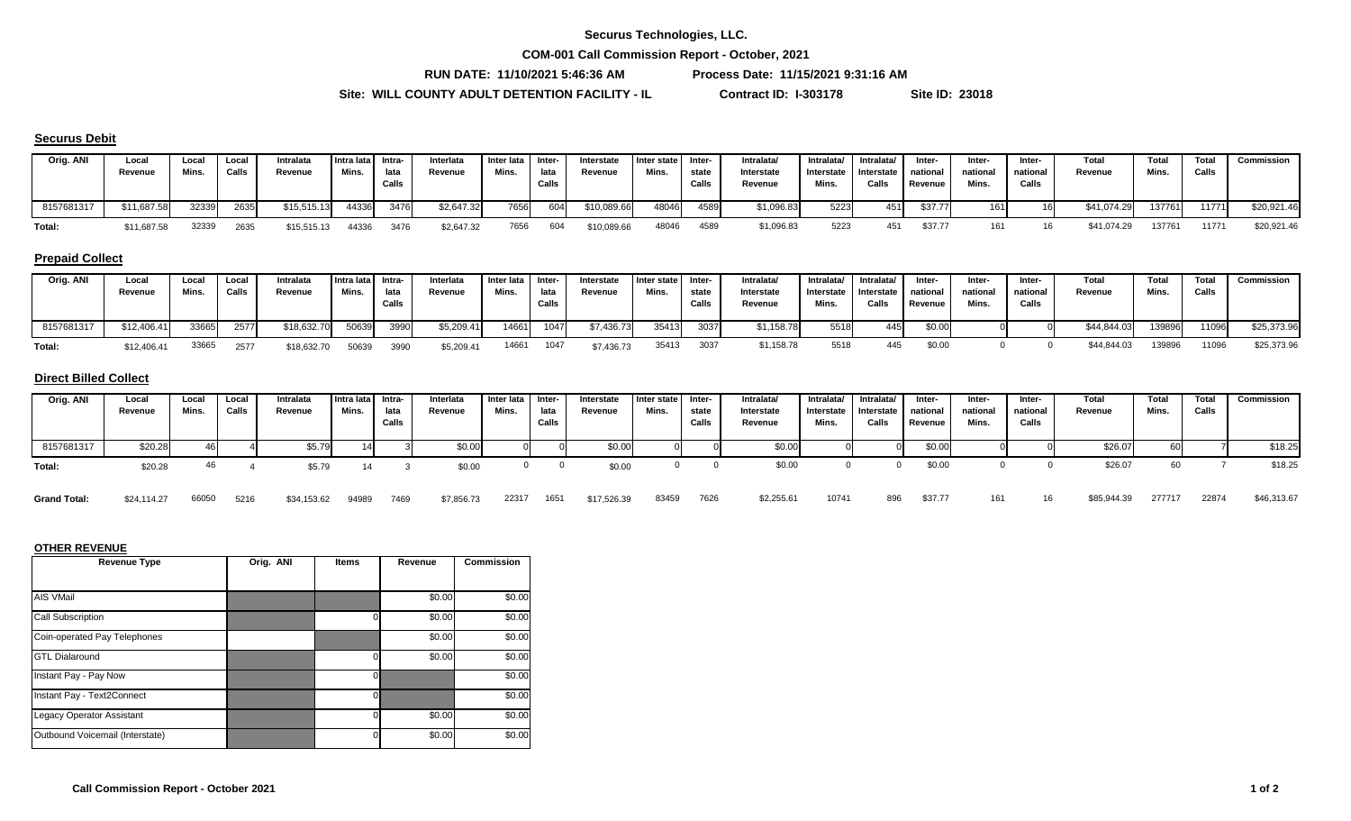**COM-001 Call Commission Report - October, 2021**

**RUN DATE: 11/10/2021 5:46:36 AM Process Date: 11/15/2021 9:31:16 AM**

\$7,856.73 22317 1651 \$17,526.39

**Site: WILL COUNTY ADULT DETENTION FACILITY - IL Contract ID: I-303178 Site ID: 23018**

#### **Securus Debit**

| Orig. ANI  | Local<br>Revenue | Loca.<br>Mins. | Local<br>Calls | Intralata<br>Revenue | Intra lata I<br>Mins. | -Intra<br>lata<br>Calls | Interlata<br>Revenue | Inter lata Inter-<br>Mins. | lata<br>Calls | Interstate<br>Revenue | I Inter state<br>Mins. | -Inter<br>state<br>Calls | Intralata<br>Interstate<br>Revenue | Intralata/<br>Interstate<br>Mins. | Intralata/<br>J Interstate<br>Calls | Inter-<br>national<br>Revenue | Inter-<br>national<br>Mins. | Inter-<br>national<br>Calls | Total<br>Revenue | Total<br>Mins. | Total<br>Calls | Commission  |
|------------|------------------|----------------|----------------|----------------------|-----------------------|-------------------------|----------------------|----------------------------|---------------|-----------------------|------------------------|--------------------------|------------------------------------|-----------------------------------|-------------------------------------|-------------------------------|-----------------------------|-----------------------------|------------------|----------------|----------------|-------------|
| 8157681317 | \$11,687.58      | 32339          | 2635           | \$15,515.13          | 44336                 | 3476                    | \$2,647.32           | 7656                       | 604           | \$10,089.66           | 48046                  | 4589                     | \$1,096.83                         | 5223                              | 451                                 | \$37.77                       | 161                         |                             | \$41,074.29      | 137761         | 11771          | \$20,921.46 |
| Total:     | \$11,687.58      | 32339          | 2635           | \$15,515.13          | 44336                 | 3476                    | \$2,647.32           | 7656                       | 604           | \$10,089.66           | 48046                  | 4589                     | \$1,096.83                         | 5223                              | 451                                 | \$37.77                       |                             |                             | \$41.074.29      | 137761         | 11771          | \$20,921.46 |

## **Prepaid Collect**

| Orig. ANI  | Local<br>Revenue | Loca<br>Mins. | Local<br>Calls | Intralata<br>Revenue | Intra lata Intra-<br>Mins. | lata<br>Calls | Interlata<br>Revenue | Inter lata I Inter-<br>Mins. | lata<br>Calls | Interstate<br>Revenue | Inter state<br>Mins. | Inter-<br>state<br>Calls | Intralata/<br>Interstate<br>Revenue | Intralata/<br>Interstate<br>Mins. | Intralata/<br>I Interstate I<br>Calls | Inter-<br>national<br>Revenue | Inter-<br>national<br>Mins. | Inter-<br>national<br>Calls | Total<br>Revenue | <b>Total</b><br>Mins. | <b>Total</b><br>Calls | Commission  |
|------------|------------------|---------------|----------------|----------------------|----------------------------|---------------|----------------------|------------------------------|---------------|-----------------------|----------------------|--------------------------|-------------------------------------|-----------------------------------|---------------------------------------|-------------------------------|-----------------------------|-----------------------------|------------------|-----------------------|-----------------------|-------------|
| 8157681317 | \$12,406.41      | 33665         | 2577           | \$18,632.70          | 50639                      | 3990          | \$5,209.41           | 14661                        | 1047          | \$7,436.73            | 35413                | 3037                     | \$1,158.78                          | 5518                              |                                       | \$0.00                        |                             |                             | \$44,844.03      | 139896                | 11096                 | \$25,373.96 |
| Total:     | \$12,406.41      | 33665         | 2577           | \$18,632.70          | 50639                      | 3990          | 5,209.41             | 14661                        | 1047          | \$7,436.73            | 35413                | 3037                     | \$1,158.78                          | 5518                              | 445                                   | \$0.00                        |                             |                             | \$44,844.03      | 139896                | 11096                 | \$25,373.96 |

#### **Direct Billed Collect**

| Orig. ANI  | Local<br>Revenue | Local<br>Mins | Local<br>Calls | Intralata<br>Revenue | Intra lata Intra-<br>Mins. | lata<br>Calls | Interlata<br>Revenue | Inter lata<br>Mins. | Inter-<br>lata<br>Calls | Interstate<br>Revenue | Inter state<br>Mins. | Inter-<br>state<br>Calls | Intralata/<br>Interstate<br>Revenue | Intralata/<br>Interstate<br>Mins. | Intralata/<br>Interstate<br>Calls | Inter-<br>national<br>Revenue | Inter-<br>national<br>Mins. | Inter-<br>national<br>Calls | Total<br>Revenue | Total<br>Mins. | <b>Total</b><br>Calls | Commission |
|------------|------------------|---------------|----------------|----------------------|----------------------------|---------------|----------------------|---------------------|-------------------------|-----------------------|----------------------|--------------------------|-------------------------------------|-----------------------------------|-----------------------------------|-------------------------------|-----------------------------|-----------------------------|------------------|----------------|-----------------------|------------|
| 8157681317 | \$20.28          |               |                | \$5.79               |                            |               | \$0.00               |                     |                         | \$0.00                |                      |                          | \$0.0                               |                                   |                                   | \$0.00                        |                             |                             | \$26.07          |                |                       | \$18.25    |
| Total:     | \$20.28          | 46            |                |                      |                            |               | \$0.00               |                     |                         | \$0.00                |                      |                          | \$0.00                              |                                   |                                   | \$0.00                        |                             |                             | \$26.07          | 60             |                       | \$18.25    |

66050 5216 \$34,153.62 94989 7469 \$7,856.73 22317 1651 \$17,526.39 83459 7626 \$2,255.61 10741 896 \$37.77 161 16 \$85,944.39 277717 22874 \$46,313.67

#### **OTHER REVENUE**

| <b>Revenue Type</b>              | Orig. ANI | <b>Items</b> | Revenue | <b>Commission</b> |
|----------------------------------|-----------|--------------|---------|-------------------|
|                                  |           |              |         |                   |
| AIS VMail                        |           |              | \$0.00  | \$0.00            |
| <b>Call Subscription</b>         |           |              | \$0.00  | \$0.00            |
| Coin-operated Pay Telephones     |           |              | \$0.00  | \$0.00            |
| <b>GTL Dialaround</b>            |           |              | \$0.00  | \$0.00            |
| Instant Pay - Pay Now            |           | 0            |         | \$0.00            |
| Instant Pay - Text2Connect       |           | $\Omega$     |         | \$0.00            |
| <b>Legacy Operator Assistant</b> |           |              | \$0.00  | \$0.00            |
| Outbound Voicemail (Interstate)  |           |              | \$0.00  | \$0.00            |

Grand Total:  $$24,114.27$  66050 5216 \$34,153.62 94989 7469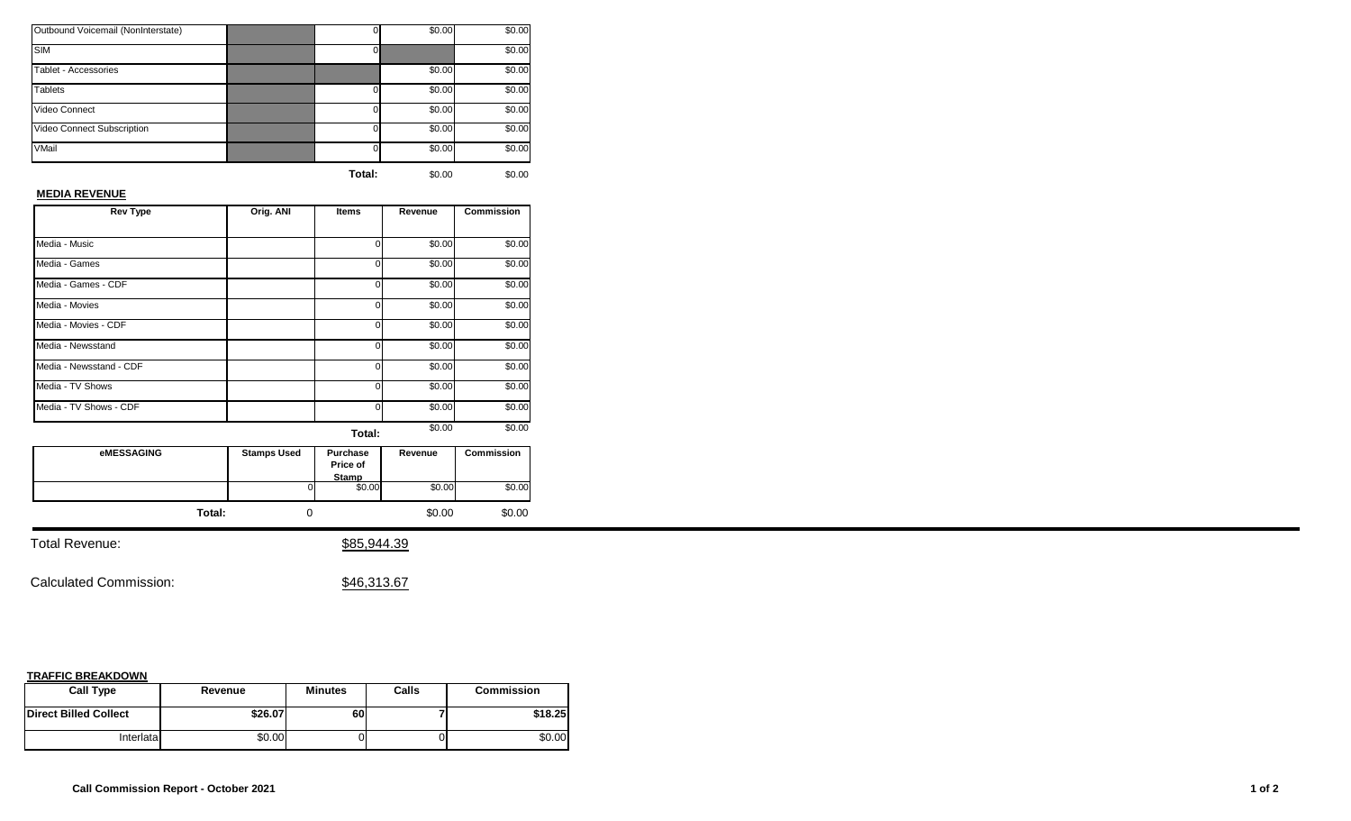| Outbound Voicemail (NonInterstate) |          | \$0.00 | \$0.00 |
|------------------------------------|----------|--------|--------|
| <b>SIM</b>                         |          |        | \$0.00 |
| Tablet - Accessories               |          | \$0.00 | \$0.00 |
| <b>Tablets</b>                     | $\Omega$ | \$0.00 | \$0.00 |
| Video Connect                      | $\Omega$ | \$0.00 | \$0.00 |
| Video Connect Subscription         | 0        | \$0.00 | \$0.00 |
| VMail                              | 0        | \$0.00 | \$0.00 |
|                                    |          |        |        |

## **MEDIA REVENUE**

| <b>Rev Type</b>         | Orig. ANI | <b>Items</b> | Revenue | <b>Commission</b> |
|-------------------------|-----------|--------------|---------|-------------------|
|                         |           |              |         |                   |
| Media - Music           |           | ი            | \$0.00  | \$0.00            |
| Media - Games           |           | 0            | \$0.00  | \$0.00            |
| Media - Games - CDF     |           | o            | \$0.00  | \$0.00            |
| Media - Movies          |           | 0            | \$0.00  | \$0.00            |
| Media - Movies - CDF    |           | U            | \$0.00  | \$0.00            |
| Media - Newsstand       |           | 0            | \$0.00  | \$0.00            |
| Media - Newsstand - CDF |           | U            | \$0.00  | \$0.00            |
| Media - TV Shows        |           | U            | \$0.00  | \$0.00            |
| Media - TV Shows - CDF  |           | U            | \$0.00  | \$0.00            |
|                         |           | Total:       | \$0.00  | \$0.00            |

**Total:** 0 \$0.00 \$0.00 **eMESSAGING Stamps Used Purchase Price of Stamp**<br>
0 \$0.00 \$0.00 \$0.00 \$0.00 **Revenue Commission**

Total Revenue:  $$85,944.39$ 

Calculated Commission:  $$46,313.67$ 

| <b>Call Type</b>             | Revenue | <b>Minutes</b> | Calls | <b>Commission</b> |
|------------------------------|---------|----------------|-------|-------------------|
| <b>Direct Billed Collect</b> | \$26.07 | 60             |       | \$18.25           |
| Interlatal                   | \$0.00  |                |       | \$0.00            |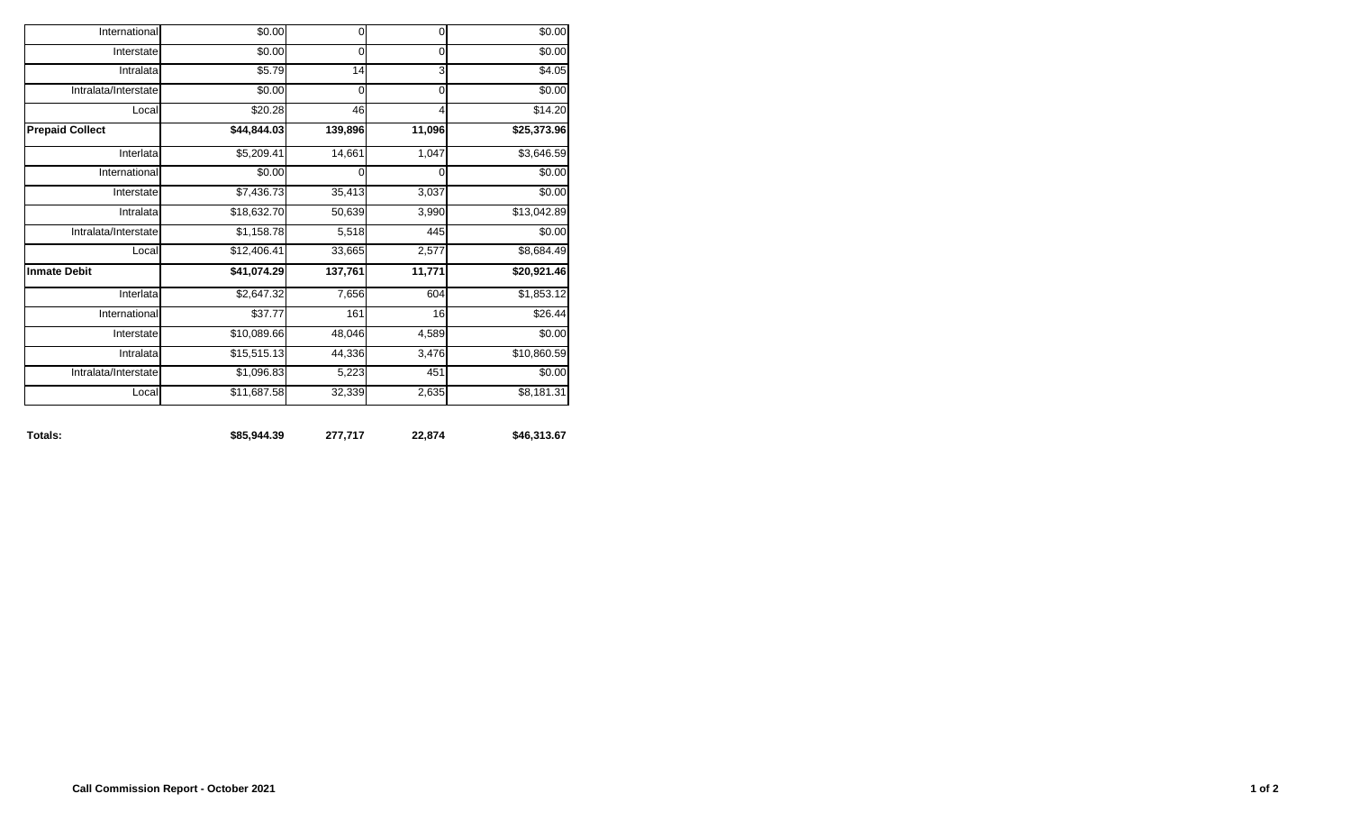| Totals:                | \$85,944.39        | 277,717     | 22,874         | \$46,313.67             |
|------------------------|--------------------|-------------|----------------|-------------------------|
| Local                  | \$11,687.58        | 32,339      | 2,635          | \$8,181.31              |
| Intralata/Interstate   | \$1,096.83         | 5,223       | 451            | \$0.00                  |
| Intralata              | \$15,515.13        | 44,336      | 3,476          | \$10,860.59             |
| Interstate             | \$10,089.66        | 48,046      | 4,589          | \$0.00                  |
| International          | \$37.77            | 161         | 16             | \$26.44                 |
| Interlata              | \$2,647.32         | 7,656       | 604            | \$1,853.12              |
| <b>Inmate Debit</b>    | \$41,074.29        | 137,761     | 11,771         | \$20,921.46             |
| Local                  | \$12,406.41        | 33,665      | 2,577          | \$8,684.49              |
| Intralata/Interstate   | \$1,158.78         | 5,518       | 445            | \$0.00                  |
| Intralata              | \$18,632.70        | 50,639      | 3,990          | \$13,042.89             |
| Interstate             | \$7,436.73         | 35,413      | 3,037          | \$0.00                  |
| International          | \$0.00             | $\mathbf 0$ | 0              | \$0.00                  |
| Interlata              | \$5,209.41         | 14,661      | 1,047          | \$3,646.59              |
| <b>Prepaid Collect</b> | $\sqrt{44,844.03}$ | 139,896     | 11,096         | $\overline{$25,373.96}$ |
| Local                  | \$20.28            | 46          | $\overline{4}$ | \$14.20                 |
| Intralata/Interstate   | \$0.00             | $\mathbf 0$ | $\mathbf 0$    | \$0.00                  |
| Intralata              | \$5.79             | 14          | 3              | \$4.05                  |
| Interstate             | \$0.00             | 0           | $\mathbf 0$    | \$0.00                  |
| International          | \$0.00             | $\mathbf 0$ | $\mathbf 0$    | \$0.00                  |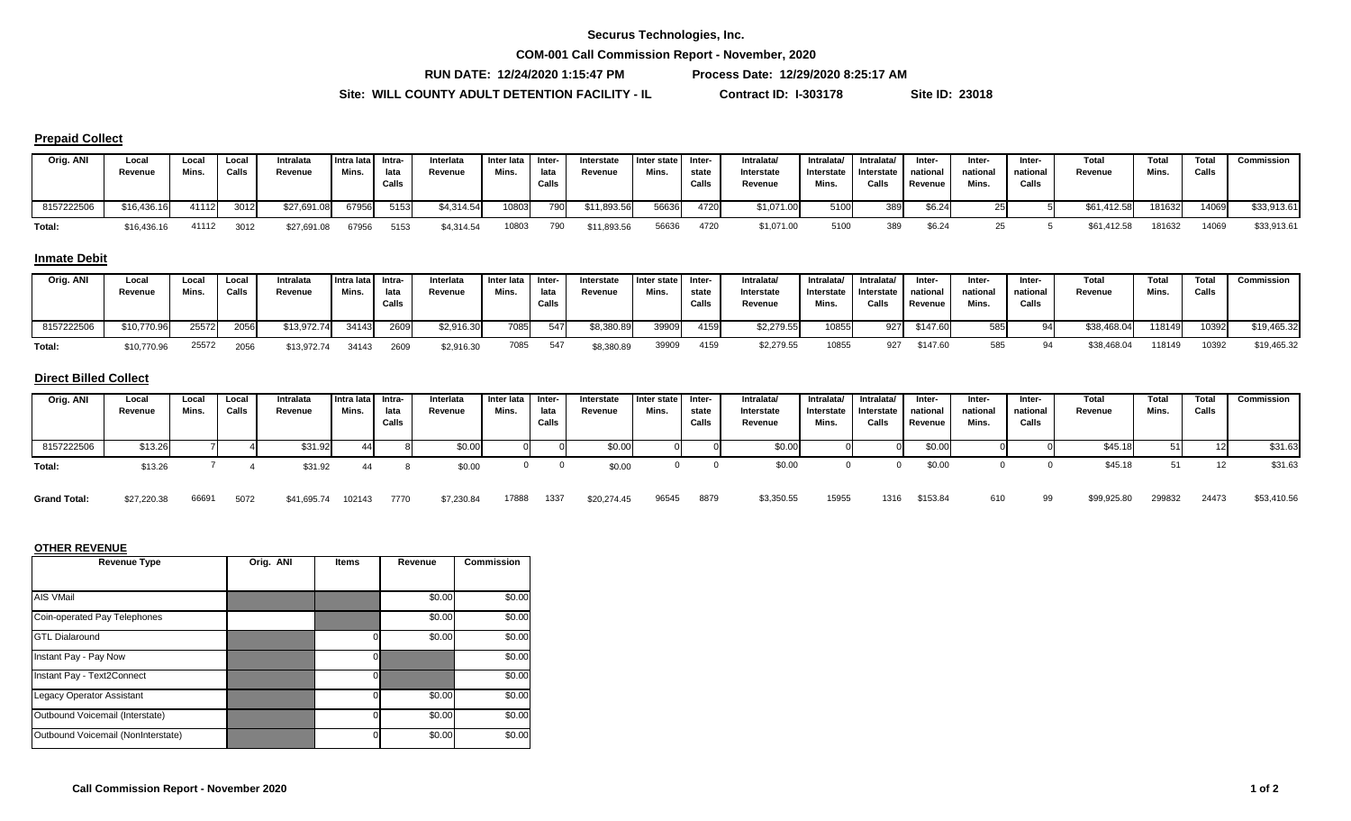#### **Securus Technologies, Inc.**

**COM-001 Call Commission Report - November, 2020**

**RUN DATE: 12/24/2020 1:15:47 PM Process Date: 12/29/2020 8:25:17 AM**

\$7,230.84 17888 1337 \$20,274.45

**Site: WILL COUNTY ADULT DETENTION FACILITY - IL Contract ID: I-303178 Site ID: 23018**

#### **Prepaid Collect**

| Orig. ANI  | Local<br>Revenue | Local<br>Mins. | Local<br>Calls | Intralata<br>Revenue | Intra lata Intra-<br>Mins. | lata<br>Calls | Interlata<br>Revenue | Inter lata I Inter-<br>Mins. | lata<br>Calls | Interstate<br>Revenue | Inter state<br>Mins. | l Inter-<br>state<br>Calls | Intralata/<br>Interstate<br>Revenue | Intralata/<br>Interstate<br>Mins. | Intralata/<br>Interstate national<br>Calls | Inter-<br>Revenue | Inter-<br>national<br>Mins. | Inter-<br>national<br>Calls | <b>Total</b><br>Revenue | Total<br>Mins. | <b>Total</b><br>Calls | <b>Commission</b> |
|------------|------------------|----------------|----------------|----------------------|----------------------------|---------------|----------------------|------------------------------|---------------|-----------------------|----------------------|----------------------------|-------------------------------------|-----------------------------------|--------------------------------------------|-------------------|-----------------------------|-----------------------------|-------------------------|----------------|-----------------------|-------------------|
| 8157222506 | \$16,436.16      | 41112          | 3012           | \$27,691.08          | 67956                      | 5153          | \$4,314.54           | 10803                        | 790           | \$11,893.56           | 56636                | 4720                       | \$1,071.00                          | 5100                              | 389                                        | \$6.24            |                             |                             | \$61,412.58             | 181632         | 14069                 | \$33,913.61       |
| Total:     | \$16,436.16      | 41112          | 3012           | \$27,691.08          | 67956                      | 5153          | \$4,314.54           | 10803                        | 790           | \$11,893.56           | 56636                | 4720                       | \$1,071.00                          | 5100                              |                                            | \$6.24            |                             |                             | \$61,412.58             | 181632         | 14069                 | \$33,913.61       |

#### **Inmate Debit**

| Orig. ANI  | Local<br>Revenue | Local<br>Mins. | Local<br>Calls | Intralata<br>Revenue | Intra lata I<br>Mins. | Intra-<br>lata<br>Calls | Interlata<br>Revenue | Inter lata Inter-<br>Mins. | lata<br>Calls | Interstate<br>Revenue | I Inter state I<br>Mins. | - Inter<br>state<br>Calls | Intralata/<br>Interstate<br>Revenue | Intralata/<br>Interstate<br>Mins. | Intralata/<br>Interstate national<br>Calls | Inter-<br>Revenue | Inter-<br>national<br>Mins. | <b>Inter</b><br>national<br>Calls | Total<br>Revenue | <b>Total</b><br>Mins. | <b>Total</b><br>Calls | Commission  |
|------------|------------------|----------------|----------------|----------------------|-----------------------|-------------------------|----------------------|----------------------------|---------------|-----------------------|--------------------------|---------------------------|-------------------------------------|-----------------------------------|--------------------------------------------|-------------------|-----------------------------|-----------------------------------|------------------|-----------------------|-----------------------|-------------|
| 8157222506 | \$10,770.96      | 25572          | 2056           | \$13,972.74          | 34143                 | 2609                    | \$2,916.30           | 7085                       | 547           | \$8,380.89            | 39909                    | 4159                      | \$2,279.55                          | 10855                             | 927                                        | \$147.60          | 585                         |                                   | \$38,468.04      | 118149                | 10392                 | \$19,465.32 |
| Total:     | \$10,770.96      | 25572          | 2056           | \$13,972.74          | 34143                 | 2609                    | \$2,916.30           | 7085                       | 547           | \$8,380.89            | 39909                    | 4159                      | \$2,279.55                          | 10855                             | 927                                        | \$147.60          | 585                         |                                   | \$38,468.04      | 118149                | 10392                 | \$19,465.32 |

## **Direct Billed Collect**

| Orig. ANI  | Local<br>Revenue | Local<br>Mins. | Local<br>Calls | Intralata<br>Revenue | Intra lata Intra-<br>Mins. | lata<br>Calls | Interlata<br>Revenue | Inter lata<br>Mins. | Inter-<br>lata<br>Calls | Interstate<br>Revenue | Inter state<br>Mins. | Inter-<br>state<br>Calls | Intralata/<br>Interstate<br>Revenue | Intralata/<br>Interstate<br>Mins. | Intralata/<br>Interstate<br>Calls | Inter-<br>national<br>Revenue | Inter-<br>national<br>Mins. | Inter-<br>national<br>Calls | <b>Total</b><br>Revenue | Total<br>Mins. | <b>Total</b><br>Calls | Commission |
|------------|------------------|----------------|----------------|----------------------|----------------------------|---------------|----------------------|---------------------|-------------------------|-----------------------|----------------------|--------------------------|-------------------------------------|-----------------------------------|-----------------------------------|-------------------------------|-----------------------------|-----------------------------|-------------------------|----------------|-----------------------|------------|
| 8157222506 | \$13.26          |                |                | \$31.92              | -44                        |               | \$0.00               |                     |                         | \$0.00                |                      |                          | \$0.00                              |                                   |                                   | \$0.00                        |                             |                             | \$45.18                 |                |                       | \$31.63    |
| Total:     | \$13.26          |                |                | \$31.92              |                            |               | \$0.00               |                     |                         | \$0.00                |                      |                          | \$0.00                              |                                   |                                   | \$0.00                        |                             |                             | \$45.18                 |                |                       | \$31.63    |

 $\mathsf{Grand \,\,Total}$ : \$27,220.38  $66691$  5072 \$41,695.74 102143 7770 \$7,230.84 17888 1337 \$20,274.45 96545 8879 \$3,350.55 15955 1316 \$153.84 610 99 \$99,925.80 299832 24473 \$53,410.56

| <b>Revenue Type</b>                | Orig. ANI | <b>Items</b> | Revenue | <b>Commission</b> |
|------------------------------------|-----------|--------------|---------|-------------------|
|                                    |           |              |         |                   |
| AIS VMail                          |           |              | \$0.00  | \$0.00            |
| Coin-operated Pay Telephones       |           |              | \$0.00  | \$0.00            |
| <b>GTL Dialaround</b>              |           |              | \$0.00  | \$0.00            |
| Instant Pay - Pay Now              |           |              |         | \$0.00            |
| Instant Pay - Text2Connect         |           |              |         | \$0.00            |
| Legacy Operator Assistant          |           |              | \$0.00  | \$0.00            |
| Outbound Voicemail (Interstate)    |           |              | \$0.00  | \$0.00            |
| Outbound Voicemail (NonInterstate) |           |              | \$0.00  | \$0.00            |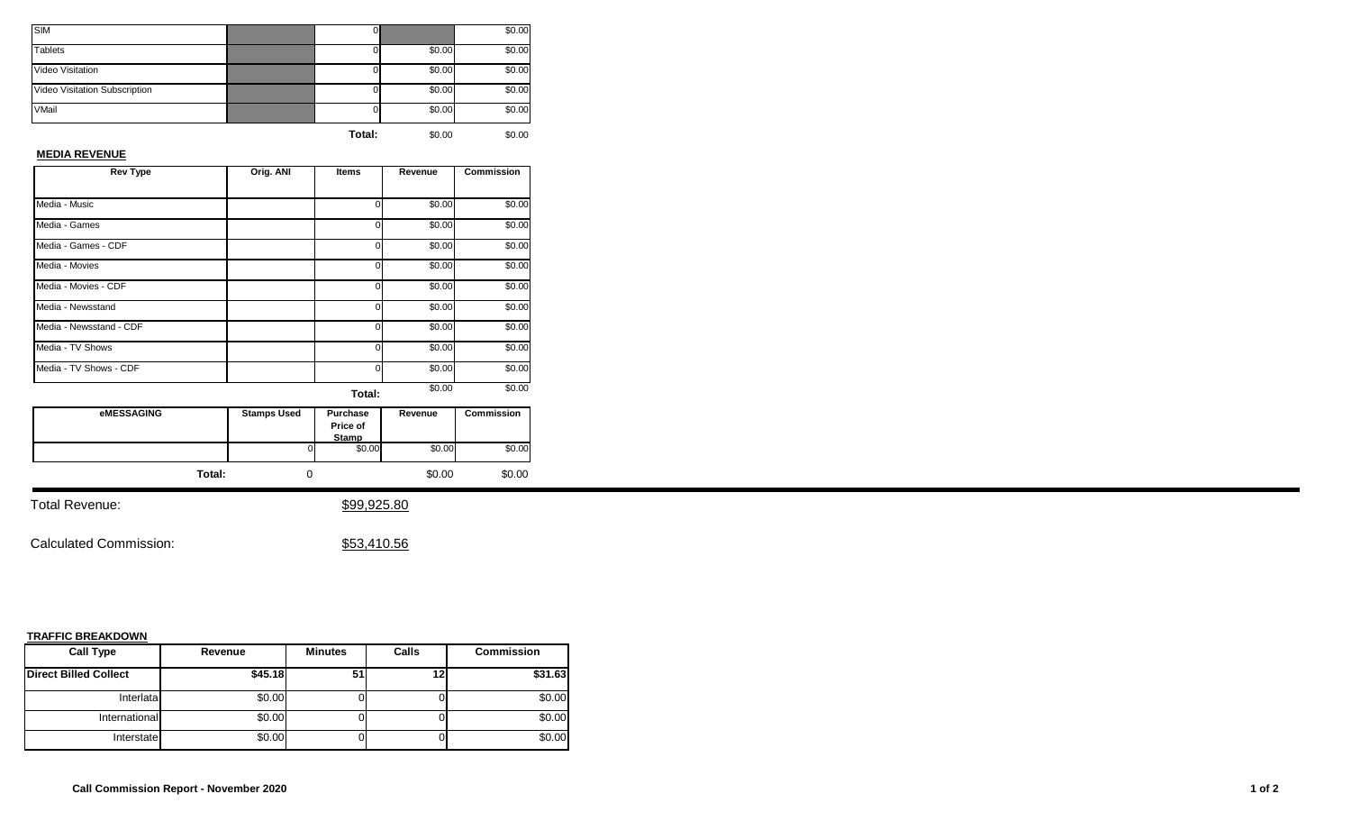| <b>SIM</b>                    | O.     |        | \$0.00 |
|-------------------------------|--------|--------|--------|
| <b>Tablets</b>                |        | \$0.00 | \$0.00 |
| Video Visitation              |        | \$0.00 | \$0.00 |
| Video Visitation Subscription |        | \$0.00 | \$0.00 |
| VMail                         |        | \$0.00 | \$0.00 |
|                               | Total: | \$0.00 | \$0.00 |

#### **MEDIA REVENUE**

| <b>Rev Type</b>         | Orig. ANI | Items  | Revenue | <b>Commission</b> |
|-------------------------|-----------|--------|---------|-------------------|
|                         |           |        |         |                   |
| Media - Music           |           | U      | \$0.00  | \$0.00            |
| Media - Games           |           | 0      | \$0.00  | \$0.00            |
| Media - Games - CDF     |           | 0      | \$0.00  | \$0.00            |
| Media - Movies          |           | 0      | \$0.00  | \$0.00            |
| Media - Movies - CDF    |           | 0      | \$0.00  | \$0.00            |
| Media - Newsstand       |           | O      | \$0.00  | \$0.00            |
| Media - Newsstand - CDF |           | 0      | \$0.00  | \$0.00            |
| Media - TV Shows        |           | 0      | \$0.00  | \$0.00            |
| Media - TV Shows - CDF  |           | O      | \$0.00  | \$0.00            |
|                         |           | Total: | \$0.00  | \$0.00            |

| <b>eMESSAGING</b> | <b>Stamps Used</b> | <b>Purchase</b><br>Price of<br><b>Stamp</b> | Revenue | <b>Commission</b> |
|-------------------|--------------------|---------------------------------------------|---------|-------------------|
|                   | ΟI                 | \$0.00                                      | \$0.00  | \$0.00            |
| Total:            |                    |                                             | \$0.00  | \$0.00            |

Total Revenue:  $$99,925.80$ 

Calculated Commission:  $$53,410.56$ 

| <b>Call Type</b>             | Revenue | <b>Minutes</b> | Calls | <b>Commission</b> |
|------------------------------|---------|----------------|-------|-------------------|
| <b>Direct Billed Collect</b> | \$45.18 | 51             |       | \$31.63           |
| Interlata                    | \$0.00  |                |       | \$0.00            |
| International                | \$0.00  |                |       | \$0.00            |
| Interstate                   | \$0.00  |                |       | \$0.00            |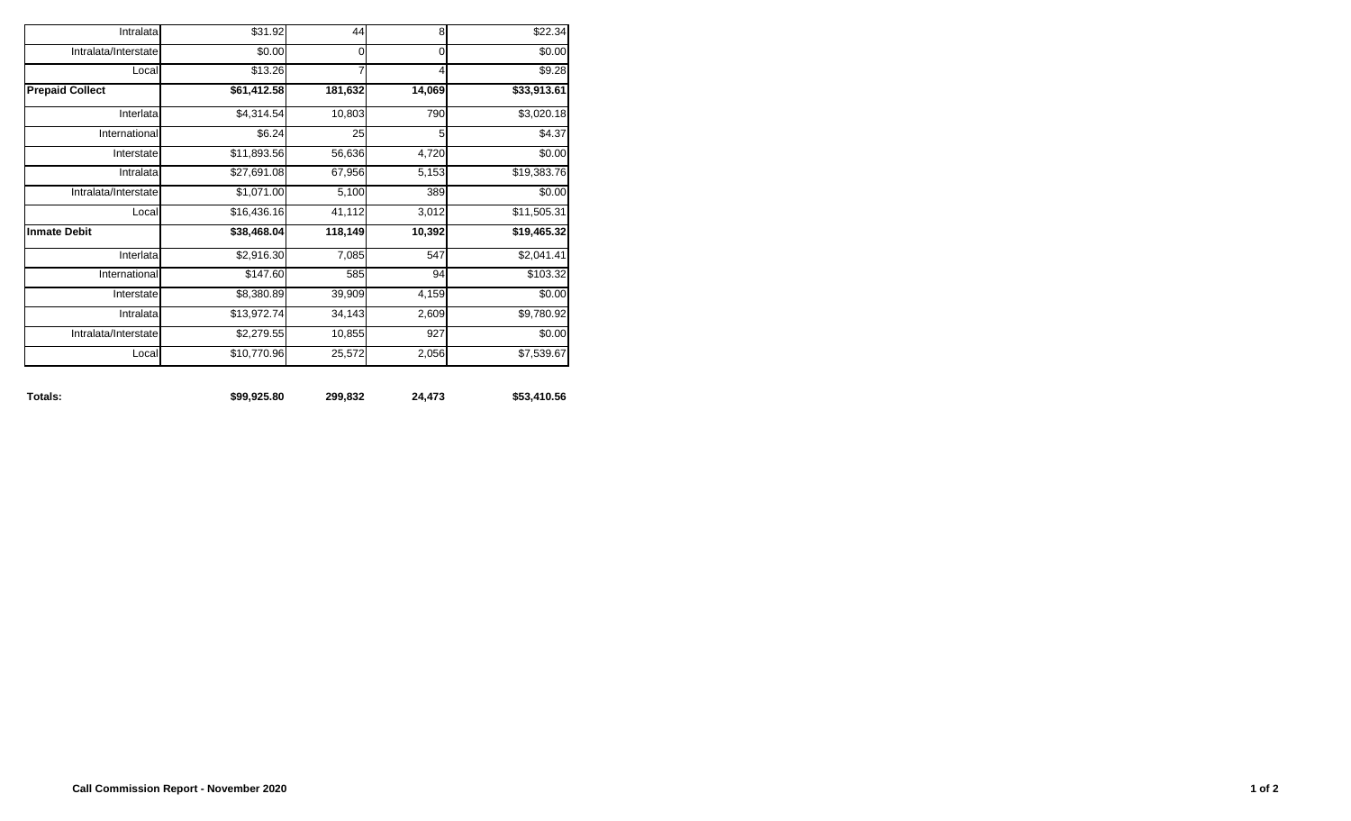| \$22.34         | 8      | 44      | \$31.92                 | Intralata              |
|-----------------|--------|---------|-------------------------|------------------------|
| \$0.00          | 0      | 0       | \$0.00                  | Intralata/Interstate   |
| \$9.28          | 4      | 7       | \$13.26                 | Local                  |
| \$33,913.61     | 14,069 | 181,632 | \$61,412.58             | <b>Prepaid Collect</b> |
| \$3,020.18      | 790    | 10,803  | \$4,314.54              | Interlata              |
| \$4.37          | 5      | 25      | \$6.24                  | International          |
| 4,720<br>\$0.00 |        | 56,636  | \$11,893.56             | Interstate             |
| \$19,383.76     | 5,153  | 67,956  | \$27,691.08             | Intralata              |
| \$0.00          | 389    | 5,100   | $\overline{\$1,071.00}$ | Intralata/Interstate   |
| \$11,505.31     | 3,012  | 41,112  | \$16,436.16             | Local                  |
| \$19,465.32     | 10,392 | 118,149 | \$38,468.04             | <b>Inmate Debit</b>    |
| \$2,041.41      | 547    | 7,085   | \$2,916.30              | Interlata              |
| \$103.32        | 94     | 585     | \$147.60                | International          |
| \$0.00          | 4,159  | 39,909  | \$8,380.89              | Interstate             |
| \$9,780.92      | 2,609  | 34,143  | \$13,972.74             | Intralata              |
| \$0.00          | 927    | 10,855  | \$2,279.55              | Intralata/Interstate   |
| \$7,539.67      | 2,056  | 25,572  | \$10,770.96             | Local                  |

**Totals: \$99,925.80 299,832 24,473 \$53,410.56**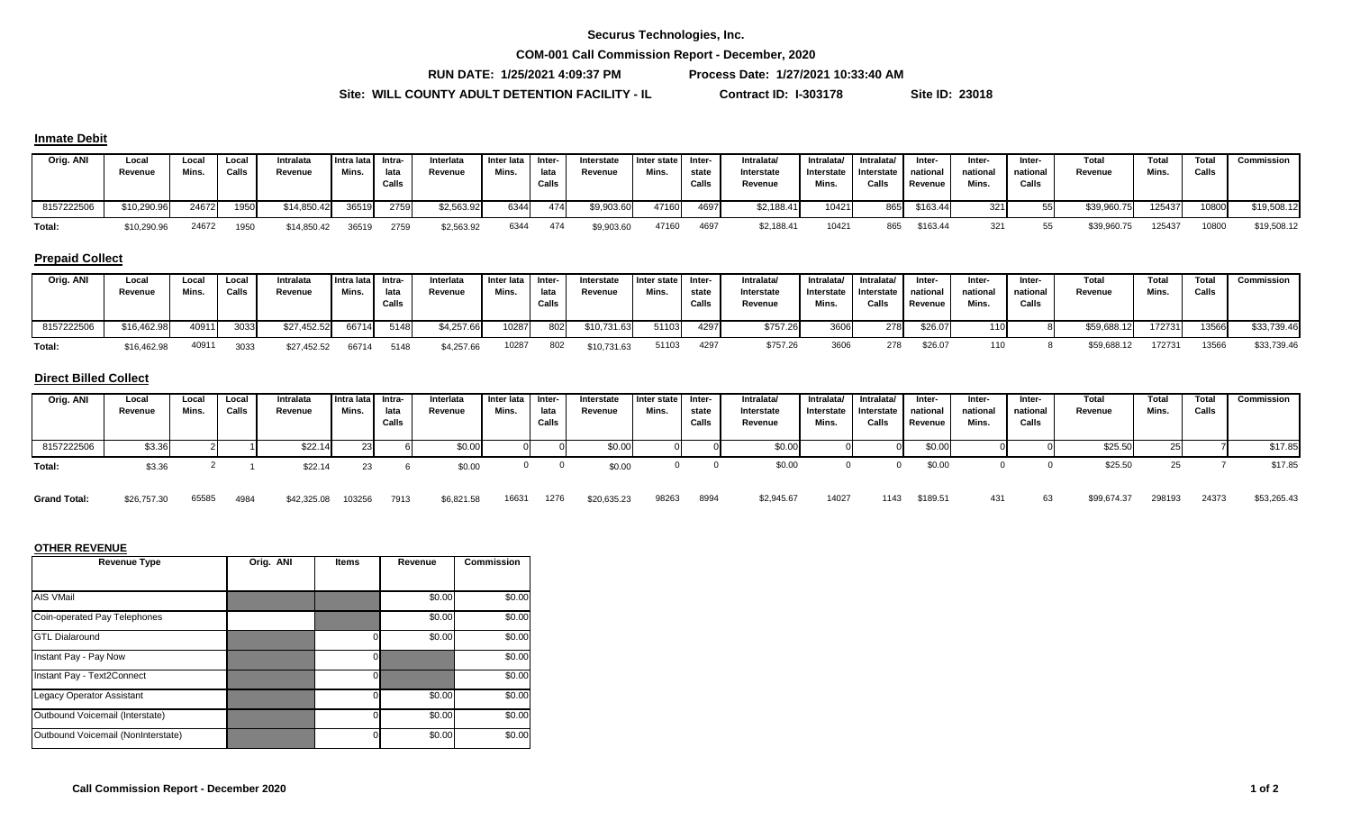#### **Securus Technologies, Inc.**

**COM-001 Call Commission Report - December, 2020**

**RUN DATE: 1/25/2021 4:09:37 PM Process Date: 1/27/2021 10:33:40 AM**

\$6,821.58 16631 1276 \$20,635.23

**Site: WILL COUNTY ADULT DETENTION FACILITY - IL Contract ID: I-303178 Site ID: 23018**

#### **Inmate Debit**

| Orig. ANI  | Local<br>Revenue | Loca.<br>Mins. | Local<br>Calls | Intralata<br>Revenue | Intra lata I<br>Mins. | Intra-<br>lata<br>Calls | Interlata<br>Revenue | Inter lata Inter-<br>Mins. | lata<br>Calls | Interstate<br>Revenue | I Inter state<br>Mins. | -Inter<br>state<br>Calls | Intralata<br>Interstate<br>Revenue | Intralata/<br>Interstate<br>Mins. | Intralata/<br>J Interstate<br>Calls | Inter-<br>national<br>Revenue | Inter-<br>national<br>Mins. | Inter-<br>national<br>Calls | Total<br>Revenue | Total<br>Mins. | Total<br>Calls | Commission  |
|------------|------------------|----------------|----------------|----------------------|-----------------------|-------------------------|----------------------|----------------------------|---------------|-----------------------|------------------------|--------------------------|------------------------------------|-----------------------------------|-------------------------------------|-------------------------------|-----------------------------|-----------------------------|------------------|----------------|----------------|-------------|
| 8157222506 | \$10,290.96      | 24672          | 1950           | \$14,850.42          | 36519                 | 2759                    | \$2,563.92           | 6344                       | 474I          | \$9,903.60            | 47160                  | 4697                     | \$2,188.41                         | 10421                             | 865                                 | \$163.44                      | 321                         |                             | \$39,960.75      | 125437         | 10800          | \$19,508.12 |
| Total:     | \$10,290.96      | 24672          | 1950           | \$14,850.42          | 36519                 | 2759                    | \$2,563.92           | 6344                       | 474           | \$9,903.60            | 47160                  | 4697                     | \$2,188.41                         | 10421                             | 865                                 | \$163.44                      |                             |                             | \$39,960.75      | 125437         | 10800          | \$19,508.12 |

## **Prepaid Collect**

| Orig. ANI  | Local<br>Revenue | Loca<br>Mins. | Local<br>Calls | Intralata<br>Revenue | Intra lata Intra-<br>Mins. | lata<br>Calls | Interlata<br>Revenue | Inter lata I Inter-<br>Mins. | lata<br>Calls | Interstate<br>Revenue | I Inter state<br>Mins. | Inter-<br>state<br>Calls | Intralata/<br>Interstate<br>Revenue | Intralata/<br>Interstate<br>Mins. | Intralata/<br>Interstate I<br>Calls | Inter-<br>national<br>Revenue | Inter-<br>national<br>Mins. | Inter-<br>national<br>Calls | Total<br>Revenue | <b>Total</b><br>Mins. | <b>Total</b><br>Calls | Commission  |
|------------|------------------|---------------|----------------|----------------------|----------------------------|---------------|----------------------|------------------------------|---------------|-----------------------|------------------------|--------------------------|-------------------------------------|-----------------------------------|-------------------------------------|-------------------------------|-----------------------------|-----------------------------|------------------|-----------------------|-----------------------|-------------|
| 8157222506 | \$16,462.98      | 40911         | 3033           | \$27,452.52          | 66714                      | 5148          | \$4,257.66           | 10287                        | 802           | \$10,731.63           | 51103                  | 4297                     | \$757.26                            | 3606                              | 278                                 | \$26.07                       |                             |                             | \$59,688.12      | 172731                | 13566                 | \$33,739.46 |
| Total:     | \$16,462.98      | 40911         | 3033           | \$27,452.52          | 66714                      | 5148          | \$4,257.66           | 10287                        | 802           | \$10,731.63           | 51103                  | 4297                     | \$757.26                            | 3606                              | 278                                 | \$26.07                       |                             |                             | \$59,688.12      | 17273'                | 13566                 | \$33,739.46 |

#### **Direct Billed Collect**

| Orig. ANI  | Local<br>Revenue | Local<br>Mins. | Local<br>Calls | Intralata<br>Revenue | Intra lata Intra-<br>Mins. | lata<br>Calls | Interlata<br>Revenue | Inter lata<br>Mins. | Inter-<br>lata<br>Calls | Interstate<br>Revenue | Inter state<br>Mins. | Inter-<br>state<br>Calls | Intralata/<br>Interstate<br>Revenue | Intralata/<br>Interstate<br>Mins. | Intralata/<br>Interstate<br>Calls | Inter-<br>national<br>Revenue | Inter-<br>national<br>Mins. | Inter-<br>national<br>Calls | Total<br>Revenue | Total<br>Mins. | Total<br>Calls | Commission |
|------------|------------------|----------------|----------------|----------------------|----------------------------|---------------|----------------------|---------------------|-------------------------|-----------------------|----------------------|--------------------------|-------------------------------------|-----------------------------------|-----------------------------------|-------------------------------|-----------------------------|-----------------------------|------------------|----------------|----------------|------------|
| 8157222506 | \$3.36           |                |                | \$22.1               | ້                          |               | \$0.00               |                     |                         | \$0.00                |                      |                          | \$0.00                              |                                   |                                   | \$0.00                        |                             |                             | \$25.50          |                |                | \$17.85    |
| Total:     | \$3.36           |                |                | \$22.14              | 23                         |               | \$0.00               |                     |                         | \$0.00                |                      |                          | \$0.00                              |                                   |                                   | \$0.00                        |                             |                             | \$25.50          | دے             |                | \$17.85    |

65585 4984 \$42,325.08 103256 7913 \$6,821.58 16631 1276 \$20,635.23 98263 8994 \$2,945.67 14027 1143 \$189.51 431 63 \$99,674.37 298193 24373 \$53,265.43

#### **OTHER REVENUE**

| <b>Revenue Type</b>                | Orig. ANI | <b>Items</b> | Revenue | <b>Commission</b> |
|------------------------------------|-----------|--------------|---------|-------------------|
|                                    |           |              |         |                   |
| <b>AIS VMail</b>                   |           |              | \$0.00  | \$0.00            |
| Coin-operated Pay Telephones       |           |              | \$0.00  | \$0.00            |
| <b>GTL Dialaround</b>              |           |              | \$0.00  | \$0.00            |
| Instant Pay - Pay Now              |           |              |         | \$0.00            |
| Instant Pay - Text2Connect         |           |              |         | \$0.00            |
| <b>Legacy Operator Assistant</b>   |           |              | \$0.00  | \$0.00            |
| Outbound Voicemail (Interstate)    |           |              | \$0.00  | \$0.00            |
| Outbound Voicemail (NonInterstate) |           |              | \$0.00  | \$0.00            |

**Grand Total:** \$26,757.30 4984 \$42,325.08 103256 7913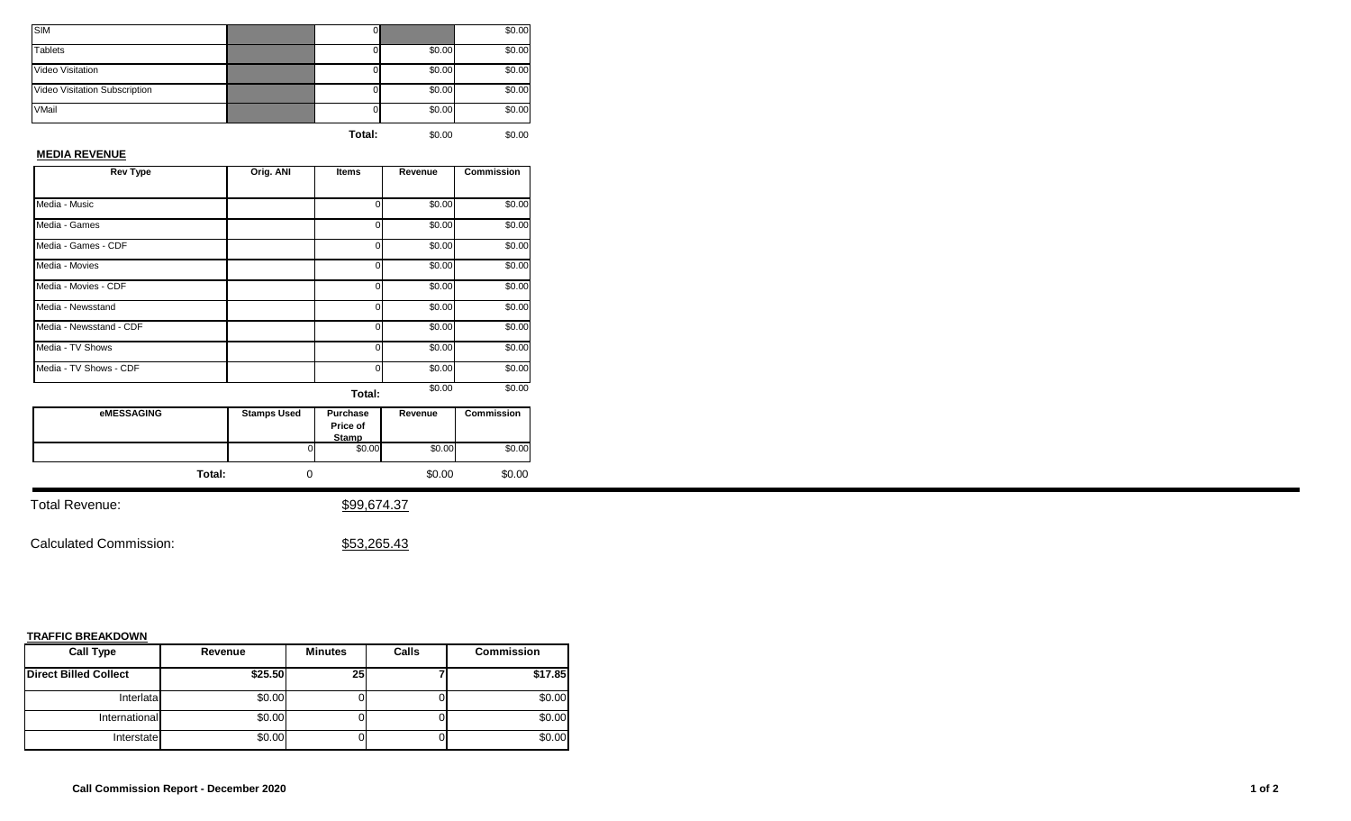| <b>SIM</b>                    | U.     |        | \$0.00 |
|-------------------------------|--------|--------|--------|
| <b>Tablets</b>                |        | \$0.00 | \$0.00 |
| Video Visitation              |        | \$0.00 | \$0.00 |
| Video Visitation Subscription |        | \$0.00 | \$0.00 |
| VMail                         |        | \$0.00 | \$0.00 |
|                               | Total: | \$0.00 | \$0.00 |

#### **MEDIA REVENUE**

| <b>Rev Type</b>         | Orig. ANI | Items  | Revenue | <b>Commission</b> |
|-------------------------|-----------|--------|---------|-------------------|
|                         |           |        |         |                   |
| Media - Music           |           | 0      | \$0.00  | \$0.00            |
| Media - Games           |           | 0      | \$0.00  | \$0.00            |
| Media - Games - CDF     |           | 0      | \$0.00  | \$0.00            |
| Media - Movies          |           | 0      | \$0.00  | \$0.00            |
| Media - Movies - CDF    |           | 0      | \$0.00  | \$0.00            |
| Media - Newsstand       |           | 0      | \$0.00  | \$0.00            |
| Media - Newsstand - CDF |           | 0      | \$0.00  | \$0.00            |
| Media - TV Shows        |           | 0      | \$0.00  | \$0.00            |
| Media - TV Shows - CDF  |           | 0      | \$0.00  | \$0.00            |
|                         |           | Total: | \$0.00  | \$0.00            |

| eMESSAGING | <b>Stamps Used</b> | Purchase<br>Price of<br><b>Stamp</b> | Revenue | Commission |
|------------|--------------------|--------------------------------------|---------|------------|
|            | 0                  | \$0.00                               | \$0.00  | \$0.00     |
| Total:     |                    |                                      | \$0.00  | \$0.00     |

Total Revenue:  $$99,674.37$ 

Calculated Commission:  $$53,265.43$ 

| <b>Call Type</b>             | Revenue | <b>Minutes</b> | Calls | <b>Commission</b> |
|------------------------------|---------|----------------|-------|-------------------|
| <b>Direct Billed Collect</b> | \$25.50 | 25             |       | \$17.85           |
| Interlata                    | \$0.00  |                |       | \$0.00            |
| International                | \$0.00  |                |       | \$0.00            |
| Interstate                   | \$0.00  |                |       | \$0.00            |